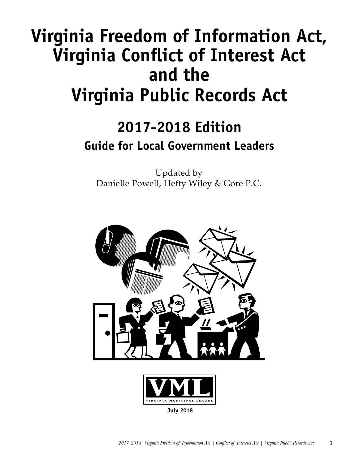# **Virginia Freedom of Information Act, Virginia Conflict of Interest Act and the Virginia Public Records Act**

# **2017-2018 Edition Guide for Local Government Leaders**

Updated by Danielle Powell, Hefty Wiley & Gore P.C.



**July 2018**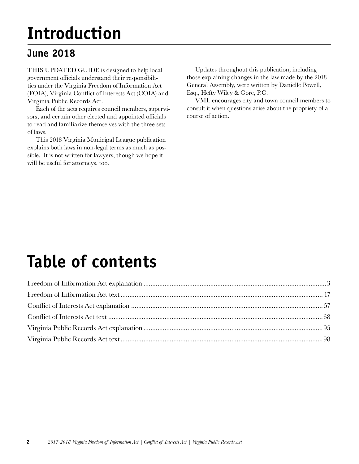# **Introduction**

# **June 2018**

THIS UPDATED GUIDE is designed to help local government officials understand their responsibilities under the Virginia Freedom of Information Act (FOIA), Virginia Conflict of Interests Act (COIA) and Virginia Public Records Act.

Each of the acts requires council members, supervisors, and certain other elected and appointed officials to read and familiarize themselves with the three sets of laws.

This 2018 Virginia Municipal League publication explains both laws in non-legal terms as much as possible. It is not written for lawyers, though we hope it will be useful for attorneys, too.

Updates throughout this publication, including those explaining changes in the law made by the 2018 General Assembly, were written by Danielle Powell, Esq., Hefty Wiley & Gore, P.C.

VML encourages city and town council members to consult it when questions arise about the propriety of a course of action.

# **Table of contents**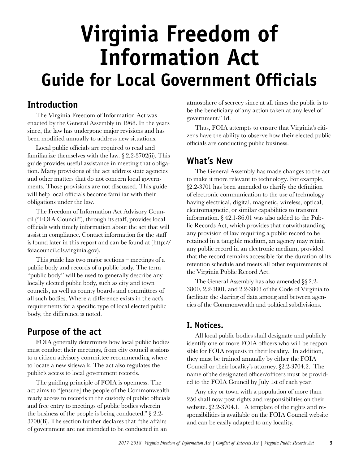# **Virginia Freedom of Information Act Guide for Local Government Officials**

# **Introduction**

The Virginia Freedom of Information Act was enacted by the General Assembly in 1968. In the years since, the law has undergone major revisions and has been modified annually to address new situations.

Local public officials are required to read and familiarize themselves with the law. § 2.2-3702(ii). This guide provides useful assistance in meeting that obligation. Many provisions of the act address state agencies and other matters that do not concern local governments. Those provisions are not discussed. This guide will help local officials become familiar with their obligations under the law.

The Freedom of Information Act Advisory Council ("FOIA Council"), through its staff, provides local officials with timely information about the act that will assist in compliance. Contact information for the staff is found later in this report and can be found at (http:// foiacouncil.dls.virginia.gov).

This guide has two major sections – meetings of a public body and records of a public body. The term "public body" will be used to generally describe any locally elected public body, such as city and town councils, as well as county boards and committees of all such bodies. Where a difference exists in the act's requirements for a specific type of local elected public body, the difference is noted.

# **Purpose of the act**

FOIA generally determines how local public bodies must conduct their meetings, from city council sessions to a citizen advisory committee recommending where to locate a new sidewalk. The act also regulates the public's access to local government records.

The guiding principle of FOIA is openness. The act aims to "[ensure] the people of the Commonwealth ready access to records in the custody of public officials and free entry to meetings of public bodies wherein the business of the people is being conducted."  $\S 2.2$ -3700(B). The section further declares that "the affairs of government are not intended to be conducted in an

atmosphere of secrecy since at all times the public is to be the beneficiary of any action taken at any level of government." Id.

Thus, FOIA attempts to ensure that Virginia's citizens have the ability to observe how their elected public officials are conducting public business.

## **What's New**

The General Assembly has made changes to the act to make it more relevant to technology. For example, §2.2-3701 has been amended to clarify the definition of electronic communication to the use of technology having electrical, digital, magnetic, wireless, optical, electromagnetic, or similar capabilities to transmit information. § 42.1-86.01 was also added to the Public Records Act, which provides that notwithstanding any provision of law requiring a public record to be retained in a tangible medium, an agency may retain any public record in an electronic medium, provided that the record remains accessible for the duration of its retention schedule and meets all other requirements of the Virginia Public Record Act.

The General Assembly has also amended §§ 2.2- 3800, 2.2-3801, and 2.2-3803 of the Code of Virginia to facilitate the sharing of data among and between agencies of the Commonwealth and political subdivisions.

### **I. Notices.**

All local public bodies shall designate and publicly identify one or more FOIA officers who will be responsible for FOIA requests in their locality. In addition, they must be trained annually by either the FOIA Council or their locality's attorney. §2.2-3704.2. The name of the designated officer/officers must be provided to the FOIA Council by July 1st of each year.

Any city or town with a population of more than 250 shall now post rights and responsibilities on their website. §2.2-3704.1. A template of the rights and responsibilities is available on the FOIA Council website and can be easily adapted to any locality.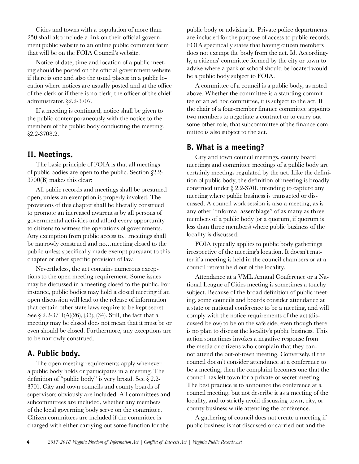Cities and towns with a population of more than 250 shall also include a link on their official government public website to an online public comment form that will be on the FOIA Council's website.

Notice of date, time and location of a public meeting should be posted on the official government website if there is one and also the usual places: in a public location where notices are usually posted and at the office of the clerk or if there is no clerk, the officer of the chief administrator. §2.2-3707.

If a meeting is continued; notice shall be given to the public contemporaneously with the notice to the members of the public body conducting the meeting. §2.2-3708.2.

#### **II. Meetings.**

The basic principle of FOIA is that all meetings of public bodies are open to the public. Section §2.2- 3700(B) makes this clear:

All public records and meetings shall be presumed open, unless an exemption is properly invoked. The provisions of this chapter shall be liberally construed to promote an increased awareness by all persons of governmental activities and afford every opportunity to citizens to witness the operations of governments. Any exemption from public access to…meetings shall be narrowly construed and no…meeting closed to the public unless specifically made exempt pursuant to this chapter or other specific provision of law.

Nevertheless, the act contains numerous exceptions to the open meeting requirement. Some issues may be discussed in a meeting closed to the public. For instance, public bodies may hold a closed meeting if an open discussion will lead to the release of information that certain other state laws require to be kept secret. See § 2.2-3711(A)(26), (33), (34). Still, the fact that a meeting may be closed does not mean that it must be or even should be closed. Furthermore, any exceptions are to be narrowly construed.

#### **A. Public body.**

The open meeting requirements apply whenever a public body holds or participates in a meeting. The definition of "public body" is very broad. See § 2.2- 3701. City and town councils and county boards of supervisors obviously are included. All committees and subcommittees are included, whether any members of the local governing body serve on the committee. Citizen committees are included if the committee is charged with either carrying out some function for the

public body or advising it. Private police departments are included for the purpose of access to public records. FOIA specifically states that having citizen members does not exempt the body from the act. Id. Accordingly, a citizens' committee formed by the city or town to advise where a park or school should be located would be a public body subject to FOIA.

A committee of a council is a public body, as noted above. Whether the committee is a standing committee or an ad hoc committee, it is subject to the act. If the chair of a four-member finance committee appoints two members to negotiate a contract or to carry out some other role, that subcommittee of the finance committee is also subject to the act.

#### **B. What is a meeting?**

City and town council meetings, county board meetings and committee meetings of a public body are certainly meetings regulated by the act. Like the definition of public body, the definition of meeting is broadly construed under § 2.2-3701, intending to capture any meeting where public business is transacted or discussed. A council work session is also a meeting, as is any other "informal assemblage" of as many as three members of a public body (or a quorum, if quorum is less than three members) where public business of the locality is discussed.

FOIA typically applies to public body gatherings irrespective of the meeting's location. It doesn't matter if a meeting is held in the council chambers or at a council retreat held out of the locality.

Attendance at a VML Annual Conference or a National League of Cities meeting is sometimes a touchy subject. Because of the broad definition of public meeting, some councils and boards consider attendance at a state or national conference to be a meeting, and will comply with the notice requirements of the act (discussed below) to be on the safe side, even though there is no plan to discuss the locality's public business. This action sometimes invokes a negative response from the media or citizens who complain that they cannot attend the out-of-town meeting. Conversely, if the council doesn't consider attendance at a conference to be a meeting, then the complaint becomes one that the council has left town for a private or secret meeting. The best practice is to announce the conference at a council meeting, but not describe it as a meeting of the locality, and to strictly avoid discussing town, city, or county business while attending the conference.

A gathering of council does not create a meeting if public business is not discussed or carried out and the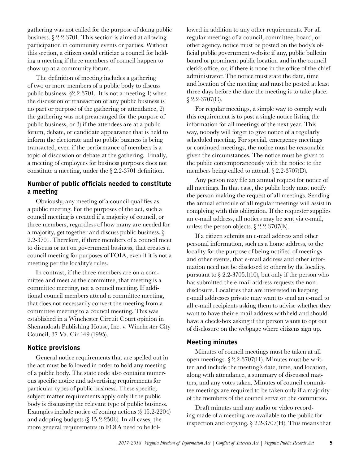gathering was not called for the purpose of doing public business. § 2.2-3701. This section is aimed at allowing participation in community events or parties. Without this section, a citizen could criticize a council for holding a meeting if three members of council happen to show up at a community forum.

The definition of meeting includes a gathering of two or more members of a public body to discuss public business. §2.2-3701. It is not a meeting 1) when the discussion or transaction of any public business is no part or purpose of the gathering or attendance, 2) the gathering was not prearranged for the purpose of public business, or 3) if the attendees are at a public forum, debate, or candidate appearance that is held to inform the electorate and no public business is being transacted, even if the performance of members is a topic of discussion or debate at the gathering. Finally, a meeting of employees for business purposes does not constitute a meeting, under the § 2.2-3701 definition.

#### **Number of public officials needed to constitute a meeting**

Obviously, any meeting of a council qualifies as a public meeting. For the purposes of the act, such a council meeting is created if a majority of council, or three members, regardless of how many are needed for a majority, get together and discuss public business. § 2.2-3701. Therefore, if three members of a council meet to discuss or act on government business, that creates a council meeting for purposes of FOIA, even if it is not a meeting per the locality's rules.

In contrast, if the three members are on a committee and meet as the committee, that meeting is a committee meeting, not a council meeting. If additional council members attend a committee meeting, that does not necessarily convert the meeting from a committee meeting to a council meeting. This was established in a Winchester Circuit Court opinion in Shenandoah Publishing House, Inc. v. Winchester City Council, 37 Va. Cir 149 (1995).

#### **Notice provisions**

General notice requirements that are spelled out in the act must be followed in order to hold any meeting of a public body. The state code also contains numerous specific notice and advertising requirements for particular types of public business. These specific, subject matter requirements apply only if the public body is discussing the relevant type of public business. Examples include notice of zoning actions (§ 15.2-2204) and adopting budgets (§ 15.2-2506). In all cases, the more general requirements in FOIA need to be followed in addition to any other requirements. For all regular meetings of a council, committee, board, or other agency, notice must be posted on the body's official public government website if any, public bulletin board or prominent public location and in the council clerk's office, or, if there is none in the office of the chief administrator. The notice must state the date, time and location of the meeting and must be posted at least three days before the date the meeting is to take place. § 2.2-3707(C).

For regular meetings, a simple way to comply with this requirement is to post a single notice listing the information for all meetings of the next year. This way, nobody will forget to give notice of a regularly scheduled meeting. For special, emergency meetings or continued meetings, the notice must be reasonable given the circumstances. The notice must be given to the public contemporaneously with the notice to the members being called to attend. § 2.2-3707(D).

Any person may file an annual request for notice of all meetings. In that case, the public body must notify the person making the request of all meetings. Sending the annual schedule of all regular meetings will assist in complying with this obligation. If the requester supplies an e-mail address, all notices may be sent via e-mail, unless the person objects.  $\S 2.2-3707(E)$ .

If a citizen submits an e-mail address and other personal information, such as a home address, to the locality for the purpose of being notified of meetings and other events, that e-mail address and other information need not be disclosed to others by the locality, pursuant to  $\S 2.2-3705.1(10)$ , but only if the person who has submitted the e-mail address requests the nondisclosure. Localities that are interested in keeping e-mail addresses private may want to send an e-mail to all e-mail recipients asking them to advise whether they want to have their e-mail address withheld and should have a check-box asking if the person wants to opt out of disclosure on the webpage where citizens sign up.

#### **Meeting minutes**

Minutes of council meetings must be taken at all open meetings. § 2.2-3707(H). Minutes must be written and include the meeting's date, time, and location, along with attendance, a summary of discussed matters, and any votes taken. Minutes of council committee meetings are required to be taken only if a majority of the members of the council serve on the committee.

Draft minutes and any audio or video recording made of a meeting are available to the public for inspection and copying.  $\S 2.2$ -3707(H). This means that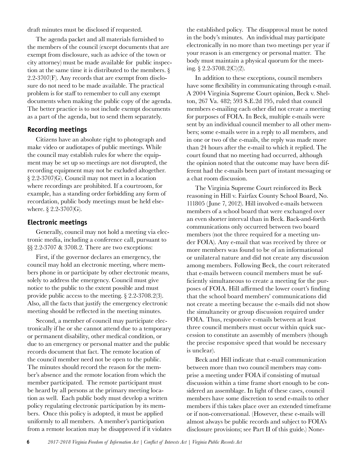draft minutes must be disclosed if requested.

The agenda packet and all materials furnished to the members of the council (except documents that are exempt from disclosure, such as advice of the town or city attorney) must be made available for public inspection at the same time it is distributed to the members. § 2.2-3707(F). Any records that are exempt from disclosure do not need to be made available. The practical problem is for staff to remember to cull any exempt documents when making the public copy of the agenda. The better practice is to not include exempt documents as a part of the agenda, but to send them separately.

#### **Recording meetings**

Citizens have an absolute right to photograph and make video or audiotapes of public meetings. While the council may establish rules for where the equipment may be set up so meetings are not disrupted, the recording equipment may not be excluded altogether. § 2.2-3707(G). Council may not meet in a location where recordings are prohibited. If a courtroom, for example, has a standing order forbidding any form of recordation, public body meetings must be held elsewhere. § 2.2-3707(G).

#### **Electronic meetings**

Generally, council may not hold a meeting via electronic media, including a conference call, pursuant to §§ 2.2-3707 & 3708.2. There are two exceptions:

First, if the governor declares an emergency, the council may hold an electronic meeting, where members phone in or participate by other electronic means, solely to address the emergency. Council must give notice to the public to the extent possible and must provide public access to the meeting. § 2.2-3708.2(3). Also, all the facts that justify the emergency electronic meeting should be reflected in the meeting minutes.

Second, a member of council may participate electronically if he or she cannot attend due to a temporary or permanent disability, other medical condition, or due to an emergency or personal matter and the public records document that fact. The remote location of the council member need not be open to the public. The minutes should record the reason for the member's absence and the remote location from which the member participated. The remote participant must be heard by all persons at the primary meeting location as well. Each public body must develop a written policy regulating electronic participation by its members. Once this policy is adopted, it must be applied uniformly to all members. A member's participation from a remote location may be disapproved if it violates the established policy. The disapproval must be noted in the body's minutes. An individual may participate electronically in no more than two meetings per year if your reason is an emergency or personal matter. The body must maintain a physical quorum for the meeting. § 2.2-3708.2(C)(2).

In addition to these exceptions, council members have some flexibility in communicating through e-mail. A 2004 Virginia Supreme Court opinion, Beck v. Shelton, 267 Va. 482; 593 S.E.2d 195, ruled that council members e-mailing each other did not create a meeting for purposes of FOIA. In Beck, multiple e-mails were sent by an individual council member to all other members; some e-mails were in a reply to all members, and in one or two of the e-mails, the reply was made more than 24 hours after the e-mail to which it replied. The court found that no meeting had occurred, although the opinion noted that the outcome may have been different had the e-mails been part of instant messaging or a chat room discussion.

The Virginia Supreme Court reinforced its Beck reasoning in Hill v. Fairfax County School Board, No. 111805 (June 7, 2012). Hill involved e-mails between members of a school board that were exchanged over an even shorter interval than in Beck. Back-and-forth communications only occurred between two board members (not the three required for a meeting under FOIA). Any e-mail that was received by three or more members was found to be of an informational or unilateral nature and did not create any discussion among members. Following Beck, the court reiterated that e-mails between council members must be sufficiently simultaneous to create a meeting for the purposes of FOIA. Hill affirmed the lower court's finding that the school board members' communications did not create a meeting because the e-mails did not show the simultaneity or group discussion required under FOIA. Thus, responsive e-mails between at least three council members must occur within quick succession to constitute an assembly of members (though the precise responsive speed that would be necessary is unclear).

Beck and Hill indicate that e-mail communication between more than two council members may comprise a meeting under FOIA if consisting of mutual discussion within a time frame short enough to be considered an assemblage. In light of these cases, council members have some discretion to send e-mails to other members if this takes place over an extended timeframe or if non-conversational. (However, these e-mails will almost always be public records and subject to FOIA's disclosure provisions; see Part II of this guide.) None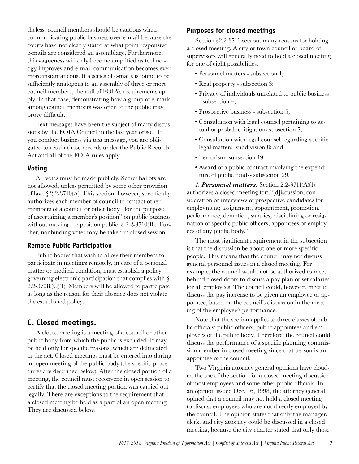theless, council members should be cautious when communicating public business over e-mail because the courts have not clearly stated at what point responsive e-mails are considered an assemblage. Furthermore, this vagueness will only become amplified as technology improves and e-mail communication becomes ever more instantaneous. If a series of e-mails is found to be sufficiently analogous to an assembly of three or more council members, then all of FOIA's requirements apply. In that case, demonstrating how a group of e-mails among council members was open to the public may prove difficult.

Text messages have been the subject of many discussions by the FOIA Council in the last year or so. If you conduct business via text message, you are obligated to retain those records under the Public Records Act and all of the FOIA rules apply.

#### **Voting**

All votes must be made publicly. Secret ballots are not allowed, unless permitted by some other provision of law. § 2.2-3710(A). This section, however, specifically authorizes each member of council to contact other members of a council or other body "for the purpose of ascertaining a member's position" on public business without making the position public.  $\S 2.2-3710(B)$ . Further, nonbinding votes may be taken in closed session.

#### **Remote Public Participation**

Public bodies that wish to allow their members to participate in meetings remotely, in case of a personal matter or medical condition, must establish a policy governing electronic participation that complies with § 2.2-3708.(C)(1). Members will be allowed to participate as long as the reason for their absence does not violate the established policy.

### **C. Closed meetings.**

A closed meeting is a meeting of a council or other public body from which the public is excluded. It may be held only for specific reasons, which are delineated in the act. Closed meetings must be entered into during an open meeting of the public body (the specific procedures are described below). After the closed portion of a meeting, the council must reconvene in open session to certify that the closed meeting portion was carried out legally. There are exceptions to the requirement that a closed meeting be held as a part of an open meeting. They are discussed below.

#### **Purposes for closed meetings**

Section §2.2-3711 sets out many reasons for holding a closed meeting. A city or town council or board of supervisors will generally need to hold a closed meeting for one of eight possibilities:

- Personnel matters subsection 1;
- Real property subsection 3;
- Privacy of individuals unrelated to public business - subsection 4;
- Prospective business subsection 5;
- Consultation with legal counsel pertaining to actual or probable litigation- subsection 7;
- Consultation with legal counsel regarding specific legal matters- subdivision 8; and
- Terrorism- subsection 19.
- Award of a public contract involving the expenditure of public funds- subsection 29.

*1. Personnel matters.* Section 2.2-3711(A)(1) authorizes a closed meeting for: "[d]iscussion, consideration or interviews of prospective candidates for employment; assignment, appointment, promotion, performance, demotion, salaries, disciplining or resignation of specific public officers, appointees or employees of any public body."

The most significant requirement in the subsection is that the discussion be about one or more specific people. This means that the council may not discuss general personnel issues in a closed meeting. For example, the council would not be authorized to meet behind closed doors to discuss a pay plan or set salaries for all employees. The council could, however, meet to discuss the pay increase to be given an employee or appointee, based on the council's discussion in the meeting of the employee's performance.

Note that the section applies to three classes of public officials: public officers, public appointees and employees of the public body. Therefore, the council could discuss the performance of a specific planning commission member in closed meeting since that person is an appointee of the council.

Two Virginia attorney general opinions have clouded the use of the section for a closed meeting discussion of most employees and some other public officials. In an opinion issued Dec. 16, 1998, the attorney general opined that a council may not hold a closed meeting to discuss employees who are not directly employed by the council. The opinion states that only the manager, clerk, and city attorney could be discussed in a closed meeting, because the city charter stated that only those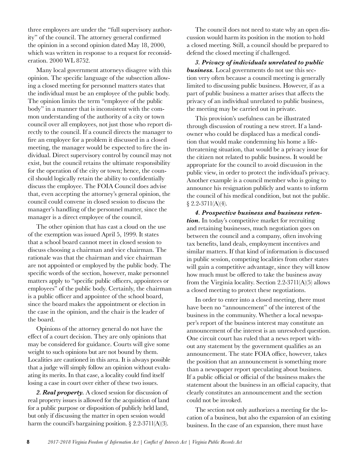three employees are under the "full supervisory authority" of the council. The attorney general confirmed the opinion in a second opinion dated May 18, 2000, which was written in response to a request for reconsideration. 2000 WL 8752.

Many local government attorneys disagree with this opinion. The specific language of the subsection allowing a closed meeting for personnel matters states that the individual must be an employee of the public body. The opinion limits the term "employee of the public body" in a manner that is inconsistent with the common understanding of the authority of a city or town council over all employees, not just those who report directly to the council. If a council directs the manager to fire an employee for a problem it discussed in a closed meeting, the manager would be expected to fire the individual. Direct supervisory control by council may not exist, but the council retains the ultimate responsibility for the operation of the city or town; hence, the council should logically retain the ability to confidentially discuss the employee. The FOIA Council does advise that, even accepting the attorney's general opinion, the council could convene in closed session to discuss the manager's handling of the personnel matter, since the manager is a direct employee of the council.

The other opinion that has cast a cloud on the use of the exemption was issued April 5, 1999. It states that a school board cannot meet in closed session to discuss choosing a chairman and vice chairman. The rationale was that the chairman and vice chairman are not appointed or employed by the public body. The specific words of the section, however, make personnel matters apply to "specific public officers, appointees or employees" of the public body. Certainly, the chairman is a public officer and appointee of the school board, since the board makes the appointment or election in the case in the opinion, and the chair is the leader of the board.

Opinions of the attorney general do not have the effect of a court decision. They are only opinions that may be considered for guidance. Courts will give some weight to such opinions but are not bound by them. Localities are cautioned in this area. It is always possible that a judge will simply follow an opinion without evaluating its merits. In that case, a locality could find itself losing a case in court over either of these two issues.

*2. Real property.* A closed session for discussion of real property issues is allowed for the acquisition of land for a public purpose or disposition of publicly held land, but only if discussing the matter in open session would harm the council's bargaining position.  $\S 2.2-3711(A)(3)$ .

The council does not need to state why an open discussion would harm its position in the motion to hold a closed meeting. Still, a council should be prepared to defend the closed meeting if challenged.

*3. Privacy of individuals unrelated to public business.* Local governments do not use this section very often because a council meeting is generally limited to discussing public business. However, if as a part of public business a matter arises that affects the privacy of an individual unrelated to public business, the meeting may be carried out in private.

This provision's usefulness can be illustrated through discussion of routing a new street. If a landowner who could be displaced has a medical condition that would make condemning his home a lifethreatening situation, that would be a privacy issue for the citizen not related to public business. It would be appropriate for the council to avoid discussion in the public view, in order to protect the individual's privacy. Another example is a council member who is going to announce his resignation publicly and wants to inform the council of his medical condition, but not the public.  $§$  2.2-3711(A)(4).

*4. Prospective business and business retention.* In today's competitive market for recruiting and retaining businesses, much negotiation goes on between the council and a company, often involving tax benefits, land deals, employment incentives and similar matters. If that kind of information is discussed in public session, competing localities from other states will gain a competitive advantage, since they will know how much must be offered to take the business away from the Virginia locality. Section 2.2-3711(A)(5) allows a closed meeting to protect these negotiations.

In order to enter into a closed meeting, there must have been no "announcement" of the interest of the business in the community. Whether a local newspaper's report of the business interest may constitute an announcement of the interest is an unresolved question. One circuit court has ruled that a news report without any statement by the government qualifies as an announcement. The state FOIA office, however, takes the position that an announcement is something more than a newspaper report speculating about business. If a public official or official of the business makes the statement about the business in an official capacity, that clearly constitutes an announcement and the section could not be invoked.

The section not only authorizes a meeting for the location of a business, but also the expansion of an existing business. In the case of an expansion, there must have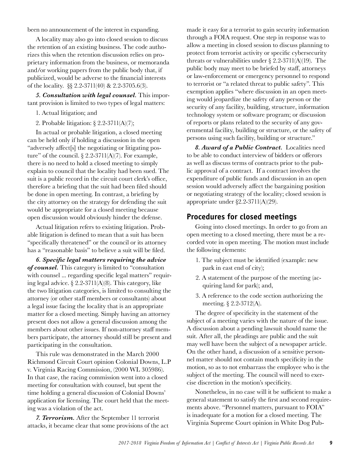been no announcement of the interest in expanding.

A locality may also go into closed session to discuss the retention of an existing business. The code authorizes this when the retention discussion relies on proprietary information from the business, or memoranda and/or working papers from the public body that, if publicized, would be adverse to the financial interests of the locality. §§ 2.2-3711(40) & 2.2-3705.6(3).

*5. Consultation with legal counsel.* This important provision is limited to two types of legal matters:

1. Actual litigation; and

2. Probable litigation: § 2.2-3711(A)(7);

In actual or probable litigation, a closed meeting can be held only if holding a discussion in the open "adversely affect[s] the negotiating or litigating posture" of the council.  $\S 2.2-3711(A)(7)$ . For example, there is no need to hold a closed meeting to simply explain to council that the locality had been sued. The suit is a public record in the circuit court clerk's office, therefore a briefing that the suit had been filed should be done in open meeting. In contrast, a briefing by the city attorney on the strategy for defending the suit would be appropriate for a closed meeting because open discussion would obviously hinder the defense.

Actual litigation refers to existing litigation. Probable litigation is defined to mean that a suit has been "specifically threatened" or the council or its attorney has a "reasonable basis" to believe a suit will be filed.

*6. Specific legal matters requiring the advice of counsel.* This category is limited to "consultation with counsel ... regarding specific legal matters" requiring legal advice. § 2.2-3711(A)(8). This category, like the two litigation categories, is limited to consulting the attorney (or other staff members or consultants) about a legal issue facing the locality that is an appropriate matter for a closed meeting. Simply having an attorney present does not allow a general discussion among the members about other issues. If non-attorney staff members participate, the attorney should still be present and participating in the consultation.

This rule was demonstrated in the March 2000 Richmond Circuit Court opinion Colonial Downs, L.P v. Virginia Racing Commission, (2000 WL 305986). In that case, the racing commission went into a closed meeting for consultation with counsel, but spent the time holding a general discussion of Colonial Downs' application for licensing. The court held that the meeting was a violation of the act.

*7. Terrorism.* After the September 11 terrorist attacks, it became clear that some provisions of the act made it easy for a terrorist to gain security information through a FOIA request. One step in response was to allow a meeting in closed session to discuss planning to protect from terrorist activity or specific cybersecurity threats or vulnerabilities under  $\S 2.2-3711(A)(19)$ . The public body may meet to be briefed by staff, attorneys or law-enforcement or emergency personnel to respond to terrorist or "a related threat to public safety". This exemption applies "where discussion in an open meeting would jeopardize the safety of any person or the security of any facility, building, structure, information technology system or software program; or discussion of reports or plans related to the security of any governmental facility, building or structure, or the safety of persons using such facility, building or structure."

*8. Award of a Public Contract.* Localities need to be able to conduct interview of bidders or offerors as well as discuss terms of contracts prior to the public approval of a contract. If a contract involves the expenditure of public funds and discussion in an open session would adversely affect the bargaining position or negotiating strategy of the locality; closed session is appropriate under §2.2-3711(A)(29).

### **Procedures for closed meetings**

Going into closed meetings. In order to go from an open meeting to a closed meeting, there must be a recorded vote in open meeting. The motion must include the following elements:

- 1. The subject must be identified (example: new park in east end of city);
- 2. A statement of the purpose of the meeting (acquiring land for park); and,
- 3. A reference to the code section authorizing the meeting. § 2.2-3712(A).

The degree of specificity in the statement of the subject of a meeting varies with the nature of the issue. A discussion about a pending lawsuit should name the suit. After all, the pleadings are public and the suit may well have been the subject of a newspaper article. On the other hand, a discussion of a sensitive personnel matter should not contain much specificity in the motion, so as to not embarrass the employee who is the subject of the meeting. The council will need to exercise discretion in the motion's specificity.

Nonetheless, in no case will it be sufficient to make a general statement to satisfy the first and second requirements above. "Personnel matters, pursuant to FOIA" is inadequate for a motion for a closed meeting. The Virginia Supreme Court opinion in White Dog Pub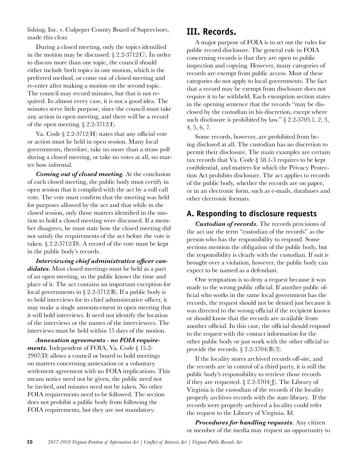lishing, Inc. v. Culpeper County Board of Supervisors, made this clear.

During a closed meeting, only the topics identified in the motion may be discussed.  $\S 2.2$ -3712(C). In order to discuss more than one topic, the council should either include both topics in one motion, which is the preferred method, or come out of closed meeting and re-enter after making a motion on the second topic. The council may record minutes, but that is not required. In almost every case, it is not a good idea. The minutes serve little purpose, since the council must take any action in open meeting, and there will be a record of the open meeting.  $\S 2.2-3712(I)$ .

Va. Code  $\S 2.2$ -3712(H) states that any official vote or action must he held in open session. Many local governments, therefore, take no more than a straw poll during a closed meeting, or take no votes at all, no matter how informal.

*Coming out of closed meeting.* At the conclusion of each closed meeting, the public body must certify in open session that it complied with the act by a roll call vote. The vote must confirm that the meeting was held for purposes allowed by the act and that while in the closed session, only those matters identified in the motion to hold a closed meeting were discussed. If a member disagrees, he must state how the closed meeting did not satisfy the requirements of the act before the vote is taken.  $\S 2.2-3712(D)$ . A record of the vote must be kept in the public body's records.

*Interviewing chief administrative officer candidates.* Most closed meetings must be held as a part of an open meeting, so the public knows the time and place of it. The act contains an important exception for local governments in  $\S 2.2$ -3712(B). If a public body is to hold interviews for its chief administrative officer, it may make a single announcement in open meeting that it will hold interviews. It need not identify the location of the interviews or the names of the interviewees. The interviews must be held within 15 days of the motion.

*Annexation agreements - no FOIA requirements.* Independent of FOIA, Va. Code § 15.2- 2907(D) allows a council or board to hold meetings on matters concerning annexation or a voluntary settlement agreement with no FOIA implications. This means notice need not be given, the public need not be invited, and minutes need not be taken. No other FOIA requirements need to be followed. The section does not prohibit a public body from following the FOIA requirements, but they are not mandatory.

# **III. Records.**

A major purpose of FOIA is to set out the rules for public record disclosure. The general rule in FOIA concerning records is that they are open to public inspection and copying. However, many categories of records are exempt from public access. Most of these categories do not apply to local governments. The fact that a record may be exempt from disclosure does not require it to be withheld. Each exemption section states in the opening sentence that the records "may be disclosed by the custodian in his discretion, except where such disclosure is prohibited by law."  $\S$  2.2-3705.1, 2, 3, 4, 5, 6, 7.

Some records, however, are prohibited from being disclosed at all. The custodian has no discretion to permit their disclosure. The main examples are certain tax records that Va. Code  $\S$  58.1-3 requires to be kept confidential, and matters for which the Privacy Protection Act prohibits disclosure. The act applies to records of the public body, whether the records are on paper, or in an electronic form, such as e-mails, databases and other electronic formats.

## **A. Responding to disclosure requests**

*Custodian of records.* The records provisions of the act use the term "custodian of the records" as the person who has the responsibility to respond. Some sections mention the obligation of the public body, but the responsibility is clearly with the custodian. If suit is brought over a violation, however, the public body can expect to be named as a defendant.

One temptation is to deny a request because it was made to the wrong public official. If another public official who works in the same local government has the records, the request should not be denied just because it was directed to the wrong official if the recipient knows or should know that the records are available from another official. In this case, the official should respond to the request with the contact information for the other public body or just work with the other official to provide the records.  $\S 2.2$ -3704(B)(3).

If the locality stores archived records off-site, and the records are in control of a third party, it is still the public body's responsibility to retrieve those records if they are requested.  $\S 2.2-3704$  (J). The Library of Virginia is the custodian of the records if the locality properly archives records with the state library. If the records were properly archived a locality could refer the request to the Library of Virginia. Id.

*Procedures for handling requests.* Any citizen or member of the media may request an opportunity to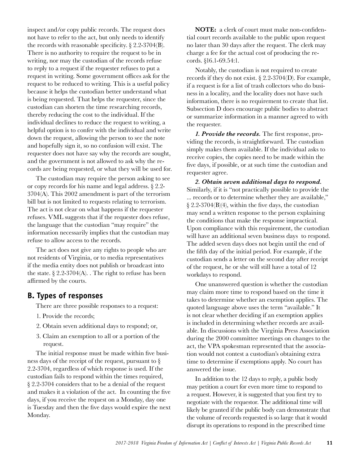inspect and/or copy public records. The request does not have to refer to the act, but only needs to identify the records with reasonable specificity.  $\S$  2.2-3704(B). There is no authority to require the request to be in writing, nor may the custodian of the records refuse to reply to a request if the requester refuses to put a request in writing. Some government offices ask for the request to be reduced to writing. This is a useful policy because it helps the custodian better understand what is being requested. That helps the requester, since the custodian can shorten the time researching records, thereby reducing the cost to the individual. If the individual declines to reduce the request to writing, a helpful option is to confer with the individual and write down the request, allowing the person to see the note and hopefully sign it, so no confusion will exist. The requester does not have say why the records are sought, and the government is not allowed to ask why the records are being requested, or what they will be used for.

The custodian may require the person asking to see or copy records for his name and legal address. § 2.2- 3704(A). This 2002 amendment is part of the terrorism bill but is not limited to requests relating to terrorism. The act is not clear on what happens if the requester refuses. VML suggests that if the requester does refuse, the language that the custodian "may require" the information necessarily implies that the custodian may refuse to allow access to the records.

The act does not give any rights to people who are not residents of Virginia, or to media representatives if the media entity does not publish or broadcast into the state.  $\S 2.2$ -3704(A). The right to refuse has been affirmed by the courts.

#### **B. Types of responses**

There are three possible responses to a request:

- 1. Provide the records;
- 2. Obtain seven additional days to respond; or,
- 3. Claim an exemption to all or a portion of the request.

The initial response must be made within five business days of the receipt of the request, pursuant to § 2.2-3704, regardless of which response is used. If the custodian fails to respond within the times required, § 2.2-3704 considers that to be a denial of the request and makes it a violation of the act. In counting the five days, if you receive the request on a Monday, day one is Tuesday and then the five days would expire the next Monday.

**NOTE:** a clerk of court must make non-confidential court records available to the public upon request no later than 30 days after the request. The clerk may charge a fee for the actual cost of producing the records. §16.1-69.54:1.

Notably, the custodian is not required to create records if they do not exist.  $\S 2.2$ -3704(D). For example, if a request is for a list of trash collectors who do business in a locality, and the locality does not have such information, there is no requirement to create that list. Subsection D does encourage public bodies to abstract or summarize information in a manner agreed to with the requester.

*1. Provide the records.* The first response, providing the records, is straightforward. The custodian simply makes them available. If the individual asks to receive copies, the copies need to be made within the five days, if possible, or at such time the custodian and requester agree.

*2. Obtain seven additional days to respond.*  Similarly, if it is "not practically possible to provide the ... records or to determine whether they are available,"  $\S 2.2-3704(B)(4)$ , within the five days, the custodian may send a written response to the person explaining the conditions that make the response impractical. Upon compliance with this requirement, the custodian will have an additional seven business days to respond. The added seven days does not begin until the end of the fifth day of the initial period. For example, if the custodian sends a letter on the second day after receipt of the request, he or she will still have a total of 12 workdays to respond.

One unanswered question is whether the custodian may claim more time to respond based on the time it takes to determine whether an exemption applies. The quoted language above uses the term "available." It is not clear whether deciding if an exemption applies is included in determining whether records are available. In discussions with the Virginia Press Association during the 2000 committee meetings on changes to the act, the VPA spokesman represented that the association would not contest a custodian's obtaining extra time to determine if exemptions apply. No court has answered the issue.

In addition to the 12 days to reply, a public body may petition a court for even more time to respond to a request. However, it is suggested that you first try to negotiate with the requestor. The additional time will likely be granted if the public body can demonstrate that the volume of records requested is so large that it would disrupt its operations to respond in the prescribed time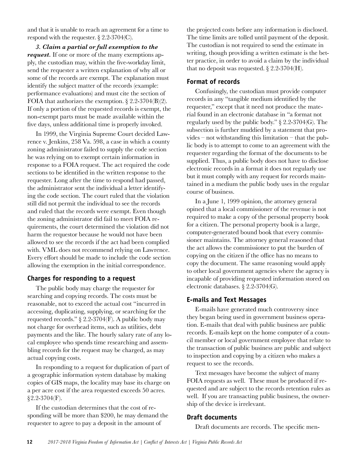and that it is unable to reach an agreement for a time to respond with the requester.  $\S 2.2$ -3704(C).

*3. Claim a partial or full exemption to the request.* If one or more of the many exemptions apply, the custodian may, within the five-workday limit, send the requester a written explanation of why all or some of the records are exempt. The explanation must identify the subject matter of the records (example: performance evaluations) and must cite the section of FOIA that authorizes the exemption. § 2.2-3704(B)(2). If only a portion of the requested records is exempt, the non-exempt parts must be made available within the five days, unless additional time is properly invoked.

In 1999, the Virginia Supreme Court decided Lawrence v. Jenkins, 258 Va. 598, a case in which a county zoning administrator failed to supply the code section he was relying on to exempt certain information in response to a FOIA request. The act required the code sections to be identified in the written response to the requester. Long after the time to respond had passed, the administrator sent the individual a letter identifying the code section. The court ruled that the violation still did not permit the individual to see the records and ruled that the records were exempt. Even though the zoning administrator did fail to meet FOIA requirements, the court determined the violation did not harm the requestor because he would not have been allowed to see the records if the act had been complied with. VML does not recommend relying on Lawrence. Every effort should be made to include the code section allowing the exemption in the initial correspondence.

#### **Charges for responding to a request**

The public body may charge the requester for searching and copying records. The costs must be reasonable, not to exceed the actual cost "incurred in accessing, duplicating, supplying, or searching for the requested records."  $\S 2.2$ -3704(F). A public body may not charge for overhead items, such as utilities, debt payments and the like. The hourly salary rate of any local employee who spends time researching and assembling records for the request may be charged, as may actual copying costs.

In responding to a request for duplication of part of a geographic information system database by making copies of GIS maps, the locality may base its charge on a per acre cost if the area requested exceeds 50 acres. §2.2-3704(F).

If the custodian determines that the cost of responding will be more than \$200, he may demand the requester to agree to pay a deposit in the amount of

the projected costs before any information is disclosed. The time limits are tolled until payment of the deposit. The custodian is not required to send the estimate in writing, though providing a written estimate is the better practice, in order to avoid a claim by the individual that no deposit was requested.  $\S 2.2$ -3704(H).

#### **Format of records**

Confusingly, the custodian must provide computer records in any "tangible medium identified by the requester," except that it need not produce the material found in an electronic database in "a format not regularly used by the public body." § 2.2-3704(G). The subsection is further muddied by a statement that pro $vides - not with standing this limitation - that the pub$ lic body is to attempt to come to an agreement with the requester regarding the format of the documents to be supplied. Thus, a public body does not have to disclose electronic records in a format it does not regularly use but it must comply with any request for records maintained in a medium the public body uses in the regular course of business.

In a June 1, 1999 opinion, the attorney general opined that a local commissioner of the revenue is not required to make a copy of the personal property book for a citizen. The personal property book is a large, computer-generated bound book that every commissioner maintains. The attorney general reasoned that the act allows the commissioner to put the burden of copying on the citizen if the office has no means to copy the document. The same reasoning would apply to other local government agencies where the agency is incapable of providing requested information stored on electronic databases. § 2.2-3704(G).

#### **E-mails and Text Messages**

E-mails have generated much controversy since they began being used in government business operation. E-mails that deal with public business are public records. E-mails kept on the home computer of a council member or local government employee that relate to the transaction of public business are public and subject to inspection and copying by a citizen who makes a request to see the records.

Text messages have become the subject of many FOIA requests as well. These must be produced if requested and are subject to the records retention rules as well. If you are transacting public business, the ownership of the device is irrelevant.

#### **Draft documents**

Draft documents are records. The specific men-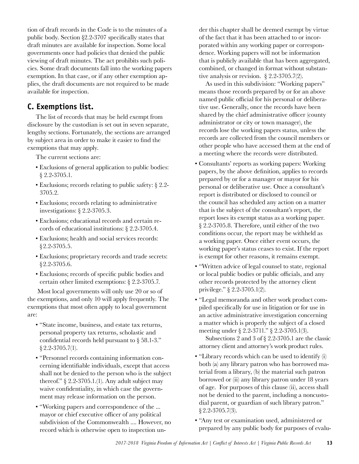tion of draft records in the Code is to the minutes of a public body. Section §2.2-3707 specifically states that draft minutes are available for inspection. Some local governments once had policies that denied the public viewing of draft minutes. The act prohibits such policies. Some draft documents fall into the working papers exemption. In that case, or if any other exemption applies, the draft documents are not required to be made available for inspection.

### **C. Exemptions list.**

The list of records that may be held exempt from disclosure by the custodian is set out in seven separate, lengthy sections. Fortunately, the sections are arranged by subject area in order to make it easier to find the exemptions that may apply.

The current sections are:

- Exclusions of general application to public bodies: § 2.2-3705.1.
- Exclusions; records relating to public safety: § 2.2- 3705.2.
- Exclusions; records relating to administrative investigations: § 2.2-3705.3.
- Exclusions; educational records and certain records of educational institutions: § 2.2-3705.4.
- Exclusions; health and social services records: §2.2-3705.5.
- Exclusions; proprietary records and trade secrets: §2.2-3705.6.
- Exclusions; records of specific public bodies and certain other limited exemptions: § 2.2-3705.7.

 Most local governments will only use 20 or so of the exemptions, and only 10 will apply frequently. The exemptions that most often apply to local government are:

- "State income, business, and estate tax returns, personal property tax returns, scholastic and confidential records held pursuant to § 58.1-3." § 2.2-3705.7(1).
- "Personnel records containing information concerning identifiable individuals, except that access shall not be denied to the person who is the subject thereof."  $\S 2.2-3705.1$ .(1). Any adult subject may waive confidentiality, in which case the government may release information on the person.
- "Working papers and correspondence of the ... mayor or chief executive officer of any political subdivision of the Commonwealth .... However, no record which is otherwise open to inspection un-

der this chapter shall be deemed exempt by virtue of the fact that it has been attached to or incorporated within any working paper or correspondence. Working papers will not be information that is publicly available that has been aggregated, combined, or changed in format without substantive analysis or revision. § 2.2-3705.7(2).

As used in this subdivision: "Working papers" means those records prepared by or for an above named public official for his personal or deliberative use. Generally, once the records have been shared by the chief administrative officer (county administrator or city or town manager), the records lose the working papers status, unless the records are collected from the council members or other people who have accessed them at the end of a meeting where the records were distributed.

- Consultants' reports as working papers: Working papers, by the above definition, applies to records prepared by or for a manager or mayor for his personal or deliberative use. Once a consultant's report is distributed or disclosed to council or the council has scheduled any action on a matter that is the subject of the consultant's report, the report loses its exempt status as a working paper. § 2.2-3705.8. Therefore, until either of the two conditions occur, the report may be withheld as a working paper. Once either event occurs, the working paper's status ceases to exist. If the report is exempt for other reasons, it remains exempt.
- "Written advice of legal counsel to state, regional or local public bodies or public officials, and any other records protected by the attorney client privilege." § 2.2-3705.1(2).
- "Legal memoranda and other work product compiled specifically for use in litigation or for use in an active administrative investigation concerning a matter which is properly the subject of a closed meeting under § 2.2-3711." § 2.2-3705.1(3).

Subsections 2 and 3 of § 2.2-3705.1 are the classic attorney client and attorney's work product rules.

- "Library records which can be used to identify (i) both (a) any library patron who has borrowed material from a library, (b) the material such patron borrowed or (ii) any library patron under 18 years of age. For purposes of this clause (ii), access shall not be denied to the parent, including a noncustodial parent, or guardian of such library patron." § 2.2-3705.7(3).
- "Any test or examination used, administered or prepared by any public body for purposes of evalu-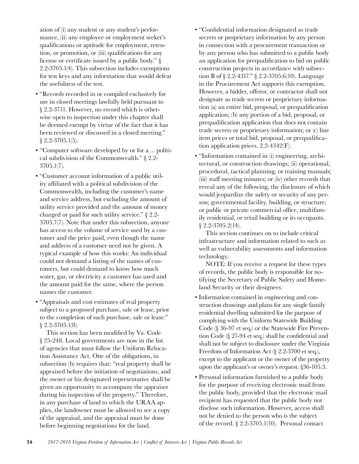ation of (i) any student or any student's performance, (ii) any employee or employment seeker's qualifications or aptitude for employment, retention, or promotion, or (iii) qualifications for any license or certificate issued by a public body." § 2.2-3705.1(4). This subsection includes exemptions for test keys and any information that would defeat the usefulness of the test.

- "Records recorded in or compiled exclusively for use in closed meetings lawfully held pursuant to § 2.2-3711. However, no record which is otherwise open to inspection under this chapter shall be deemed exempt by virtue of the fact that it has been reviewed or discussed in a closed meeting." § 2.2-3705.1(5).
- "Computer software developed by or for a ... political subdivision of the Commonwealth." § 2.2- 3705.1(7).
- "Customer account information of a public utility affiliated with a political subdivision of the Commonwealth, including the customer's name and service address, but excluding the amount of utility service provided and the amount of money charged or paid for such utility service." § 2.2- 3705.7(7). Note that under this subsection, anyone has access to the volume of service used by a customer and the price paid, even though the name and address of a customer need not be given. A typical example of how this works: An individual could not demand a listing of the names of customers, but could demand to know how much water, gas, or electricity a customer has used and the amount paid for the same, where the person names the customer.
- "Appraisals and cost estimates of real property subject to a proposed purchase, sale or lease, prior to the completion of such purchase, sale or lease." § 2.2-3705.1(8).

This section has been modified by Va. Code § 25-248. Local governments are now in the list of agencies that must follow the Uniform Relocation Assistance Act. One of the obligations, in subsection (b) requires that: "real property shall be appraised before the initiation of negotiations, and the owner or his designated representative shall be given an opportunity to accompany the appraiser during his inspection of the property." Therefore, in any purchase of land to which the URAA applies, the landowner must be allowed to see a copy of the appraisal, and the appraisal must be done before beginning negotiations for the land.

- "Confidential information designated as trade secrets or proprietary information by any person in connection with a procurement transaction or by any person who has submitted to a public body an application for prequalification to bid on public construction projects in accordance with subsection B of § 2.2-4317." § 2.2-3705.6(10). Language in the Procurement Act supports this exemption. However, a bidder, offeror, or contractor shall not designate as trade secrets or proprietary information (a) an entire bid, proposal, or prequalification application; (b) any portion of a bid, proposal, or prequalification application that does not contain trade secrets or proprietary information; or (c) line item prices or total bid, proposal, or prequalification application prices. 2.2-4342(F).
- "Information contained in (i) engineering, architectural, or construction drawings; (ii) operational, procedural, tactical planning, or training manuals; (iii) staff meeting minutes; or (iv) other records that reveal any of the following, the disclosure of which would jeopardize the safety or security of any person; governmental facility, building, or structure; or public or private commercial office, multifamily residential, or retail building or its occupants. § 2.2-3705.2(14).

This section continues on to include critical infrastructure and information related to such as well as vulnerability assessments and information technology.

NOTE: If you receive a request for these types of records, the public body is responsible for notifying the Secretary of Public Safety and Homeland Security or their designees.

- Information contained in engineering and construction drawings and plans for any single family residential dwelling submitted for the purpose of complying with the Uniform Statewide Building Code (§ 36-97 et seq.) or the Statewide Fire Prevention Code (§ 27-94 et seq.) shall be confidential and shall not be subject to disclosure under the Virginia Freedom of Information Act (§ 2.2-3700 et seq.), except to the applicant or the owner of the property upon the applicant's or owner's request. §36-105.3.
- Personal information furnished to a public body for the purpose of receiving electronic mail from the public body, provided that the electronic mail recipient has requested that the public body not disclose such information. However, access shall not be denied to the person who is the subject of the record. § 2.2-3705.1(10). Personal contact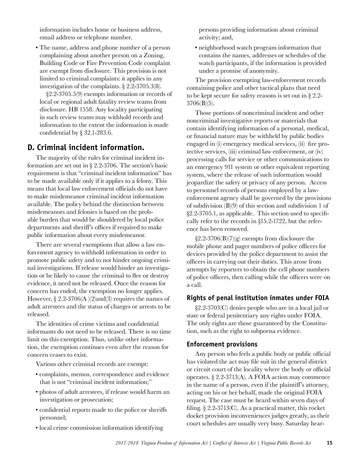information includes home or business address, email address or telephone number.

• The name, address and phone number of a person complaining about another person on a Zoning, Building Code or Fire Prevention Code complaint are exempt from disclosure. This provision is not limited to criminal complaints: it applies in any investigation of the complaints. § 2.2-3705.3(8).

§2.2-3705.5(9) exempts information or records of local or regional adult fatality review teams from disclosure. HB 1558. Any locality participating in such review teams may withhold records and information to the extent the information is made confidential by § 32.1-283.6.

#### **D. Criminal incident information.**

The majority of the rules for criminal incident information are set out in  $\S 2.2$ -3706. The section's basic requirement is that "criminal incident information" has to be made available only if it applies to a felony. This means that local law enforcement officials do not have to make misdemeanor criminal incident information available. The policy behind the distinction between misdemeanors and felonies is based on the probable burden that would be shouldered by local police departments and sheriff's offices if required to make public information about every misdemeanor.

There are several exemptions that allow a law enforcement agency to withhold information in order to promote public safety and to not hinder ongoing criminal investigations. If release would hinder an investigation or be likely to cause the criminal to flee or destroy evidence, it need not be released. Once the reason for concern has ended, the exemption no longer applies. However,  $\S 2.2$ -3706(A)(2)and(3) requires the names of adult arrestees and the status of charges or arrests to be released.

The identities of crime victims and confidential informants do not need to be released. There is no time limit on this exemption. Thus, unlike other information, the exemption continues even after the reason for concern ceases to exist.

Various other criminal records are exempt:

- complaints, memos, correspondence and evidence that is not "criminal incident information;"
- photos of adult arrestees, if release would harm an investigation or prosecution;
- confidential reports made to the police or sheriffs personnel;
- local crime commission information identifying

persons providing information about criminal activity; and,

• neighborhood watch program information that contains the names, addresses or schedules of the watch participants, if the information is provided under a promise of anonymity.

The provision exempting law-enforcement records containing police and other tactical plans that need to be kept secure for safety reasons is set out in § 2.2- 3706(B)(5).

Those portions of noncriminal incident and other noncriminal investigative reports or materials that contain identifying information of a personal, medical, or financial nature may be withheld by public bodies engaged in (i) emergency medical services, (ii) fire protective services, (iii) criminal law enforcement, or (iv) processing calls for service or other communications to an emergency 911 system or other equivalent reporting system, where the release of such information would jeopardize the safety or privacy of any person. Access to personnel records of persons employed by a lawenforcement agency shall be governed by the provisions of subdivision (B)(9) of this section and subdivision 1 of §2.2-3705.1, as applicable. This section used to specifically refer to the records in §15.2-1722, but the reference has been removed.

 $\S2.2$ -3706(B)(7)(g) exempts from disclosure the mobile phone and pager numbers of police officers for devices provided by the police department to assist the officers in carrying out their duties. This arose from attempts by reporters to obtain the cell phone numbers of police officers, then calling while the officers were on a call.

#### **Rights of penal institution inmates under FOIA**

§2.2-3703(C) denies people who are in a local jail or state or federal penitentiary any rights under FOIA. The only rights are those guaranteed by the Constitution, such as the right to subpoena evidence.

#### **Enforcement provisions**

Any person who feels a public body or public official has violated the act may file suit in the general district or circuit court of the locality where the body or official operates. § 2.2-3713(A). A FOIA action may commence in the name of a person, even if the plaintiff's attorney, acting on his or her behalf, made the original FOIA request. The case must be heard within seven days of filing.  $\S 2.2$ -3713(C). As a practical matter, this rocket docket provision inconveniences judges greatly, as their court schedules are usually very busy. Saturday hear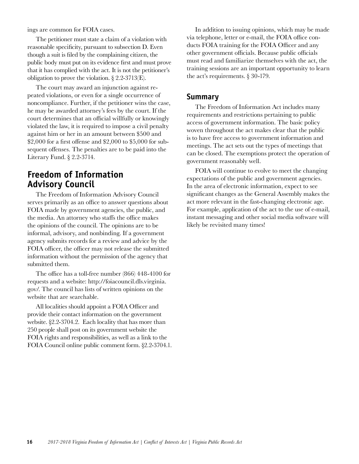ings are common for FOIA cases.

The petitioner must state a claim of a violation with reasonable specificity, pursuant to subsection D. Even though a suit is filed by the complaining citizen, the public body must put on its evidence first and must prove that it has complied with the act. It is not the petitioner's obligation to prove the violation.  $\S 2.2$ -3713(E).

The court may award an injunction against repeated violations, or even for a single occurrence of noncompliance. Further, if the petitioner wins the case, he may be awarded attorney's fees by the court. If the court determines that an official willfully or knowingly violated the law, it is required to impose a civil penalty against him or her in an amount between \$500 and \$2,000 for a first offense and \$2,000 to \$5,000 for subsequent offenses. The penalties are to be paid into the Literary Fund. § 2.2-3714.

## **Freedom of Information Advisory Council**

The Freedom of Information Advisory Council serves primarily as an office to answer questions about FOIA made by government agencies, the public, and the media. An attorney who staffs the office makes the opinions of the council. The opinions are to be informal, advisory, and nonbinding. If a government agency submits records for a review and advice by the FOIA officer, the officer may not release the submitted information without the permission of the agency that submitted them.

The office has a toll-free number (866) 448-4100 for requests and a website: http://foiacouncil.dls.virginia. gov/. The council has lists of written opinions on the website that are searchable.

All localities should appoint a FOIA Officer and provide their contact information on the government website. §2.2-3704.2. Each locality that has more than 250 people shall post on its government website the FOIA rights and responsibilities, as well as a link to the FOIA Council online public comment form. §2.2-3704.1.

In addition to issuing opinions, which may be made via telephone, letter or e-mail, the FOIA office conducts FOIA training for the FOIA Officer and any other government officials. Because public officials must read and familiarize themselves with the act, the training sessions are an important opportunity to learn the act's requirements. § 30-179.

#### **Summary**

The Freedom of Information Act includes many requirements and restrictions pertaining to public access of government information. The basic policy woven throughout the act makes clear that the public is to have free access to government information and meetings. The act sets out the types of meetings that can be closed. The exemptions protect the operation of government reasonably well.

FOIA will continue to evolve to meet the changing expectations of the public and government agencies. In the area of electronic information, expect to see significant changes as the General Assembly makes the act more relevant in the fast-changing electronic age. For example, application of the act to the use of e-mail, instant messaging and other social media software will likely be revisited many times!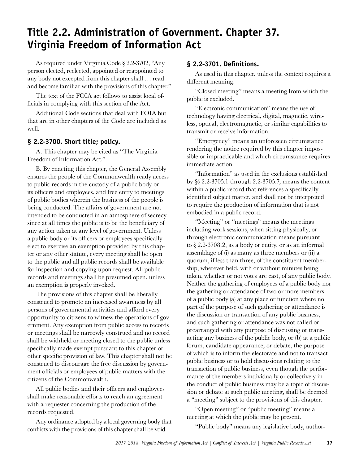# **Title 2.2. Administration of Government. Chapter 37. Virginia Freedom of Information Act**

As required under Virginia Code § 2.2-3702, "Any person elected, reelected, appointed or reappointed to any body not excepted from this chapter shall … read and become familiar with the provisions of this chapter."

The text of the FOIA act follows to assist local officials in complying with this section of the Act.

Additional Code sections that deal with FOIA but that are in other chapters of the Code are included as well.

#### **§ 2.2-3700. Short title; policy.**

A. This chapter may be cited as "The Virginia Freedom of Information Act."

B. By enacting this chapter, the General Assembly ensures the people of the Commonwealth ready access to public records in the custody of a public body or its officers and employees, and free entry to meetings of public bodies wherein the business of the people is being conducted. The affairs of government are not intended to be conducted in an atmosphere of secrecy since at all times the public is to be the beneficiary of any action taken at any level of government. Unless a public body or its officers or employees specifically elect to exercise an exemption provided by this chapter or any other statute, every meeting shall be open to the public and all public records shall be available for inspection and copying upon request. All public records and meetings shall be presumed open, unless an exemption is properly invoked.

The provisions of this chapter shall be liberally construed to promote an increased awareness by all persons of governmental activities and afford every opportunity to citizens to witness the operations of government. Any exemption from public access to records or meetings shall be narrowly construed and no record shall be withheld or meeting closed to the public unless specifically made exempt pursuant to this chapter or other specific provision of law. This chapter shall not be construed to discourage the free discussion by government officials or employees of public matters with the citizens of the Commonwealth.

All public bodies and their officers and employees shall make reasonable efforts to reach an agreement with a requester concerning the production of the records requested.

Any ordinance adopted by a local governing body that conflicts with the provisions of this chapter shall be void.

#### **§ 2.2-3701. Definitions.**

As used in this chapter, unless the context requires a different meaning:

"Closed meeting" means a meeting from which the public is excluded.

"Electronic communication" means the use of technology having electrical, digital, magnetic, wireless, optical, electromagnetic, or similar capabilities to transmit or receive information.

"Emergency" means an unforeseen circumstance rendering the notice required by this chapter impossible or impracticable and which circumstance requires immediate action.

"Information" as used in the exclusions established by §§ 2.2-3705.1 through 2.2-3705.7, means the content within a public record that references a specifically identified subject matter, and shall not be interpreted to require the production of information that is not embodied in a public record.

"Meeting" or "meetings" means the meetings including work sessions, when sitting physically, or through electronic communication means pursuant to  $\S$  2.2-3708.2, as a body or entity, or as an informal assemblage of (i) as many as three members or (ii) a quorum, if less than three, of the constituent membership, wherever held, with or without minutes being taken, whether or not votes are cast, of any public body. Neither the gathering of employees of a public body nor the gathering or attendance of two or more members of a public body (a) at any place or function where no part of the purpose of such gathering or attendance is the discussion or transaction of any public business, and such gathering or attendance was not called or prearranged with any purpose of discussing or transacting any business of the public body, or (b) at a public forum, candidate appearance, or debate, the purpose of which is to inform the electorate and not to transact public business or to hold discussions relating to the transaction of public business, even though the performance of the members individually or collectively in the conduct of public business may be a topic of discussion or debate at such public meeting, shall be deemed a "meeting" subject to the provisions of this chapter.

"Open meeting" or "public meeting" means a meeting at which the public may be present.

"Public body" means any legislative body, author-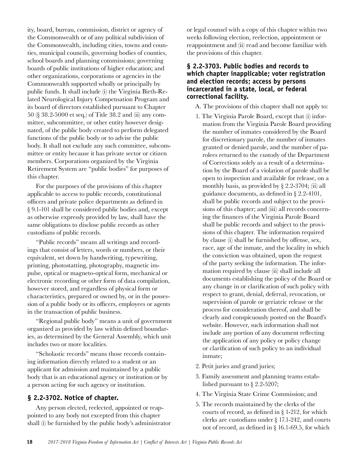ity, board, bureau, commission, district or agency of the Commonwealth or of any political subdivision of the Commonwealth, including cities, towns and counties, municipal councils, governing bodies of counties, school boards and planning commissions; governing boards of public institutions of higher education; and other organizations, corporations or agencies in the Commonwealth supported wholly or principally by public funds. It shall include (i) the Virginia Birth-Related Neurological Injury Compensation Program and its board of directors established pursuant to Chapter 50 (§ 38.2-5000 et seq.) of Title 38.2 and (ii) any committee, subcommittee, or other entity however designated, of the public body created to perform delegated functions of the public body or to advise the public body. It shall not exclude any such committee, subcommittee or entity because it has private sector or citizen members. Corporations organized by the Virginia Retirement System are "public bodies" for purposes of this chapter.

For the purposes of the provisions of this chapter applicable to access to public records, constitutional officers and private police departments as defined in § 9.1-101 shall be considered public bodies and, except as otherwise expressly provided by law, shall have the same obligations to disclose public records as other custodians of public records.

"Public records" means all writings and recordings that consist of letters, words or numbers, or their equivalent, set down by handwriting, typewriting, printing, photostatting, photography, magnetic impulse, optical or magneto-optical form, mechanical or electronic recording or other form of data compilation, however stored, and regardless of physical form or characteristics, prepared or owned by, or in the possession of a public body or its officers, employees or agents in the transaction of public business.

"Regional public body" means a unit of government organized as provided by law within defined boundaries, as determined by the General Assembly, which unit includes two or more localities.

"Scholastic records" means those records containing information directly related to a student or an applicant for admission and maintained by a public body that is an educational agency or institution or by a person acting for such agency or institution.

#### **§ 2.2-3702. Notice of chapter.**

Any person elected, reelected, appointed or reappointed to any body not excepted from this chapter shall (i) be furnished by the public body's administrator or legal counsel with a copy of this chapter within two weeks following election, reelection, appointment or reappointment and (ii) read and become familiar with the provisions of this chapter.

#### **§ 2.2-3703. Public bodies and records to which chapter inapplicable; voter registration and election records; access by persons incarcerated in a state, local, or federal correctional facility.**

A. The provisions of this chapter shall not apply to:

- 1. The Virginia Parole Board, except that (i) information from the Virginia Parole Board providing the number of inmates considered by the Board for discretionary parole, the number of inmates granted or denied parole, and the number of parolees returned to the custody of the Department of Corrections solely as a result of a determination by the Board of a violation of parole shall be open to inspection and available for release, on a monthly basis, as provided by  $\S 2.2$ -3704; (ii) all guidance documents, as defined in § 2.2-4101, shall be public records and subject to the provisions of this chapter; and (iii) all records concerning the finances of the Virginia Parole Board shall be public records and subject to the provisions of this chapter. The information required by clause (i) shall be furnished by offense, sex, race, age of the inmate, and the locality in which the conviction was obtained, upon the request of the party seeking the information. The information required by clause (ii) shall include all documents establishing the policy of the Board or any change in or clarification of such policy with respect to grant, denial, deferral, revocation, or supervision of parole or geriatric release or the process for consideration thereof, and shall be clearly and conspicuously posted on the Board's website. However, such information shall not include any portion of any document reflecting the application of any policy or policy change or clarification of such policy to an individual inmate;
- 2. Petit juries and grand juries;
- 3. Family assessment and planning teams established pursuant to § 2.2-5207;
- 4. The Virginia State Crime Commission; and
- 5. The records maintained by the clerks of the courts of record, as defined in § 1-212, for which clerks are custodians under § 17.1-242, and courts not of record, as defined in § 16.1-69.5, for which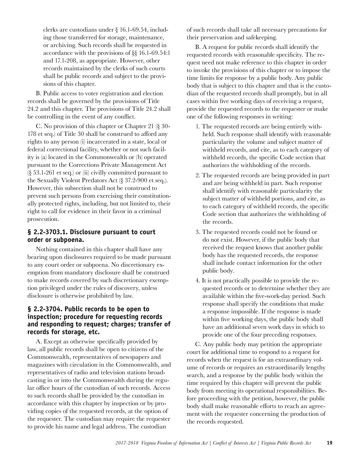clerks are custodians under § 16.1-69.54, including those transferred for storage, maintenance, or archiving. Such records shall be requested in accordance with the provisions of §§ 16.1-69.54:1 and 17.1-208, as appropriate. However, other records maintained by the clerks of such courts shall be public records and subject to the provisions of this chapter.

B. Public access to voter registration and election records shall be governed by the provisions of Title 24.2 and this chapter. The provisions of Title 24.2 shall be controlling in the event of any conflict.

C. No provision of this chapter or Chapter 21 (§ 30- 178 et seq.) of Title 30 shall be construed to afford any rights to any person (i) incarcerated in a state, local or federal correctional facility, whether or not such facility is (a) located in the Commonwealth or (b) operated pursuant to the Corrections Private Management Act (§ 53.1-261 et seq.) or (ii) civilly committed pursuant to the Sexually Violent Predators Act (§ 37.2-900 et seq.). However, this subsection shall not be construed to prevent such persons from exercising their constitutionally protected rights, including, but not limited to, their right to call for evidence in their favor in a criminal prosecution.

#### **§ 2.2-3703.1. Disclosure pursuant to court order or subpoena.**

Nothing contained in this chapter shall have any bearing upon disclosures required to be made pursuant to any court order or subpoena. No discretionary exemption from mandatory disclosure shall be construed to make records covered by such discretionary exemption privileged under the rules of discovery, unless disclosure is otherwise prohibited by law.

#### **§ 2.2-3704. Public records to be open to inspection; procedure for requesting records and responding to request; charges; transfer of records for storage, etc.**

A. Except as otherwise specifically provided by law, all public records shall be open to citizens of the Commonwealth, representatives of newspapers and magazines with circulation in the Commonwealth, and representatives of radio and television stations broadcasting in or into the Commonwealth during the regular office hours of the custodian of such records. Access to such records shall be provided by the custodian in accordance with this chapter by inspection or by providing copies of the requested records, at the option of the requester. The custodian may require the requester to provide his name and legal address. The custodian

of such records shall take all necessary precautions for their preservation and safekeeping.

B. A request for public records shall identify the requested records with reasonable specificity. The request need not make reference to this chapter in order to invoke the provisions of this chapter or to impose the time limits for response by a public body. Any public body that is subject to this chapter and that is the custodian of the requested records shall promptly, but in all cases within five working days of receiving a request, provide the requested records to the requester or make one of the following responses in writing:

- 1. The requested records are being entirely withheld. Such response shall identify with reasonable particularity the volume and subject matter of withheld records, and cite, as to each category of withheld records, the specific Code section that authorizes the withholding of the records.
- 2. The requested records are being provided in part and are being withheld in part. Such response shall identify with reasonable particularity the subject matter of withheld portions, and cite, as to each category of withheld records, the specific Code section that authorizes the withholding of the records.
- 3. The requested records could not be found or do not exist. However, if the public body that received the request knows that another public body has the requested records, the response shall include contact information for the other public body.
- 4. It is not practically possible to provide the requested records or to determine whether they are available within the five-work-day period. Such response shall specify the conditions that make a response impossible. If the response is made within five working days, the public body shall have an additional seven work days in which to provide one of the four preceding responses.

C. Any public body may petition the appropriate court for additional time to respond to a request for records when the request is for an extraordinary volume of records or requires an extraordinarily lengthy search, and a response by the public body within the time required by this chapter will prevent the public body from meeting its operational responsibilities. Before proceeding with the petition, however, the public body shall make reasonable efforts to reach an agreement with the requester concerning the production of the records requested.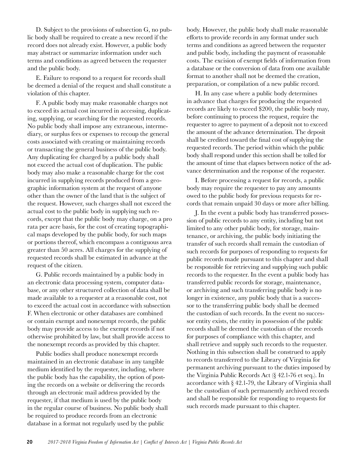D. Subject to the provisions of subsection G, no public body shall be required to create a new record if the record does not already exist. However, a public body may abstract or summarize information under such terms and conditions as agreed between the requester and the public body.

E. Failure to respond to a request for records shall be deemed a denial of the request and shall constitute a violation of this chapter.

F. A public body may make reasonable charges not to exceed its actual cost incurred in accessing, duplicating, supplying, or searching for the requested records. No public body shall impose any extraneous, intermediary, or surplus fees or expenses to recoup the general costs associated with creating or maintaining records or transacting the general business of the public body. Any duplicating fee charged by a public body shall not exceed the actual cost of duplication. The public body may also make a reasonable charge for the cost incurred in supplying records produced from a geographic information system at the request of anyone other than the owner of the land that is the subject of the request. However, such charges shall not exceed the actual cost to the public body in supplying such records, except that the public body may charge, on a pro rata per acre basis, for the cost of creating topographical maps developed by the public body, for such maps or portions thereof, which encompass a contiguous area greater than 50 acres. All charges for the supplying of requested records shall be estimated in advance at the request of the citizen.

G. Public records maintained by a public body in an electronic data processing system, computer database, or any other structured collection of data shall be made available to a requester at a reasonable cost, not to exceed the actual cost in accordance with subsection F. When electronic or other databases are combined or contain exempt and nonexempt records, the public body may provide access to the exempt records if not otherwise prohibited by law, but shall provide access to the nonexempt records as provided by this chapter.

Public bodies shall produce nonexempt records maintained in an electronic database in any tangible medium identified by the requester, including, where the public body has the capability, the option of posting the records on a website or delivering the records through an electronic mail address provided by the requester, if that medium is used by the public body in the regular course of business. No public body shall be required to produce records from an electronic database in a format not regularly used by the public

body. However, the public body shall make reasonable efforts to provide records in any format under such terms and conditions as agreed between the requester and public body, including the payment of reasonable costs. The excision of exempt fields of information from a database or the conversion of data from one available format to another shall not be deemed the creation, preparation, or compilation of a new public record.

H. In any case where a public body determines in advance that charges for producing the requested records are likely to exceed \$200, the public body may, before continuing to process the request, require the requester to agree to payment of a deposit not to exceed the amount of the advance determination. The deposit shall be credited toward the final cost of supplying the requested records. The period within which the public body shall respond under this section shall be tolled for the amount of time that elapses between notice of the advance determination and the response of the requester.

I. Before processing a request for records, a public body may require the requester to pay any amounts owed to the public body for previous requests for records that remain unpaid 30 days or more after billing.

J. In the event a public body has transferred possession of public records to any entity, including but not limited to any other public body, for storage, maintenance, or archiving, the public body initiating the transfer of such records shall remain the custodian of such records for purposes of responding to requests for public records made pursuant to this chapter and shall be responsible for retrieving and supplying such public records to the requester. In the event a public body has transferred public records for storage, maintenance, or archiving and such transferring public body is no longer in existence, any public body that is a successor to the transferring public body shall be deemed the custodian of such records. In the event no successor entity exists, the entity in possession of the public records shall be deemed the custodian of the records for purposes of compliance with this chapter, and shall retrieve and supply such records to the requester. Nothing in this subsection shall be construed to apply to records transferred to the Library of Virginia for permanent archiving pursuant to the duties imposed by the Virginia Public Records Act (§ 42.1-76 et seq.). In accordance with § 42.1-79, the Library of Virginia shall be the custodian of such permanently archived records and shall be responsible for responding to requests for such records made pursuant to this chapter.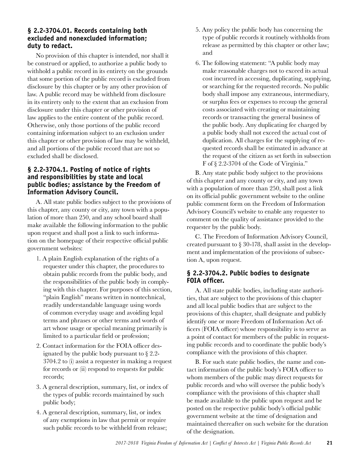#### **§ 2.2-3704.01. Records containing both excluded and nonexcluded information; duty to redact.**

No provision of this chapter is intended, nor shall it be construed or applied, to authorize a public body to withhold a public record in its entirety on the grounds that some portion of the public record is excluded from disclosure by this chapter or by any other provision of law. A public record may be withheld from disclosure in its entirety only to the extent that an exclusion from disclosure under this chapter or other provision of law applies to the entire content of the public record. Otherwise, only those portions of the public record containing information subject to an exclusion under this chapter or other provision of law may be withheld, and all portions of the public record that are not so excluded shall be disclosed.

#### **§ 2.2-3704.1. Posting of notice of rights and responsibilities by state and local public bodies; assistance by the Freedom of Information Advisory Council.**

A. All state public bodies subject to the provisions of this chapter, any county or city, any town with a population of more than 250, and any school board shall make available the following information to the public upon request and shall post a link to such information on the homepage of their respective official public government websites:

- 1. A plain English explanation of the rights of a requester under this chapter, the procedures to obtain public records from the public body, and the responsibilities of the public body in complying with this chapter. For purposes of this section, "plain English" means written in nontechnical, readily understandable language using words of common everyday usage and avoiding legal terms and phrases or other terms and words of art whose usage or special meaning primarily is limited to a particular field or profession;
- 2. Contact information for the FOIA officer designated by the public body pursuant to § 2.2- 3704.2 to (i) assist a requester in making a request for records or (ii) respond to requests for public records;
- 3. A general description, summary, list, or index of the types of public records maintained by such public body;
- 4. A general description, summary, list, or index of any exemptions in law that permit or require such public records to be withheld from release;
- 5. Any policy the public body has concerning the type of public records it routinely withholds from release as permitted by this chapter or other law; and
- 6. The following statement: "A public body may make reasonable charges not to exceed its actual cost incurred in accessing, duplicating, supplying, or searching for the requested records. No public body shall impose any extraneous, intermediary, or surplus fees or expenses to recoup the general costs associated with creating or maintaining records or transacting the general business of the public body. Any duplicating fee charged by a public body shall not exceed the actual cost of duplication. All charges for the supplying of requested records shall be estimated in advance at the request of the citizen as set forth in subsection F of § 2.2-3704 of the Code of Virginia."

B. Any state public body subject to the provisions of this chapter and any county or city, and any town with a population of more than 250, shall post a link on its official public government website to the online public comment form on the Freedom of Information Advisory Council's website to enable any requester to comment on the quality of assistance provided to the requester by the public body.

C. The Freedom of Information Advisory Council, created pursuant to § 30-178, shall assist in the development and implementation of the provisions of subsection A, upon request.

#### **§ 2.2-3704.2. Public bodies to designate FOIA officer.**

A. All state public bodies, including state authorities, that are subject to the provisions of this chapter and all local public bodies that are subject to the provisions of this chapter, shall designate and publicly identify one or more Freedom of Information Act officers (FOIA officer) whose responsibility is to serve as a point of contact for members of the public in requesting public records and to coordinate the public body's compliance with the provisions of this chapter.

B. For such state public bodies, the name and contact information of the public body's FOIA officer to whom members of the public may direct requests for public records and who will oversee the public body's compliance with the provisions of this chapter shall be made available to the public upon request and be posted on the respective public body's official public government website at the time of designation and maintained thereafter on such website for the duration of the designation.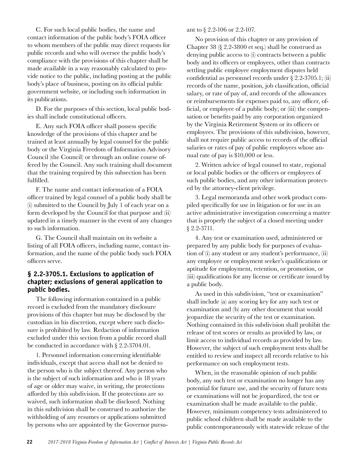C. For such local public bodies, the name and contact information of the public body's FOIA officer to whom members of the public may direct requests for public records and who will oversee the public body's compliance with the provisions of this chapter shall be made available in a way reasonably calculated to provide notice to the public, including posting at the public body's place of business, posting on its official public government website, or including such information in its publications.

D. For the purposes of this section, local public bodies shall include constitutional officers.

E. Any such FOIA officer shall possess specific knowledge of the provisions of this chapter and be trained at least annually by legal counsel for the public body or the Virginia Freedom of Information Advisory Council (the Council) or through an online course offered by the Council. Any such training shall document that the training required by this subsection has been fulfilled.

F. The name and contact information of a FOIA officer trained by legal counsel of a public body shall be (i) submitted to the Council by July 1 of each year on a form developed by the Council for that purpose and (ii) updated in a timely manner in the event of any changes to such information.

G. The Council shall maintain on its website a listing of all FOIA officers, including name, contact information, and the name of the public body such FOIA officers serve.

#### **§ 2.2-3705.1. Exclusions to application of chapter; exclusions of general application to public bodies.**

The following information contained in a public record is excluded from the mandatory disclosure provisions of this chapter but may be disclosed by the custodian in his discretion, except where such disclosure is prohibited by law. Redaction of information excluded under this section from a public record shall be conducted in accordance with § 2.2-3704.01.

1. Personnel information concerning identifiable individuals, except that access shall not be denied to the person who is the subject thereof. Any person who is the subject of such information and who is 18 years of age or older may waive, in writing, the protections afforded by this subdivision. If the protections are so waived, such information shall be disclosed. Nothing in this subdivision shall be construed to authorize the withholding of any resumes or applications submitted by persons who are appointed by the Governor pursuant to § 2.2-106 or 2.2-107.

No provision of this chapter or any provision of Chapter 38 (§ 2.2-3800 et seq.) shall be construed as denying public access to (i) contracts between a public body and its officers or employees, other than contracts settling public employee employment disputes held confidential as personnel records under § 2.2-3705.1; (ii) records of the name, position, job classification, official salary, or rate of pay of, and records of the allowances or reimbursements for expenses paid to, any officer, official, or employee of a public body; or (iii) the compensation or benefits paid by any corporation organized by the Virginia Retirement System or its officers or employees. The provisions of this subdivision, however, shall not require public access to records of the official salaries or rates of pay of public employees whose annual rate of pay is \$10,000 or less.

2. Written advice of legal counsel to state, regional or local public bodies or the officers or employees of such public bodies, and any other information protected by the attorney-client privilege.

3. Legal memoranda and other work product compiled specifically for use in litigation or for use in an active administrative investigation concerning a matter that is properly the subject of a closed meeting under § 2.2-3711.

4. Any test or examination used, administered or prepared by any public body for purposes of evaluation of (i) any student or any student's performance, (ii) any employee or employment seeker's qualifications or aptitude for employment, retention, or promotion, or (iii) qualifications for any license or certificate issued by a public body.

As used in this subdivision, "test or examination" shall include (a) any scoring key for any such test or examination and (b) any other document that would jeopardize the security of the test or examination. Nothing contained in this subdivision shall prohibit the release of test scores or results as provided by law, or limit access to individual records as provided by law. However, the subject of such employment tests shall be entitled to review and inspect all records relative to his performance on such employment tests.

When, in the reasonable opinion of such public body, any such test or examination no longer has any potential for future use, and the security of future tests or examinations will not be jeopardized, the test or examination shall be made available to the public. However, minimum competency tests administered to public school children shall be made available to the public contemporaneously with statewide release of the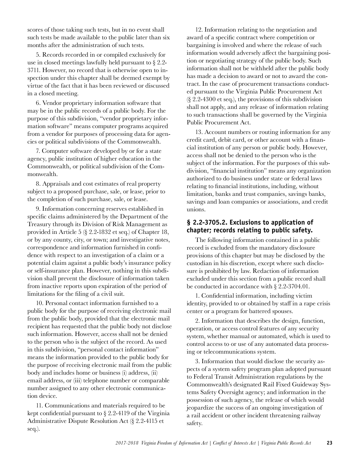scores of those taking such tests, but in no event shall such tests be made available to the public later than six months after the administration of such tests.

5. Records recorded in or compiled exclusively for use in closed meetings lawfully held pursuant to § 2.2- 3711. However, no record that is otherwise open to inspection under this chapter shall be deemed exempt by virtue of the fact that it has been reviewed or discussed in a closed meeting.

6. Vendor proprietary information software that may be in the public records of a public body. For the purpose of this subdivision, "vendor proprietary information software" means computer programs acquired from a vendor for purposes of processing data for agencies or political subdivisions of the Commonwealth.

7. Computer software developed by or for a state agency, public institution of higher education in the Commonwealth, or political subdivision of the Commonwealth.

8. Appraisals and cost estimates of real property subject to a proposed purchase, sale, or lease, prior to the completion of such purchase, sale, or lease.

9. Information concerning reserves established in specific claims administered by the Department of the Treasury through its Division of Risk Management as provided in Article 5 (§ 2.2-1832 et seq.) of Chapter 18, or by any county, city, or town; and investigative notes, correspondence and information furnished in confidence with respect to an investigation of a claim or a potential claim against a public body's insurance policy or self-insurance plan. However, nothing in this subdivision shall prevent the disclosure of information taken from inactive reports upon expiration of the period of limitations for the filing of a civil suit.

10. Personal contact information furnished to a public body for the purpose of receiving electronic mail from the public body, provided that the electronic mail recipient has requested that the public body not disclose such information. However, access shall not be denied to the person who is the subject of the record. As used in this subdivision, "personal contact information" means the information provided to the public body for the purpose of receiving electronic mail from the public body and includes home or business (i) address, (ii) email address, or (iii) telephone number or comparable number assigned to any other electronic communication device.

11. Communications and materials required to be kept confidential pursuant to § 2.2-4119 of the Virginia Administrative Dispute Resolution Act (§ 2.2-4115 et seq.).

12. Information relating to the negotiation and award of a specific contract where competition or bargaining is involved and where the release of such information would adversely affect the bargaining position or negotiating strategy of the public body. Such information shall not be withheld after the public body has made a decision to award or not to award the contract. In the case of procurement transactions conducted pursuant to the Virginia Public Procurement Act (§ 2.2-4300 et seq.), the provisions of this subdivision shall not apply, and any release of information relating to such transactions shall be governed by the Virginia Public Procurement Act.

13. Account numbers or routing information for any credit card, debit card, or other account with a financial institution of any person or public body. However, access shall not be denied to the person who is the subject of the information. For the purposes of this subdivision, "financial institution" means any organization authorized to do business under state or federal laws relating to financial institutions, including, without limitation, banks and trust companies, savings banks, savings and loan companies or associations, and credit unions.

#### **§ 2.2-3705.2. Exclusions to application of chapter; records relating to public safety.**

The following information contained in a public record is excluded from the mandatory disclosure provisions of this chapter but may be disclosed by the custodian in his discretion, except where such disclosure is prohibited by law. Redaction of information excluded under this section from a public record shall be conducted in accordance with § 2.2-3704.01.

1. Confidential information, including victim identity, provided to or obtained by staff in a rape crisis center or a program for battered spouses.

2. Information that describes the design, function, operation, or access control features of any security system, whether manual or automated, which is used to control access to or use of any automated data processing or telecommunications system.

3. Information that would disclose the security aspects of a system safety program plan adopted pursuant to Federal Transit Administration regulations by the Commonwealth's designated Rail Fixed Guideway Systems Safety Oversight agency; and information in the possession of such agency, the release of which would jeopardize the success of an ongoing investigation of a rail accident or other incident threatening railway safety.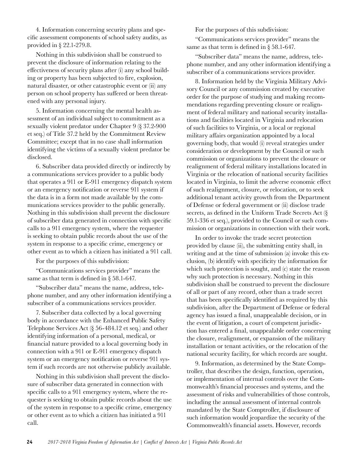4. Information concerning security plans and specific assessment components of school safety audits, as provided in § 22.1-279.8.

Nothing in this subdivision shall be construed to prevent the disclosure of information relating to the effectiveness of security plans after (i) any school building or property has been subjected to fire, explosion, natural disaster, or other catastrophic event or (ii) any person on school property has suffered or been threatened with any personal injury.

5. Information concerning the mental health assessment of an individual subject to commitment as a sexually violent predator under Chapter 9 (§ 37.2-900 et seq.) of Title 37.2 held by the Commitment Review Committee; except that in no case shall information identifying the victims of a sexually violent predator be disclosed.

6. Subscriber data provided directly or indirectly by a communications services provider to a public body that operates a 911 or E-911 emergency dispatch system or an emergency notification or reverse 911 system if the data is in a form not made available by the communications services provider to the public generally. Nothing in this subdivision shall prevent the disclosure of subscriber data generated in connection with specific calls to a 911 emergency system, where the requester is seeking to obtain public records about the use of the system in response to a specific crime, emergency or other event as to which a citizen has initiated a 911 call.

For the purposes of this subdivision:

"Communications services provider" means the same as that term is defined in § 58.1-647.

"Subscriber data" means the name, address, telephone number, and any other information identifying a subscriber of a communications services provider.

7. Subscriber data collected by a local governing body in accordance with the Enhanced Public Safety Telephone Services Act (§ 56-484.12 et seq.) and other identifying information of a personal, medical, or financial nature provided to a local governing body in connection with a 911 or E-911 emergency dispatch system or an emergency notification or reverse 911 system if such records are not otherwise publicly available.

Nothing in this subdivision shall prevent the disclosure of subscriber data generated in connection with specific calls to a 911 emergency system, where the requester is seeking to obtain public records about the use of the system in response to a specific crime, emergency or other event as to which a citizen has initiated a 911 call.

For the purposes of this subdivision:

"Communications services provider" means the same as that term is defined in  $\S$  58.1-647.

"Subscriber data" means the name, address, telephone number, and any other information identifying a subscriber of a communications services provider.

8. Information held by the Virginia Military Advisory Council or any commission created by executive order for the purpose of studying and making recommendations regarding preventing closure or realignment of federal military and national security installations and facilities located in Virginia and relocation of such facilities to Virginia, or a local or regional military affairs organization appointed by a local governing body, that would (i) reveal strategies under consideration or development by the Council or such commission or organizations to prevent the closure or realignment of federal military installations located in Virginia or the relocation of national security facilities located in Virginia, to limit the adverse economic effect of such realignment, closure, or relocation, or to seek additional tenant activity growth from the Department of Defense or federal government or (ii) disclose trade secrets, as defined in the Uniform Trade Secrets Act (§ 59.1-336 et seq.), provided to the Council or such commission or organizations in connection with their work.

In order to invoke the trade secret protection provided by clause (ii), the submitting entity shall, in writing and at the time of submission (a) invoke this exclusion, (b) identify with specificity the information for which such protection is sought, and (c) state the reason why such protection is necessary. Nothing in this subdivision shall be construed to prevent the disclosure of all or part of any record, other than a trade secret that has been specifically identified as required by this subdivision, after the Department of Defense or federal agency has issued a final, unappealable decision, or in the event of litigation, a court of competent jurisdiction has entered a final, unappealable order concerning the closure, realignment, or expansion of the military installation or tenant activities, or the relocation of the national security facility, for which records are sought.

9. Information, as determined by the State Comptroller, that describes the design, function, operation, or implementation of internal controls over the Commonwealth's financial processes and systems, and the assessment of risks and vulnerabilities of those controls, including the annual assessment of internal controls mandated by the State Comptroller, if disclosure of such information would jeopardize the security of the Commonwealth's financial assets. However, records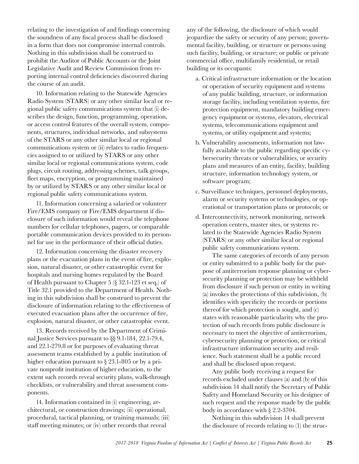relating to the investigation of and findings concerning the soundness of any fiscal process shall be disclosed in a form that does not compromise internal controls. Nothing in this subdivision shall be construed to prohibit the Auditor of Public Accounts or the Joint Legislative Audit and Review Commission from reporting internal control deficiencies discovered during the course of an audit.

10. Information relating to the Statewide Agencies Radio System (STARS) or any other similar local or regional public safety communications system that (i) describes the design, function, programming, operation, or access control features of the overall system, components, structures, individual networks, and subsystems of the STARS or any other similar local or regional communications system or (ii) relates to radio frequencies assigned to or utilized by STARS or any other similar local or regional communications system, code plugs, circuit routing, addressing schemes, talk groups, fleet maps, encryption, or programming maintained by or utilized by STARS or any other similar local or regional public safety communications system.

11. Information concerning a salaried or volunteer Fire/EMS company or Fire/EMS department if disclosure of such information would reveal the telephone numbers for cellular telephones, pagers, or comparable portable communication devices provided to its personnel for use in the performance of their official duties.

12. Information concerning the disaster recovery plans or the evacuation plans in the event of fire, explosion, natural disaster, or other catastrophic event for hospitals and nursing homes regulated by the Board of Health pursuant to Chapter 5 (§ 32.1-123 et seq.) of Title 32.1 provided to the Department of Health. Nothing in this subdivision shall be construed to prevent the disclosure of information relating to the effectiveness of executed evacuation plans after the occurrence of fire, explosion, natural disaster, or other catastrophic event.

13. Records received by the Department of Criminal Justice Services pursuant to §§ 9.1-184, 22.1-79.4, and 22.1-279.8 or for purposes of evaluating threat assessment teams established by a public institution of higher education pursuant to  $\S 23.1-805$  or by a private nonprofit institution of higher education, to the extent such records reveal security plans, walk-through checklists, or vulnerability and threat assessment components.

14. Information contained in (i) engineering, architectural, or construction drawings; (ii) operational, procedural, tactical planning, or training manuals; (iii) staff meeting minutes; or (iv) other records that reveal

any of the following, the disclosure of which would jeopardize the safety or security of any person; governmental facility, building, or structure or persons using such facility, building, or structure; or public or private commercial office, multifamily residential, or retail building or its occupants:

- a. Critical infrastructure information or the location or operation of security equipment and systems of any public building, structure, or information storage facility, including ventilation systems, fire protection equipment, mandatory building emergency equipment or systems, elevators, electrical systems, telecommunications equipment and systems, or utility equipment and systems;
- b. Vulnerability assessments, information not lawfully available to the public regarding specific cybersecurity threats or vulnerabilities, or security plans and measures of an entity, facility, building structure, information technology system, or software program;
- c. Surveillance techniques, personnel deployments, alarm or security systems or technologies, or operational or transportation plans or protocols; or
- d. Interconnectivity, network monitoring, network operation centers, master sites, or systems related to the Statewide Agencies Radio System (STARS) or any other similar local or regional public safety communications system.

The same categories of records of any person or entity submitted to a public body for the purpose of antiterrorism response planning or cybersecurity planning or protection may be withheld from disclosure if such person or entity in writing (a) invokes the protections of this subdivision, (b) identifies with specificity the records or portions thereof for which protection is sought, and (c) states with reasonable particularity why the protection of such records from public disclosure is necessary to meet the objective of antiterrorism, cybersecurity planning or protection, or critical infrastructure information security and resilience. Such statement shall be a public record and shall be disclosed upon request.

Any public body receiving a request for records excluded under clauses (a) and (b) of this subdivision 14 shall notify the Secretary of Public Safety and Homeland Security or his designee of such request and the response made by the public body in accordance with § 2.2-3704.

Nothing in this subdivision 14 shall prevent the disclosure of records relating to (1) the struc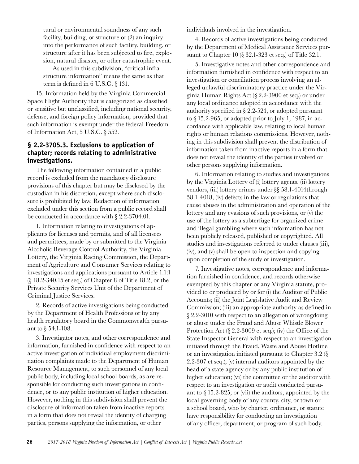tural or environmental soundness of any such facility, building, or structure or (2) an inquiry into the performance of such facility, building, or structure after it has been subjected to fire, explosion, natural disaster, or other catastrophic event.

As used in this subdivision, "critical infrastructure information" means the same as that term is defined in 6 U.S.C. § 131.

15. Information held by the Virginia Commercial Space Flight Authority that is categorized as classified or sensitive but unclassified, including national security, defense, and foreign policy information, provided that such information is exempt under the federal Freedom of Information Act, 5 U.S.C. § 552.

#### **§ 2.2-3705.3. Exclusions to application of chapter; records relating to administrative investigations.**

The following information contained in a public record is excluded from the mandatory disclosure provisions of this chapter but may be disclosed by the custodian in his discretion, except where such disclosure is prohibited by law. Redaction of information excluded under this section from a public record shall be conducted in accordance with § 2.2-3704.01.

1. Information relating to investigations of applicants for licenses and permits, and of all licensees and permittees, made by or submitted to the Virginia Alcoholic Beverage Control Authority, the Virginia Lottery, the Virginia Racing Commission, the Department of Agriculture and Consumer Services relating to investigations and applications pursuant to Article 1.1:1 (§ 18.2-340.15 et seq.) of Chapter 8 of Title 18.2, or the Private Security Services Unit of the Department of Criminal Justice Services.

2. Records of active investigations being conducted by the Department of Health Professions or by any health regulatory board in the Commonwealth pursuant to § 54.1-108.

3. Investigator notes, and other correspondence and information, furnished in confidence with respect to an active investigation of individual employment discrimination complaints made to the Department of Human Resource Management, to such personnel of any local public body, including local school boards, as are responsible for conducting such investigations in confidence, or to any public institution of higher education. However, nothing in this subdivision shall prevent the disclosure of information taken from inactive reports in a form that does not reveal the identity of charging parties, persons supplying the information, or other

individuals involved in the investigation.

4. Records of active investigations being conducted by the Department of Medical Assistance Services pursuant to Chapter 10 (§ 32.1-323 et seq.) of Title 32.1.

5. Investigative notes and other correspondence and information furnished in confidence with respect to an investigation or conciliation process involving an alleged unlawful discriminatory practice under the Virginia Human Rights Act (§ 2.2-3900 et seq.) or under any local ordinance adopted in accordance with the authority specified in § 2.2-524, or adopted pursuant to  $\S$  15.2-965, or adopted prior to July 1, 1987, in accordance with applicable law, relating to local human rights or human relations commissions. However, nothing in this subdivision shall prevent the distribution of information taken from inactive reports in a form that does not reveal the identity of the parties involved or other persons supplying information.

6. Information relating to studies and investigations by the Virginia Lottery of (i) lottery agents, (ii) lottery vendors, (iii) lottery crimes under §§ 58.1-4014through 58.1-4018, (iv) defects in the law or regulations that cause abuses in the administration and operation of the lottery and any evasions of such provisions, or (v) the use of the lottery as a subterfuge for organized crime and illegal gambling where such information has not been publicly released, published or copyrighted. All studies and investigations referred to under clauses (iii), (iv), and (v) shall be open to inspection and copying upon completion of the study or investigation.

7. Investigative notes, correspondence and information furnished in confidence, and records otherwise exempted by this chapter or any Virginia statute, provided to or produced by or for (i) the Auditor of Public Accounts; (ii) the Joint Legislative Audit and Review Commission; (iii) an appropriate authority as defined in § 2.2-3010 with respect to an allegation of wrongdoing or abuse under the Fraud and Abuse Whistle Blower Protection Act (§ 2.2-3009 et seq.); (iv) the Office of the State Inspector General with respect to an investigation initiated through the Fraud, Waste and Abuse Hotline or an investigation initiated pursuant to Chapter 3.2 (§ 2.2-307 et seq.); (v) internal auditors appointed by the head of a state agency or by any public institution of higher education; (vi) the committee or the auditor with respect to an investigation or audit conducted pursuant to  $\S$  15.2-825; or (vii) the auditors, appointed by the local governing body of any county, city, or town or a school board, who by charter, ordinance, or statute have responsibility for conducting an investigation of any officer, department, or program of such body.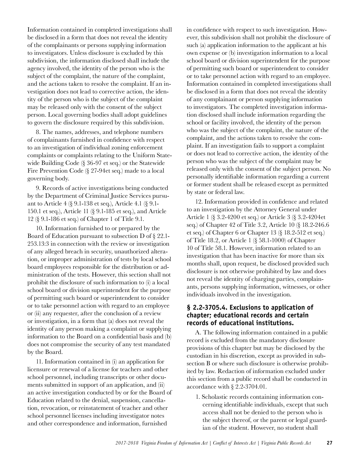Information contained in completed investigations shall be disclosed in a form that does not reveal the identity of the complainants or persons supplying information to investigators. Unless disclosure is excluded by this subdivision, the information disclosed shall include the agency involved, the identity of the person who is the subject of the complaint, the nature of the complaint, and the actions taken to resolve the complaint. If an investigation does not lead to corrective action, the identity of the person who is the subject of the complaint may be released only with the consent of the subject person. Local governing bodies shall adopt guidelines to govern the disclosure required by this subdivision.

8. The names, addresses, and telephone numbers of complainants furnished in confidence with respect to an investigation of individual zoning enforcement complaints or complaints relating to the Uniform Statewide Building Code (§ 36-97 et seq.) or the Statewide Fire Prevention Code (§ 27-94et seq.) made to a local governing body.

9. Records of active investigations being conducted by the Department of Criminal Justice Services pursuant to Article 4 (§ 9.1-138 et seq.), Article 4.1 (§ 9.1- 150.1 et seq.), Article 11 (§ 9.1-185 et seq.), and Article 12 (§ 9.1-186 et seq.) of Chapter 1 of Title 9.1.

10. Information furnished to or prepared by the Board of Education pursuant to subsection D of § 22.1- 253.13:3 in connection with the review or investigation of any alleged breach in security, unauthorized alteration, or improper administration of tests by local school board employees responsible for the distribution or administration of the tests. However, this section shall not prohibit the disclosure of such information to (i) a local school board or division superintendent for the purpose of permitting such board or superintendent to consider or to take personnel action with regard to an employee or (ii) any requester, after the conclusion of a review or investigation, in a form that (a) does not reveal the identity of any person making a complaint or supplying information to the Board on a confidential basis and (b) does not compromise the security of any test mandated by the Board.

11. Information contained in (i) an application for licensure or renewal of a license for teachers and other school personnel, including transcripts or other documents submitted in support of an application, and (ii) an active investigation conducted by or for the Board of Education related to the denial, suspension, cancellation, revocation, or reinstatement of teacher and other school personnel licenses including investigator notes and other correspondence and information, furnished

in confidence with respect to such investigation. However, this subdivision shall not prohibit the disclosure of such (a) application information to the applicant at his own expense or (b) investigation information to a local school board or division superintendent for the purpose of permitting such board or superintendent to consider or to take personnel action with regard to an employee. Information contained in completed investigations shall be disclosed in a form that does not reveal the identity of any complainant or person supplying information to investigators. The completed investigation information disclosed shall include information regarding the school or facility involved, the identity of the person who was the subject of the complaint, the nature of the complaint, and the actions taken to resolve the complaint. If an investigation fails to support a complaint or does not lead to corrective action, the identity of the person who was the subject of the complaint may be released only with the consent of the subject person. No personally identifiable information regarding a current or former student shall be released except as permitted by state or federal law.

12. Information provided in confidence and related to an investigation by the Attorney General under Article 1 (§ 3.2-4200 et seq.) or Article 3 (§ 3.2-4204et seq.) of Chapter 42 of Title 3.2, Article 10 (§ 18.2-246.6 et seq.) of Chapter 6 or Chapter 13 (§ 18.2-512 et seq.) of Title 18.2, or Article 1 (§ 58.1-1000) of Chapter 10 of Title 58.1. However, information related to an investigation that has been inactive for more than six months shall, upon request, be disclosed provided such disclosure is not otherwise prohibited by law and does not reveal the identity of charging parties, complainants, persons supplying information, witnesses, or other individuals involved in the investigation.

#### **§ 2.2-3705.4. Exclusions to application of chapter; educational records and certain records of educational institutions.**

A. The following information contained in a public record is excluded from the mandatory disclosure provisions of this chapter but may be disclosed by the custodian in his discretion, except as provided in subsection B or where such disclosure is otherwise prohibited by law. Redaction of information excluded under this section from a public record shall be conducted in accordance with § 2.2-3704.01.

1. Scholastic records containing information concerning identifiable individuals, except that such access shall not be denied to the person who is the subject thereof, or the parent or legal guardian of the student. However, no student shall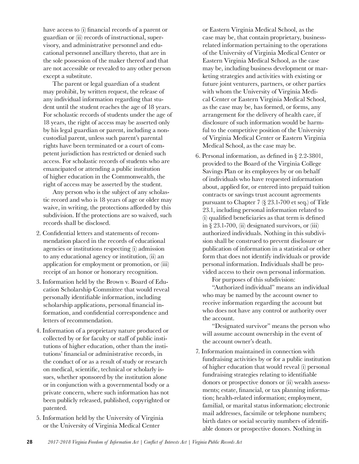have access to (i) financial records of a parent or guardian or (ii) records of instructional, supervisory, and administrative personnel and educational personnel ancillary thereto, that are in the sole possession of the maker thereof and that are not accessible or revealed to any other person except a substitute.

The parent or legal guardian of a student may prohibit, by written request, the release of any individual information regarding that student until the student reaches the age of 18 years. For scholastic records of students under the age of 18 years, the right of access may be asserted only by his legal guardian or parent, including a noncustodial parent, unless such parent's parental rights have been terminated or a court of competent jurisdiction has restricted or denied such access. For scholastic records of students who are emancipated or attending a public institution of higher education in the Commonwealth, the right of access may be asserted by the student.

Any person who is the subject of any scholastic record and who is 18 years of age or older may waive, in writing, the protections afforded by this subdivision. If the protections are so waived, such records shall be disclosed.

- 2. Confidential letters and statements of recommendation placed in the records of educational agencies or institutions respecting (i) admission to any educational agency or institution, (ii) an application for employment or promotion, or (iii) receipt of an honor or honorary recognition.
- 3. Information held by the Brown v. Board of Education Scholarship Committee that would reveal personally identifiable information, including scholarship applications, personal financial information, and confidential correspondence and letters of recommendation.
- 4. Information of a proprietary nature produced or collected by or for faculty or staff of public institutions of higher education, other than the institutions' financial or administrative records, in the conduct of or as a result of study or research on medical, scientific, technical or scholarly issues, whether sponsored by the institution alone or in conjunction with a governmental body or a private concern, where such information has not been publicly released, published, copyrighted or patented.
- 5. Information held by the University of Virginia or the University of Virginia Medical Center

or Eastern Virginia Medical School, as the case may be, that contain proprietary, businessrelated information pertaining to the operations of the University of Virginia Medical Center or Eastern Virginia Medical School, as the case may be, including business development or marketing strategies and activities with existing or future joint venturers, partners, or other parties with whom the University of Virginia Medical Center or Eastern Virginia Medical School, as the case may be, has formed, or forms, any arrangement for the delivery of health care, if disclosure of such information would be harmful to the competitive position of the University of Virginia Medical Center or Eastern Virginia Medical School, as the case may be.

6. Personal information, as defined in § 2.2-3801, provided to the Board of the Virginia College Savings Plan or its employees by or on behalf of individuals who have requested information about, applied for, or entered into prepaid tuition contracts or savings trust account agreements pursuant to Chapter 7 (§ 23.1-700 et seq.) of Title 23.1, including personal information related to (i) qualified beneficiaries as that term is defined in § 23.1-700, (ii) designated survivors, or (iii) authorized individuals. Nothing in this subdivision shall be construed to prevent disclosure or publication of information in a statistical or other form that does not identify individuals or provide personal information. Individuals shall be provided access to their own personal information.

For purposes of this subdivision:

"Authorized individual" means an individual who may be named by the account owner to receive information regarding the account but who does not have any control or authority over the account.

"Designated survivor" means the person who will assume account ownership in the event of the account owner's death.

7. Information maintained in connection with fundraising activities by or for a public institution of higher education that would reveal (i) personal fundraising strategies relating to identifiable donors or prospective donors or (ii) wealth assessments; estate, financial, or tax planning information; health-related information; employment, familial, or marital status information; electronic mail addresses, facsimile or telephone numbers; birth dates or social security numbers of identifiable donors or prospective donors. Nothing in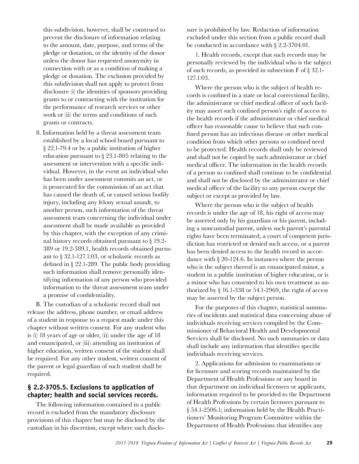this subdivision, however, shall be construed to prevent the disclosure of information relating to the amount, date, purpose, and terms of the pledge or donation, or the identity of the donor unless the donor has requested anonymity in connection with or as a condition of making a pledge or donation. The exclusion provided by this subdivision shall not apply to protect from disclosure (i) the identities of sponsors providing grants to or contracting with the institution for the performance of research services or other work or (ii) the terms and conditions of such grants or contracts.

8. Information held by a threat assessment team established by a local school board pursuant to § 22.1-79.4 or by a public institution of higher education pursuant to § 23.1-805 relating to the assessment or intervention with a specific individual. However, in the event an individual who has been under assessment commits an act, or is prosecuted for the commission of an act that has caused the death of, or caused serious bodily injury, including any felony sexual assault, to another person, such information of the threat assessment team concerning the individual under assessment shall be made available as provided by this chapter, with the exception of any criminal history records obtained pursuant to § 19.2- 389 or 19.2-389.1, health records obtained pursuant to § 32.1-127.1:03, or scholastic records as defined in § 22.1-289. The public body providing such information shall remove personally identifying information of any person who provided information to the threat assessment team under a promise of confidentiality.

B. The custodian of a scholastic record shall not release the address, phone number, or email address of a student in response to a request made under this chapter without written consent. For any student who is (i) 18 years of age or older, (ii) under the age of 18 and emancipated, or (iii) attending an institution of higher education, written consent of the student shall be required. For any other student, written consent of the parent or legal guardian of such student shall be required.

#### **§ 2.2-3705.5. Exclusions to application of chapter; health and social services records.**

The following information contained in a public record is excluded from the mandatory disclosure provisions of this chapter but may be disclosed by the custodian in his discretion, except where such disclosure is prohibited by law. Redaction of information excluded under this section from a public record shall be conducted in accordance with § 2.2-3704.01.

1. Health records, except that such records may be personally reviewed by the individual who is the subject of such records, as provided in subsection F of § 32.1- 127.1:03.

Where the person who is the subject of health records is confined in a state or local correctional facility, the administrator or chief medical officer of such facility may assert such confined person's right of access to the health records if the administrator or chief medical officer has reasonable cause to believe that such confined person has an infectious disease or other medical condition from which other persons so confined need to be protected. Health records shall only be reviewed and shall not be copied by such administrator or chief medical officer. The information in the health records of a person so confined shall continue to be confidential and shall not be disclosed by the administrator or chief medical officer of the facility to any person except the subject or except as provided by law.

Where the person who is the subject of health records is under the age of 18, his right of access may be asserted only by his guardian or his parent, including a noncustodial parent, unless such parent's parental rights have been terminated, a court of competent jurisdiction has restricted or denied such access, or a parent has been denied access to the health record in accordance with § 20-124.6. In instances where the person who is the subject thereof is an emancipated minor, a student in a public institution of higher education, or is a minor who has consented to his own treatment as authorized by  $\S$  16.1-338 or 54.1-2969, the right of access may be asserted by the subject person.

For the purposes of this chapter, statistical summaries of incidents and statistical data concerning abuse of individuals receiving services compiled by the Commissioner of Behavioral Health and Developmental Services shall be disclosed. No such summaries or data shall include any information that identifies specific individuals receiving services.

2. Applications for admission to examinations or for licensure and scoring records maintained by the Department of Health Professions or any board in that department on individual licensees or applicants; information required to be provided to the Department of Health Professions by certain licensees pursuant to § 54.1-2506.1; information held by the Health Practitioners' Monitoring Program Committee within the Department of Health Professions that identifies any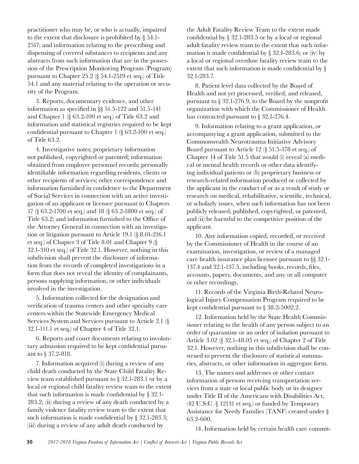practitioner who may be, or who is actually, impaired to the extent that disclosure is prohibited by § 54.1- 2517; and information relating to the prescribing and dispensing of covered substances to recipients and any abstracts from such information that are in the possession of the Prescription Monitoring Program (Program) pursuant to Chapter 25.2 (§ 54.1-2519 et seq.) of Title 54.1 and any material relating to the operation or security of the Program.

3. Reports, documentary evidence, and other information as specified in §§ 51.5-122 and 51.5-141 and Chapter 1 (§ 63.2-100 et seq.) of Title 63.2 and information and statistical registries required to be kept confidential pursuant to Chapter 1 (§ 63.2-100 et seq.) of Title 63.2.

4. Investigative notes; proprietary information not published, copyrighted or patented; information obtained from employee personnel records; personally identifiable information regarding residents, clients or other recipients of services; other correspondence and information furnished in confidence to the Department of Social Services in connection with an active investigation of an applicant or licensee pursuant to Chapters 17 (§ 63.2-1700 et seq.) and 18 (§ 63.2-1800 et seq.) of Title 63.2; and information furnished to the Office of the Attorney General in connection with an investigation or litigation pursuant to Article 19.1 (§ 8.01-216.1 et seq.) of Chapter 3 of Title 8.01 and Chapter 9 (§ 32.1-310 et seq.) of Title 32.1. However, nothing in this subdivision shall prevent the disclosure of information from the records of completed investigations in a form that does not reveal the identity of complainants, persons supplying information, or other individuals involved in the investigation.

5. Information collected for the designation and verification of trauma centers and other specialty care centers within the Statewide Emergency Medical Services System and Services pursuant to Article 2.1 (§ 32.1-111.1 et seq.) of Chapter 4 of Title 32.1.

6. Reports and court documents relating to involuntary admission required to be kept confidential pursuant to § 37.2-818.

7. Information acquired (i) during a review of any child death conducted by the State Child Fatality Review team established pursuant to § 32.1-283.1 or by a local or regional child fatality review team to the extent that such information is made confidential by § 32.1- 283.2; (ii) during a review of any death conducted by a family violence fatality review team to the extent that such information is made confidential by § 32.1-283.3; (iii) during a review of any adult death conducted by

the Adult Fatality Review Team to the extent made confidential by § 32.1-283.5 or by a local or regional adult fatality review team to the extent that such information is made confidential by  $\S 32.1-283.6$ ; or (iv) by a local or regional overdose fatality review team to the extent that such information is made confidential by § 32.1-283.7.

8. Patient level data collected by the Board of Health and not yet processed, verified, and released, pursuant to § 32.1-276.9, to the Board by the nonprofit organization with which the Commissioner of Health has contracted pursuant to § 32.1-276.4.

9. Information relating to a grant application, or accompanying a grant application, submitted to the Commonwealth Neurotrauma Initiative Advisory Board pursuant to Article 12 (§ 51.5-178 et seq.) of Chapter 14 of Title 51.5 that would (i) reveal (a) medical or mental health records or other data identifying individual patients or (b) proprietary business or research-related information produced or collected by the applicant in the conduct of or as a result of study or research on medical, rehabilitative, scientific, technical, or scholarly issues, when such information has not been publicly released, published, copyrighted, or patented, and (ii) be harmful to the competitive position of the applicant.

10. Any information copied, recorded, or received by the Commissioner of Health in the course of an examination, investigation, or review of a managed care health insurance plan licensee pursuant to §§ 32.1- 137.4 and 32.1-137.5, including books, records, files, accounts, papers, documents, and any or all computer or other recordings.

11. Records of the Virginia Birth-Related Neurological Injury Compensation Program required to be kept confidential pursuant to § 38.2-5002.2.

12. Information held by the State Health Commissioner relating to the health of any person subject to an order of quarantine or an order of isolation pursuant to Article 3.02 (§ 32.1-48.05 et seq.) of Chapter 2 of Title 32.1. However, nothing in this subdivision shall be construed to prevent the disclosure of statistical summaries, abstracts, or other information in aggregate form.

13. The names and addresses or other contact information of persons receiving transportation services from a state or local public body or its designee under Title II of the Americans with Disabilities Act, (42 U.S.C. § 12131 et seq.) or funded by Temporary Assistance for Needy Families (TANF) created under § 63.2-600.

14. Information held by certain health care commit-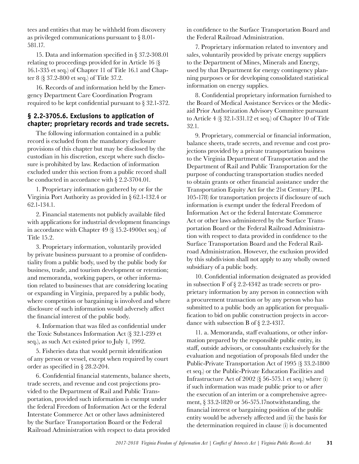tees and entities that may be withheld from discovery as privileged communications pursuant to § 8.01- 581.17.

15. Data and information specified in § 37.2-308.01 relating to proceedings provided for in Article 16 (§ 16.1-335 et seq.) of Chapter 11 of Title 16.1 and Chapter 8 (§ 37.2-800 et seq.) of Title 37.2.

16. Records of and information held by the Emergency Department Care Coordination Program required to be kept confidential pursuant to § 32.1-372.

#### **§ 2.2-3705.6. Exclusions to application of chapter; proprietary records and trade secrets.**

The following information contained in a public record is excluded from the mandatory disclosure provisions of this chapter but may be disclosed by the custodian in his discretion, except where such disclosure is prohibited by law. Redaction of information excluded under this section from a public record shall be conducted in accordance with § 2.2-3704.01.

1. Proprietary information gathered by or for the Virginia Port Authority as provided in § 62.1-132.4 or 62.1-134.1.

2. Financial statements not publicly available filed with applications for industrial development financings in accordance with Chapter 49 (§ 15.2-4900et seq.) of Title 15.2.

3. Proprietary information, voluntarily provided by private business pursuant to a promise of confidentiality from a public body, used by the public body for business, trade, and tourism development or retention; and memoranda, working papers, or other information related to businesses that are considering locating or expanding in Virginia, prepared by a public body, where competition or bargaining is involved and where disclosure of such information would adversely affect the financial interest of the public body.

4. Information that was filed as confidential under the Toxic Substances Information Act (§ 32.1-239 et seq.), as such Act existed prior to July 1, 1992.

5. Fisheries data that would permit identification of any person or vessel, except when required by court order as specified in § 28.2-204.

6. Confidential financial statements, balance sheets, trade secrets, and revenue and cost projections provided to the Department of Rail and Public Transportation, provided such information is exempt under the federal Freedom of Information Act or the federal Interstate Commerce Act or other laws administered by the Surface Transportation Board or the Federal Railroad Administration with respect to data provided in confidence to the Surface Transportation Board and the Federal Railroad Administration.

7. Proprietary information related to inventory and sales, voluntarily provided by private energy suppliers to the Department of Mines, Minerals and Energy, used by that Department for energy contingency planning purposes or for developing consolidated statistical information on energy supplies.

8. Confidential proprietary information furnished to the Board of Medical Assistance Services or the Medicaid Prior Authorization Advisory Committee pursuant to Article 4 (§ 32.1-331.12 et seq.) of Chapter 10 of Title 32.1.

9. Proprietary, commercial or financial information, balance sheets, trade secrets, and revenue and cost projections provided by a private transportation business to the Virginia Department of Transportation and the Department of Rail and Public Transportation for the purpose of conducting transportation studies needed to obtain grants or other financial assistance under the Transportation Equity Act for the 21st Century (P.L. 105-178) for transportation projects if disclosure of such information is exempt under the federal Freedom of Information Act or the federal Interstate Commerce Act or other laws administered by the Surface Transportation Board or the Federal Railroad Administration with respect to data provided in confidence to the Surface Transportation Board and the Federal Railroad Administration. However, the exclusion provided by this subdivision shall not apply to any wholly owned subsidiary of a public body.

10. Confidential information designated as provided in subsection F of § 2.2-4342 as trade secrets or proprietary information by any person in connection with a procurement transaction or by any person who has submitted to a public body an application for prequalification to bid on public construction projects in accordance with subsection B of § 2.2-4317.

11. a. Memoranda, staff evaluations, or other information prepared by the responsible public entity, its staff, outside advisors, or consultants exclusively for the evaluation and negotiation of proposals filed under the Public-Private Transportation Act of 1995 (§ 33.2-1800 et seq.) or the Public-Private Education Facilities and Infrastructure Act of 2002 (§ 56-575.1 et seq.) where (i) if such information was made public prior to or after the execution of an interim or a comprehensive agreement, § 33.2-1820 or 56-575.17notwithstanding, the financial interest or bargaining position of the public entity would be adversely affected and (ii) the basis for the determination required in clause (i) is documented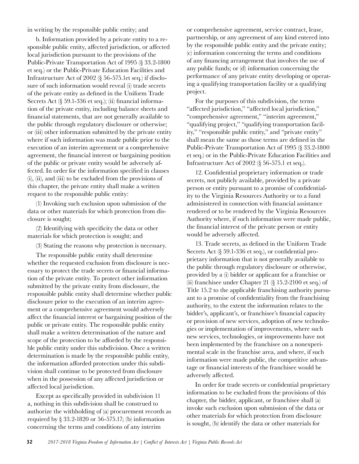in writing by the responsible public entity; and

b. Information provided by a private entity to a responsible public entity, affected jurisdiction, or affected local jurisdiction pursuant to the provisions of the Public-Private Transportation Act of 1995 (§ 33.2-1800 et seq.) or the Public-Private Education Facilities and Infrastructure Act of 2002 (§ 56-575.1et seq.) if disclosure of such information would reveal (i) trade secrets of the private entity as defined in the Uniform Trade Secrets Act (§ 59.1-336 et seq.); (ii) financial information of the private entity, including balance sheets and financial statements, that are not generally available to the public through regulatory disclosure or otherwise; or (iii) other information submitted by the private entity where if such information was made public prior to the execution of an interim agreement or a comprehensive agreement, the financial interest or bargaining position of the public or private entity would be adversely affected. In order for the information specified in clauses (i), (ii), and (iii) to be excluded from the provisions of this chapter, the private entity shall make a written request to the responsible public entity:

(1) Invoking such exclusion upon submission of the data or other materials for which protection from disclosure is sought;

(2) Identifying with specificity the data or other materials for which protection is sought; and

(3) Stating the reasons why protection is necessary.

The responsible public entity shall determine whether the requested exclusion from disclosure is necessary to protect the trade secrets or financial information of the private entity. To protect other information submitted by the private entity from disclosure, the responsible public entity shall determine whether public disclosure prior to the execution of an interim agreement or a comprehensive agreement would adversely affect the financial interest or bargaining position of the public or private entity. The responsible public entity shall make a written determination of the nature and scope of the protection to be afforded by the responsible public entity under this subdivision. Once a written determination is made by the responsible public entity, the information afforded protection under this subdivision shall continue to be protected from disclosure when in the possession of any affected jurisdiction or affected local jurisdiction.

Except as specifically provided in subdivision 11 a, nothing in this subdivision shall be construed to authorize the withholding of (a) procurement records as required by § 33.2-1820 or 56-575.17; (b) information concerning the terms and conditions of any interim

or comprehensive agreement, service contract, lease, partnership, or any agreement of any kind entered into by the responsible public entity and the private entity; (c) information concerning the terms and conditions of any financing arrangement that involves the use of any public funds; or (d) information concerning the performance of any private entity developing or operating a qualifying transportation facility or a qualifying project.

For the purposes of this subdivision, the terms "affected jurisdiction," "affected local jurisdiction," "comprehensive agreement," "interim agreement," "qualifying project," "qualifying transportation facility," "responsible public entity," and "private entity" shall mean the same as those terms are defined in the Public-Private Transportation Act of 1995 (§ 33.2-1800 et seq.) or in the Public-Private Education Facilities and Infrastructure Act of 2002 (§ 56-575.1 et seq.).

12. Confidential proprietary information or trade secrets, not publicly available, provided by a private person or entity pursuant to a promise of confidentiality to the Virginia Resources Authority or to a fund administered in connection with financial assistance rendered or to be rendered by the Virginia Resources Authority where, if such information were made public, the financial interest of the private person or entity would be adversely affected.

13. Trade secrets, as defined in the Uniform Trade Secrets Act (§ 59.1-336 et seq.), or confidential proprietary information that is not generally available to the public through regulatory disclosure or otherwise, provided by a (i) bidder or applicant for a franchise or (ii) franchisee under Chapter 21 (§ 15.2-2100 et seq.) of Title 15.2 to the applicable franchising authority pursuant to a promise of confidentiality from the franchising authority, to the extent the information relates to the bidder's, applicant's, or franchisee's financial capacity or provision of new services, adoption of new technologies or implementation of improvements, where such new services, technologies, or improvements have not been implemented by the franchisee on a nonexperimental scale in the franchise area, and where, if such information were made public, the competitive advantage or financial interests of the franchisee would be adversely affected.

In order for trade secrets or confidential proprietary information to be excluded from the provisions of this chapter, the bidder, applicant, or franchisee shall (a) invoke such exclusion upon submission of the data or other materials for which protection from disclosure is sought, (b) identify the data or other materials for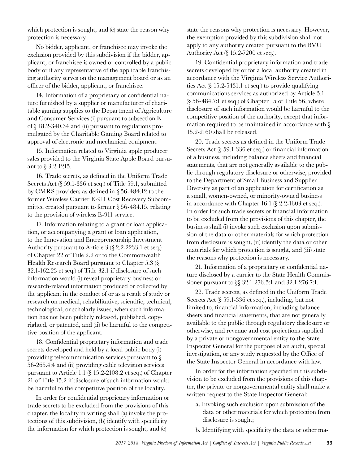which protection is sought, and (c) state the reason why protection is necessary.

No bidder, applicant, or franchisee may invoke the exclusion provided by this subdivision if the bidder, applicant, or franchisee is owned or controlled by a public body or if any representative of the applicable franchising authority serves on the management board or as an officer of the bidder, applicant, or franchisee.

14. Information of a proprietary or confidential nature furnished by a supplier or manufacturer of charitable gaming supplies to the Department of Agriculture and Consumer Services (i) pursuant to subsection E of § 18.2-340.34 and (ii) pursuant to regulations promulgated by the Charitable Gaming Board related to approval of electronic and mechanical equipment.

15. Information related to Virginia apple producer sales provided to the Virginia State Apple Board pursuant to § 3.2-1215.

16. Trade secrets, as defined in the Uniform Trade Secrets Act (§ 59.1-336 et seq.) of Title 59.1, submitted by CMRS providers as defined in § 56-484.12 to the former Wireless Carrier E-911 Cost Recovery Subcommittee created pursuant to former  $\S 56-484.15$ , relating to the provision of wireless E-911 service.

17. Information relating to a grant or loan application, or accompanying a grant or loan application, to the Innovation and Entrepreneurship Investment Authority pursuant to Article 3 (§ 2.2-2233.1 et seq.) of Chapter 22 of Title 2.2 or to the Commonwealth Health Research Board pursuant to Chapter 5.3 (§ 32.1-162.23 et seq.) of Title 32.1 if disclosure of such information would (i) reveal proprietary business or research-related information produced or collected by the applicant in the conduct of or as a result of study or research on medical, rehabilitative, scientific, technical, technological, or scholarly issues, when such information has not been publicly released, published, copyrighted, or patented, and (ii) be harmful to the competitive position of the applicant.

18. Confidential proprietary information and trade secrets developed and held by a local public body (i) providing telecommunication services pursuant to § 56-265.4:4 and (ii) providing cable television services pursuant to Article 1.1 (§ 15.2-2108.2 et seq.) of Chapter 21 of Title 15.2 if disclosure of such information would be harmful to the competitive position of the locality.

In order for confidential proprietary information or trade secrets to be excluded from the provisions of this chapter, the locality in writing shall (a) invoke the protections of this subdivision, (b) identify with specificity the information for which protection is sought, and (c)

state the reasons why protection is necessary. However, the exemption provided by this subdivision shall not apply to any authority created pursuant to the BVU Authority Act (§ 15.2-7200 et seq.).

19. Confidential proprietary information and trade secrets developed by or for a local authority created in accordance with the Virginia Wireless Service Authorities Act (§ 15.2-5431.1 et seq.) to provide qualifying communications services as authorized by Article 5.1 (§ 56-484.7:1 et seq.) of Chapter 15 of Title 56, where disclosure of such information would be harmful to the competitive position of the authority, except that information required to be maintained in accordance with § 15.2-2160 shall be released.

20. Trade secrets as defined in the Uniform Trade Secrets Act (§ 59.1-336 et seq.) or financial information of a business, including balance sheets and financial statements, that are not generally available to the public through regulatory disclosure or otherwise, provided to the Department of Small Business and Supplier Diversity as part of an application for certification as a small, women-owned, or minority-owned business in accordance with Chapter 16.1 (§ 2.2-1603 et seq.). In order for such trade secrets or financial information to be excluded from the provisions of this chapter, the business shall (i) invoke such exclusion upon submission of the data or other materials for which protection from disclosure is sought, (ii) identify the data or other materials for which protection is sought, and (iii) state the reasons why protection is necessary.

21. Information of a proprietary or confidential nature disclosed by a carrier to the State Health Commissioner pursuant to §§ 32.1-276.5:1 and 32.1-276.7:1.

22. Trade secrets, as defined in the Uniform Trade Secrets Act (§ 59.1-336 et seq.), including, but not limited to, financial information, including balance sheets and financial statements, that are not generally available to the public through regulatory disclosure or otherwise, and revenue and cost projections supplied by a private or nongovernmental entity to the State Inspector General for the purpose of an audit, special investigation, or any study requested by the Office of the State Inspector General in accordance with law.

In order for the information specified in this subdivision to be excluded from the provisions of this chapter, the private or nongovernmental entity shall make a written request to the State Inspector General:

a. Invoking such exclusion upon submission of the data or other materials for which protection from disclosure is sought;

b. Identifying with specificity the data or other ma-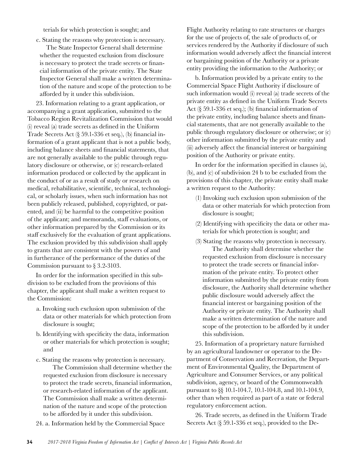terials for which protection is sought; and

c. Stating the reasons why protection is necessary. The State Inspector General shall determine whether the requested exclusion from disclosure is necessary to protect the trade secrets or financial information of the private entity. The State Inspector General shall make a written determination of the nature and scope of the protection to be afforded by it under this subdivision.

23. Information relating to a grant application, or accompanying a grant application, submitted to the Tobacco Region Revitalization Commission that would (i) reveal (a) trade secrets as defined in the Uniform Trade Secrets Act (§ 59.1-336 et seq.), (b) financial information of a grant applicant that is not a public body, including balance sheets and financial statements, that are not generally available to the public through regulatory disclosure or otherwise, or (c) research-related information produced or collected by the applicant in the conduct of or as a result of study or research on medical, rehabilitative, scientific, technical, technological, or scholarly issues, when such information has not been publicly released, published, copyrighted, or patented, and (ii) be harmful to the competitive position of the applicant; and memoranda, staff evaluations, or other information prepared by the Commission or its staff exclusively for the evaluation of grant applications. The exclusion provided by this subdivision shall apply to grants that are consistent with the powers of and in furtherance of the performance of the duties of the Commission pursuant to § 3.2-3103.

In order for the information specified in this subdivision to be excluded from the provisions of this chapter, the applicant shall make a written request to the Commission:

- a. Invoking such exclusion upon submission of the data or other materials for which protection from disclosure is sought;
- b. Identifying with specificity the data, information or other materials for which protection is sought; and
- c. Stating the reasons why protection is necessary. The Commission shall determine whether the requested exclusion from disclosure is necessary to protect the trade secrets, financial information, or research-related information of the applicant. The Commission shall make a written determination of the nature and scope of the protection to be afforded by it under this subdivision.
- 24. a. Information held by the Commercial Space

Flight Authority relating to rate structures or charges for the use of projects of, the sale of products of, or services rendered by the Authority if disclosure of such information would adversely affect the financial interest or bargaining position of the Authority or a private entity providing the information to the Authority; or

b. Information provided by a private entity to the Commercial Space Flight Authority if disclosure of such information would (i) reveal (a) trade secrets of the private entity as defined in the Uniform Trade Secrets Act (§ 59.1-336 et seq.); (b) financial information of the private entity, including balance sheets and financial statements, that are not generally available to the public through regulatory disclosure or otherwise; or (c) other information submitted by the private entity and (ii) adversely affect the financial interest or bargaining position of the Authority or private entity.

In order for the information specified in clauses (a), (b), and (c) of subdivision 24 b to be excluded from the provisions of this chapter, the private entity shall make a written request to the Authority:

- (1) Invoking such exclusion upon submission of the data or other materials for which protection from disclosure is sought;
- (2) Identifying with specificity the data or other materials for which protection is sought; and
- (3) Stating the reasons why protection is necessary. The Authority shall determine whether the requested exclusion from disclosure is necessary to protect the trade secrets or financial information of the private entity. To protect other information submitted by the private entity from disclosure, the Authority shall determine whether public disclosure would adversely affect the financial interest or bargaining position of the Authority or private entity. The Authority shall make a written determination of the nature and scope of the protection to be afforded by it under this subdivision.

25. Information of a proprietary nature furnished by an agricultural landowner or operator to the Department of Conservation and Recreation, the Department of Environmental Quality, the Department of Agriculture and Consumer Services, or any political subdivision, agency, or board of the Commonwealth pursuant to §§ 10.1-104.7, 10.1-104.8, and 10.1-104.9, other than when required as part of a state or federal regulatory enforcement action.

26. Trade secrets, as defined in the Uniform Trade Secrets Act (§ 59.1-336 et seq.), provided to the De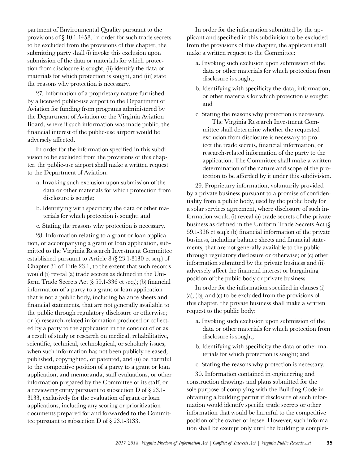partment of Environmental Quality pursuant to the provisions of § 10.1-1458. In order for such trade secrets to be excluded from the provisions of this chapter, the submitting party shall (i) invoke this exclusion upon submission of the data or materials for which protection from disclosure is sought, (ii) identify the data or materials for which protection is sought, and (iii) state the reasons why protection is necessary.

27. Information of a proprietary nature furnished by a licensed public-use airport to the Department of Aviation for funding from programs administered by the Department of Aviation or the Virginia Aviation Board, where if such information was made public, the financial interest of the public-use airport would be adversely affected.

In order for the information specified in this subdivision to be excluded from the provisions of this chapter, the public-use airport shall make a written request to the Department of Aviation:

- a. Invoking such exclusion upon submission of the data or other materials for which protection from disclosure is sought;
- b. Identifying with specificity the data or other materials for which protection is sought; and
- c. Stating the reasons why protection is necessary.

28. Information relating to a grant or loan application, or accompanying a grant or loan application, submitted to the Virginia Research Investment Committee established pursuant to Article 8 (§ 23.1-3130 et seq.) of Chapter 31 of Title 23.1, to the extent that such records would (i) reveal (a) trade secrets as defined in the Uniform Trade Secrets Act (§ 59.1-336 et seq.); (b) financial information of a party to a grant or loan application that is not a public body, including balance sheets and financial statements, that are not generally available to the public through regulatory disclosure or otherwise; or (c) research-related information produced or collected by a party to the application in the conduct of or as a result of study or research on medical, rehabilitative, scientific, technical, technological, or scholarly issues, when such information has not been publicly released, published, copyrighted, or patented, and (ii) be harmful to the competitive position of a party to a grant or loan application; and memoranda, staff evaluations, or other information prepared by the Committee or its staff, or a reviewing entity pursuant to subsection D of § 23.1- 3133, exclusively for the evaluation of grant or loan applications, including any scoring or prioritization documents prepared for and forwarded to the Committee pursuant to subsection D of § 23.1-3133.

In order for the information submitted by the applicant and specified in this subdivision to be excluded from the provisions of this chapter, the applicant shall make a written request to the Committee:

- a. Invoking such exclusion upon submission of the data or other materials for which protection from disclosure is sought;
- b. Identifying with specificity the data, information, or other materials for which protection is sought; and
- c. Stating the reasons why protection is necessary. The Virginia Research Investment Committee shall determine whether the requested exclusion from disclosure is necessary to protect the trade secrets, financial information, or research-related information of the party to the application. The Committee shall make a written determination of the nature and scope of the protection to be afforded by it under this subdivision.

29. Proprietary information, voluntarily provided by a private business pursuant to a promise of confidentiality from a public body, used by the public body for a solar services agreement, where disclosure of such information would (i) reveal (a) trade secrets of the private business as defined in the Uniform Trade Secrets Act (§ 59.1-336 et seq.); (b) financial information of the private business, including balance sheets and financial statements, that are not generally available to the public through regulatory disclosure or otherwise; or (c) other information submitted by the private business and (ii) adversely affect the financial interest or bargaining position of the public body or private business.

In order for the information specified in clauses (i) (a), (b), and (c) to be excluded from the provisions of this chapter, the private business shall make a written request to the public body:

- a. Invoking such exclusion upon submission of the data or other materials for which protection from disclosure is sought;
- b. Identifying with specificity the data or other materials for which protection is sought; and
- c. Stating the reasons why protection is necessary.

30. Information contained in engineering and construction drawings and plans submitted for the sole purpose of complying with the Building Code in obtaining a building permit if disclosure of such information would identify specific trade secrets or other information that would be harmful to the competitive position of the owner or lessee. However, such information shall be exempt only until the building is complet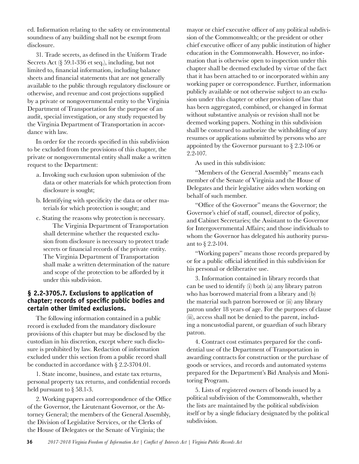ed. Information relating to the safety or environmental soundness of any building shall not be exempt from disclosure.

31. Trade secrets, as defined in the Uniform Trade Secrets Act (§ 59.1-336 et seq.), including, but not limited to, financial information, including balance sheets and financial statements that are not generally available to the public through regulatory disclosure or otherwise, and revenue and cost projections supplied by a private or nongovernmental entity to the Virginia Department of Transportation for the purpose of an audit, special investigation, or any study requested by the Virginia Department of Transportation in accordance with law.

In order for the records specified in this subdivision to be excluded from the provisions of this chapter, the private or nongovernmental entity shall make a written request to the Department:

- a. Invoking such exclusion upon submission of the data or other materials for which protection from disclosure is sought;
- b. Identifying with specificity the data or other materials for which protection is sought; and
- c. Stating the reasons why protection is necessary. The Virginia Department of Transportation shall determine whether the requested exclusion from disclosure is necessary to protect trade secrets or financial records of the private entity. The Virginia Department of Transportation shall make a written determination of the nature and scope of the protection to be afforded by it under this subdivision.

#### **§ 2.2-3705.7. Exclusions to application of chapter; records of specific public bodies and certain other limited exclusions.**

The following information contained in a public record is excluded from the mandatory disclosure provisions of this chapter but may be disclosed by the custodian in his discretion, except where such disclosure is prohibited by law. Redaction of information excluded under this section from a public record shall be conducted in accordance with § 2.2-3704.01.

1. State income, business, and estate tax returns, personal property tax returns, and confidential records held pursuant to § 58.1-3.

2. Working papers and correspondence of the Office of the Governor, the Lieutenant Governor, or the Attorney General; the members of the General Assembly, the Division of Legislative Services, or the Clerks of the House of Delegates or the Senate of Virginia; the

mayor or chief executive officer of any political subdivision of the Commonwealth; or the president or other chief executive officer of any public institution of higher education in the Commonwealth. However, no information that is otherwise open to inspection under this chapter shall be deemed excluded by virtue of the fact that it has been attached to or incorporated within any working paper or correspondence. Further, information publicly available or not otherwise subject to an exclusion under this chapter or other provision of law that has been aggregated, combined, or changed in format without substantive analysis or revision shall not be deemed working papers. Nothing in this subdivision shall be construed to authorize the withholding of any resumes or applications submitted by persons who are appointed by the Governor pursuant to § 2.2-106 or 2.2-107.

As used in this subdivision:

"Members of the General Assembly" means each member of the Senate of Virginia and the House of Delegates and their legislative aides when working on behalf of such member.

"Office of the Governor" means the Governor; the Governor's chief of staff, counsel, director of policy, and Cabinet Secretaries; the Assistant to the Governor for Intergovernmental Affairs; and those individuals to whom the Governor has delegated his authority pursuant to § 2.2-104.

"Working papers" means those records prepared by or for a public official identified in this subdivision for his personal or deliberative use.

3. Information contained in library records that can be used to identify (i) both (a) any library patron who has borrowed material from a library and (b) the material such patron borrowed or (ii) any library patron under 18 years of age. For the purposes of clause (ii), access shall not be denied to the parent, including a noncustodial parent, or guardian of such library patron.

4. Contract cost estimates prepared for the confidential use of the Department of Transportation in awarding contracts for construction or the purchase of goods or services, and records and automated systems prepared for the Department's Bid Analysis and Monitoring Program.

5. Lists of registered owners of bonds issued by a political subdivision of the Commonwealth, whether the lists are maintained by the political subdivision itself or by a single fiduciary designated by the political subdivision.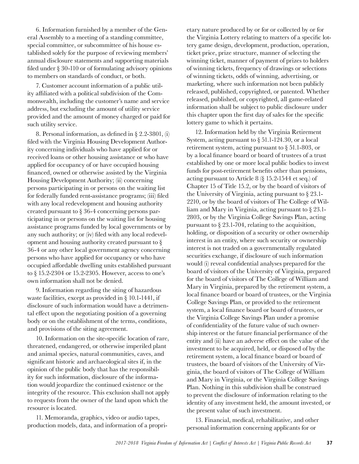6. Information furnished by a member of the General Assembly to a meeting of a standing committee, special committee, or subcommittee of his house established solely for the purpose of reviewing members' annual disclosure statements and supporting materials filed under § 30-110 or of formulating advisory opinions to members on standards of conduct, or both.

7. Customer account information of a public utility affiliated with a political subdivision of the Commonwealth, including the customer's name and service address, but excluding the amount of utility service provided and the amount of money charged or paid for such utility service.

8. Personal information, as defined in § 2.2-3801, (i) filed with the Virginia Housing Development Authority concerning individuals who have applied for or received loans or other housing assistance or who have applied for occupancy of or have occupied housing financed, owned or otherwise assisted by the Virginia Housing Development Authority; (ii) concerning persons participating in or persons on the waiting list for federally funded rent-assistance programs; (iii) filed with any local redevelopment and housing authority created pursuant to § 36-4 concerning persons participating in or persons on the waiting list for housing assistance programs funded by local governments or by any such authority; or (iv) filed with any local redevelopment and housing authority created pursuant to § 36-4 or any other local government agency concerning persons who have applied for occupancy or who have occupied affordable dwelling units established pursuant to § 15.2-2304 or 15.2-2305. However, access to one's own information shall not be denied.

9. Information regarding the siting of hazardous waste facilities, except as provided in  $\S$  10.1-1441, if disclosure of such information would have a detrimental effect upon the negotiating position of a governing body or on the establishment of the terms, conditions, and provisions of the siting agreement.

10. Information on the site-specific location of rare, threatened, endangered, or otherwise imperiled plant and animal species, natural communities, caves, and significant historic and archaeological sites if, in the opinion of the public body that has the responsibility for such information, disclosure of the information would jeopardize the continued existence or the integrity of the resource. This exclusion shall not apply to requests from the owner of the land upon which the resource is located.

11. Memoranda, graphics, video or audio tapes, production models, data, and information of a proprietary nature produced by or for or collected by or for the Virginia Lottery relating to matters of a specific lottery game design, development, production, operation, ticket price, prize structure, manner of selecting the winning ticket, manner of payment of prizes to holders of winning tickets, frequency of drawings or selections of winning tickets, odds of winning, advertising, or marketing, where such information not been publicly released, published, copyrighted, or patented. Whether released, published, or copyrighted, all game-related information shall be subject to public disclosure under this chapter upon the first day of sales for the specific lottery game to which it pertains.

12. Information held by the Virginia Retirement System, acting pursuant to § 51.1-124.30, or a local retirement system, acting pursuant to § 51.1-803, or by a local finance board or board of trustees of a trust established by one or more local public bodies to invest funds for post-retirement benefits other than pensions, acting pursuant to Article 8 (§ 15.2-1544 et seq.) of Chapter 15 of Title 15.2, or by the board of visitors of the University of Virginia, acting pursuant to § 23.1- 2210, or by the board of visitors of The College of William and Mary in Virginia, acting pursuant to § 23.1- 2803, or by the Virginia College Savings Plan, acting pursuant to  $\S 23.1-704$ , relating to the acquisition, holding, or disposition of a security or other ownership interest in an entity, where such security or ownership interest is not traded on a governmentally regulated securities exchange, if disclosure of such information would (i) reveal confidential analyses prepared for the board of visitors of the University of Virginia, prepared for the board of visitors of The College of William and Mary in Virginia, prepared by the retirement system, a local finance board or board of trustees, or the Virginia College Savings Plan, or provided to the retirement system, a local finance board or board of trustees, or the Virginia College Savings Plan under a promise of confidentiality of the future value of such ownership interest or the future financial performance of the entity and (ii) have an adverse effect on the value of the investment to be acquired, held, or disposed of by the retirement system, a local finance board or board of trustees, the board of visitors of the University of Virginia, the board of visitors of The College of William and Mary in Virginia, or the Virginia College Savings Plan. Nothing in this subdivision shall be construed to prevent the disclosure of information relating to the identity of any investment held, the amount invested, or the present value of such investment.

13. Financial, medical, rehabilitative, and other personal information concerning applicants for or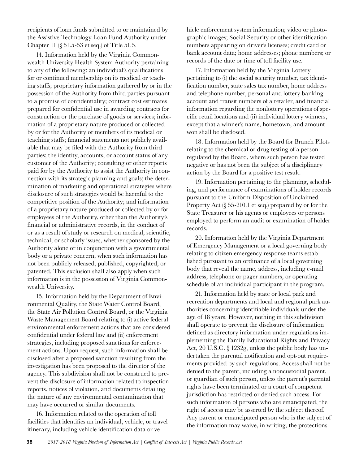recipients of loan funds submitted to or maintained by the Assistive Technology Loan Fund Authority under Chapter 11 (§ 51.5-53 et seq.) of Title 51.5.

14. Information held by the Virginia Commonwealth University Health System Authority pertaining to any of the following: an individual's qualifications for or continued membership on its medical or teaching staffs; proprietary information gathered by or in the possession of the Authority from third parties pursuant to a promise of confidentiality; contract cost estimates prepared for confidential use in awarding contracts for construction or the purchase of goods or services; information of a proprietary nature produced or collected by or for the Authority or members of its medical or teaching staffs; financial statements not publicly available that may be filed with the Authority from third parties; the identity, accounts, or account status of any customer of the Authority; consulting or other reports paid for by the Authority to assist the Authority in connection with its strategic planning and goals; the determination of marketing and operational strategies where disclosure of such strategies would be harmful to the competitive position of the Authority; and information of a proprietary nature produced or collected by or for employees of the Authority, other than the Authority's financial or administrative records, in the conduct of or as a result of study or research on medical, scientific, technical, or scholarly issues, whether sponsored by the Authority alone or in conjunction with a governmental body or a private concern, when such information has not been publicly released, published, copyrighted, or patented. This exclusion shall also apply when such information is in the possession of Virginia Commonwealth University.

15. Information held by the Department of Environmental Quality, the State Water Control Board, the State Air Pollution Control Board, or the Virginia Waste Management Board relating to (i) active federal environmental enforcement actions that are considered confidential under federal law and (ii) enforcement strategies, including proposed sanctions for enforcement actions. Upon request, such information shall be disclosed after a proposed sanction resulting from the investigation has been proposed to the director of the agency. This subdivision shall not be construed to prevent the disclosure of information related to inspection reports, notices of violation, and documents detailing the nature of any environmental contamination that may have occurred or similar documents.

16. Information related to the operation of toll facilities that identifies an individual, vehicle, or travel itinerary, including vehicle identification data or vehicle enforcement system information; video or photographic images; Social Security or other identification numbers appearing on driver's licenses; credit card or bank account data; home addresses; phone numbers; or records of the date or time of toll facility use.

17. Information held by the Virginia Lottery pertaining to (i) the social security number, tax identification number, state sales tax number, home address and telephone number, personal and lottery banking account and transit numbers of a retailer, and financial information regarding the nonlottery operations of specific retail locations and (ii) individual lottery winners, except that a winner's name, hometown, and amount won shall be disclosed.

18. Information held by the Board for Branch Pilots relating to the chemical or drug testing of a person regulated by the Board, where such person has tested negative or has not been the subject of a disciplinary action by the Board for a positive test result.

19. Information pertaining to the planning, scheduling, and performance of examinations of holder records pursuant to the Uniform Disposition of Unclaimed Property Act (§ 55-210.1 et seq.) prepared by or for the State Treasurer or his agents or employees or persons employed to perform an audit or examination of holder records.

20. Information held by the Virginia Department of Emergency Management or a local governing body relating to citizen emergency response teams established pursuant to an ordinance of a local governing body that reveal the name, address, including e-mail address, telephone or pager numbers, or operating schedule of an individual participant in the program.

21. Information held by state or local park and recreation departments and local and regional park authorities concerning identifiable individuals under the age of 18 years. However, nothing in this subdivision shall operate to prevent the disclosure of information defined as directory information under regulations implementing the Family Educational Rights and Privacy Act, 20 U.S.C. § 1232g, unless the public body has undertaken the parental notification and opt-out requirements provided by such regulations. Access shall not be denied to the parent, including a noncustodial parent, or guardian of such person, unless the parent's parental rights have been terminated or a court of competent jurisdiction has restricted or denied such access. For such information of persons who are emancipated, the right of access may be asserted by the subject thereof. Any parent or emancipated person who is the subject of the information may waive, in writing, the protections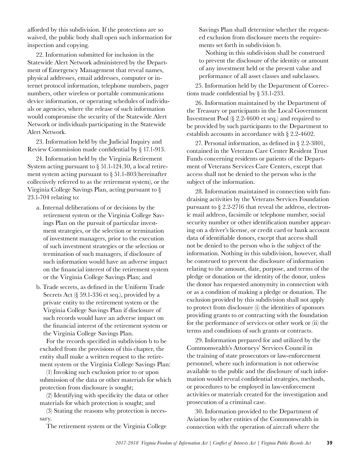afforded by this subdivision. If the protections are so waived, the public body shall open such information for inspection and copying.

22. Information submitted for inclusion in the Statewide Alert Network administered by the Department of Emergency Management that reveal names, physical addresses, email addresses, computer or internet protocol information, telephone numbers, pager numbers, other wireless or portable communications device information, or operating schedules of individuals or agencies, where the release of such information would compromise the security of the Statewide Alert Network or individuals participating in the Statewide Alert Network.

23. Information held by the Judicial Inquiry and Review Commission made confidential by § 17.1-913.

24. Information held by the Virginia Retirement System acting pursuant to  $\S 51.1$ -124.30, a local retirement system acting pursuant to § 51.1-803(hereinafter collectively referred to as the retirement system), or the Virginia College Savings Plan, acting pursuant to § 23.1-704 relating to:

- a. Internal deliberations of or decisions by the retirement system or the Virginia College Savings Plan on the pursuit of particular investment strategies, or the selection or termination of investment managers, prior to the execution of such investment strategies or the selection or termination of such managers, if disclosure of such information would have an adverse impact on the financial interest of the retirement system or the Virginia College Savings Plan; and
- b. Trade secrets, as defined in the Uniform Trade Secrets Act (§ 59.1-336 et seq.), provided by a private entity to the retirement system or the Virginia College Savings Plan if disclosure of such records would have an adverse impact on the financial interest of the retirement system or the Virginia College Savings Plan.

For the records specified in subdivision b to be excluded from the provisions of this chapter, the entity shall make a written request to the retirement system or the Virginia College Savings Plan:

(1) Invoking such exclusion prior to or upon submission of the data or other materials for which protection from disclosure is sought;

(2) Identifying with specificity the data or other materials for which protection is sought; and

(3) Stating the reasons why protection is necessary.

The retirement system or the Virginia College

Savings Plan shall determine whether the requested exclusion from disclosure meets the requirements set forth in subdivision b.

Nothing in this subdivision shall be construed to prevent the disclosure of the identity or amount of any investment held or the present value and performance of all asset classes and subclasses.

25. Information held by the Department of Corrections made confidential by § 53.1-233.

26. Information maintained by the Department of the Treasury or participants in the Local Government Investment Pool (§ 2.2-4600 et seq.) and required to be provided by such participants to the Department to establish accounts in accordance with § 2.2-4602.

27. Personal information, as defined in § 2.2-3801, contained in the Veterans Care Center Resident Trust Funds concerning residents or patients of the Department of Veterans Services Care Centers, except that access shall not be denied to the person who is the subject of the information.

28. Information maintained in connection with fundraising activities by the Veterans Services Foundation pursuant to § 2.2-2716 that reveal the address, electronic mail address, facsimile or telephone number, social security number or other identification number appearing on a driver's license, or credit card or bank account data of identifiable donors, except that access shall not be denied to the person who is the subject of the information. Nothing in this subdivision, however, shall be construed to prevent the disclosure of information relating to the amount, date, purpose, and terms of the pledge or donation or the identity of the donor, unless the donor has requested anonymity in connection with or as a condition of making a pledge or donation. The exclusion provided by this subdivision shall not apply to protect from disclosure (i) the identities of sponsors providing grants to or contracting with the foundation for the performance of services or other work or (ii) the terms and conditions of such grants or contracts.

29. Information prepared for and utilized by the Commonwealth's Attorneys' Services Council in the training of state prosecutors or law-enforcement personnel, where such information is not otherwise available to the public and the disclosure of such information would reveal confidential strategies, methods, or procedures to be employed in law-enforcement activities or materials created for the investigation and prosecution of a criminal case.

30. Information provided to the Department of Aviation by other entities of the Commonwealth in connection with the operation of aircraft where the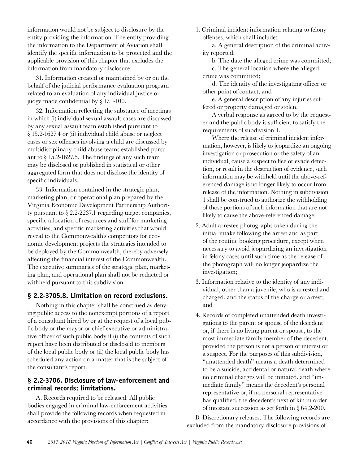information would not be subject to disclosure by the entity providing the information. The entity providing the information to the Department of Aviation shall identify the specific information to be protected and the applicable provision of this chapter that excludes the information from mandatory disclosure.

31. Information created or maintained by or on the behalf of the judicial performance evaluation program related to an evaluation of any individual justice or judge made confidential by § 17.1-100.

32. Information reflecting the substance of meetings in which (i) individual sexual assault cases are discussed by any sexual assault team established pursuant to § 15.2-1627.4 or (ii) individual child abuse or neglect cases or sex offenses involving a child are discussed by multidisciplinary child abuse teams established pursuant to § 15.2-1627.5. The findings of any such team may be disclosed or published in statistical or other aggregated form that does not disclose the identity of specific individuals.

33. Information contained in the strategic plan, marketing plan, or operational plan prepared by the Virginia Economic Development Partnership Authority pursuant to § 2.2-2237.1 regarding target companies, specific allocation of resources and staff for marketing activities, and specific marketing activities that would reveal to the Commonwealth's competitors for economic development projects the strategies intended to be deployed by the Commonwealth, thereby adversely affecting the financial interest of the Commonwealth. The executive summaries of the strategic plan, marketing plan, and operational plan shall not be redacted or withheld pursuant to this subdivision.

#### **§ 2.2-3705.8. Limitation on record exclusions.**

Nothing in this chapter shall be construed as denying public access to the nonexempt portions of a report of a consultant hired by or at the request of a local public body or the mayor or chief executive or administrative officer of such public body if (i) the contents of such report have been distributed or disclosed to members of the local public body or (ii) the local public body has scheduled any action on a matter that is the subject of the consultant's report.

#### **§ 2.2-3706. Disclosure of law-enforcement and criminal records; limitations.**

A. Records required to be released. All public bodies engaged in criminal law-enforcement activities shall provide the following records when requested in accordance with the provisions of this chapter:

1. Criminal incident information relating to felony offenses, which shall include:

a. A general description of the criminal activity reported;

b. The date the alleged crime was committed;

c. The general location where the alleged crime was committed;

d. The identity of the investigating officer or other point of contact; and

e. A general description of any injuries suffered or property damaged or stolen.

A verbal response as agreed to by the requester and the public body is sufficient to satisfy the requirements of subdivision 1.

Where the release of criminal incident information, however, is likely to jeopardize an ongoing investigation or prosecution or the safety of an individual, cause a suspect to flee or evade detection, or result in the destruction of evidence, such information may be withheld until the above-referenced damage is no longer likely to occur from release of the information. Nothing in subdivision 1 shall be construed to authorize the withholding of those portions of such information that are not likely to cause the above-referenced damage;

- 2. Adult arrestee photographs taken during the initial intake following the arrest and as part of the routine booking procedure, except when necessary to avoid jeopardizing an investigation in felony cases until such time as the release of the photograph will no longer jeopardize the investigation;
- 3. Information relative to the identity of any individual, other than a juvenile, who is arrested and charged, and the status of the charge or arrest; and
- 4. Records of completed unattended death investigations to the parent or spouse of the decedent or, if there is no living parent or spouse, to the most immediate family member of the decedent, provided the person is not a person of interest or a suspect. For the purposes of this subdivision, "unattended death" means a death determined to be a suicide, accidental or natural death where no criminal charges will be initiated, and "immediate family" means the decedent's personal representative or, if no personal representative has qualified, the decedent's next of kin in order of intestate succession as set forth in § 64.2-200.

B. Discretionary releases. The following records are excluded from the mandatory disclosure provisions of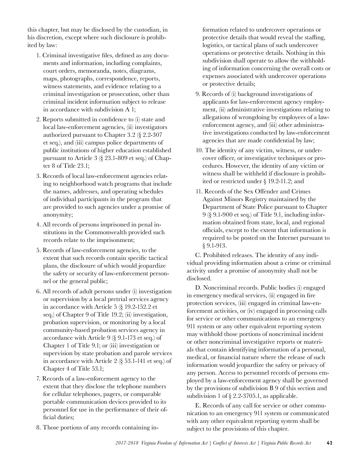this chapter, but may be disclosed by the custodian, in his discretion, except where such disclosure is prohibited by law:

- 1. Criminal investigative files, defined as any documents and information, including complaints, court orders, memoranda, notes, diagrams, maps, photographs, correspondence, reports, witness statements, and evidence relating to a criminal investigation or prosecution, other than criminal incident information subject to release in accordance with subdivision A 1;
- 2. Reports submitted in confidence to (i) state and local law-enforcement agencies, (ii) investigators authorized pursuant to Chapter 3.2 (§ 2.2-307 et seq.), and (iii) campus police departments of public institutions of higher education established pursuant to Article 3 (§ 23.1-809 et seq.) of Chapter 8 of Title 23.1;
- 3. Records of local law-enforcement agencies relating to neighborhood watch programs that include the names, addresses, and operating schedules of individual participants in the program that are provided to such agencies under a promise of anonymity;
- 4. All records of persons imprisoned in penal institutions in the Commonwealth provided such records relate to the imprisonment;
- 5. Records of law-enforcement agencies, to the extent that such records contain specific tactical plans, the disclosure of which would jeopardize the safety or security of law-enforcement personnel or the general public;
- 6. All records of adult persons under (i) investigation or supervision by a local pretrial services agency in accordance with Article 5 (§ 19.2-152.2 et seq.) of Chapter 9 of Title 19.2; (ii) investigation, probation supervision, or monitoring by a local community-based probation services agency in accordance with Article 9 (§ 9.1-173 et seq.) of Chapter 1 of Title 9.1; or (iii) investigation or supervision by state probation and parole services in accordance with Article 2 (§ 53.1-141 et seq.) of Chapter 4 of Title 53.1;
- 7. Records of a law-enforcement agency to the extent that they disclose the telephone numbers for cellular telephones, pagers, or comparable portable communication devices provided to its personnel for use in the performance of their official duties;
- 8. Those portions of any records containing in-

formation related to undercover operations or protective details that would reveal the staffing, logistics, or tactical plans of such undercover operations or protective details. Nothing in this subdivision shall operate to allow the withholding of information concerning the overall costs or expenses associated with undercover operations or protective details;

- 9. Records of (i) background investigations of applicants for law-enforcement agency employment, (ii) administrative investigations relating to allegations of wrongdoing by employees of a lawenforcement agency, and (iii) other administrative investigations conducted by law-enforcement agencies that are made confidential by law;
- 10. The identity of any victim, witness, or undercover officer, or investigative techniques or procedures. However, the identity of any victim or witness shall be withheld if disclosure is prohibited or restricted under § 19.2-11.2; and
- 11. Records of the Sex Offender and Crimes Against Minors Registry maintained by the Department of State Police pursuant to Chapter 9 (§ 9.1-900 et seq.) of Title 9.1, including information obtained from state, local, and regional officials, except to the extent that information is required to be posted on the Internet pursuant to § 9.1-913.

C. Prohibited releases. The identity of any individual providing information about a crime or criminal activity under a promise of anonymity shall not be disclosed.

D. Noncriminal records. Public bodies (i) engaged in emergency medical services, (ii) engaged in fire protection services, (iii) engaged in criminal law-enforcement activities, or (iv) engaged in processing calls for service or other communications to an emergency 911 system or any other equivalent reporting system may withhold those portions of noncriminal incident or other noncriminal investigative reports or materials that contain identifying information of a personal, medical, or financial nature where the release of such information would jeopardize the safety or privacy of any person. Access to personnel records of persons employed by a law-enforcement agency shall be governed by the provisions of subdivision B 9 of this section and subdivision 1 of § 2.2-3705.1, as applicable.

E. Records of any call for service or other communication to an emergency 911 system or communicated with any other equivalent reporting system shall be subject to the provisions of this chapter.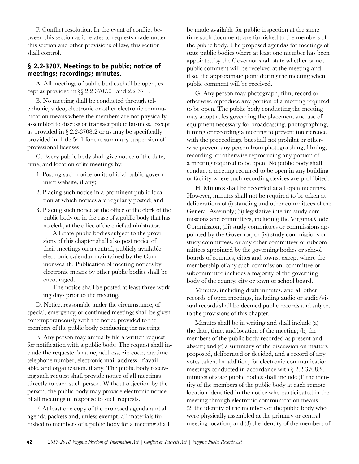F. Conflict resolution. In the event of conflict between this section as it relates to requests made under this section and other provisions of law, this section shall control.

#### **§ 2.2-3707. Meetings to be public; notice of meetings; recordings; minutes.**

A. All meetings of public bodies shall be open, except as provided in §§ 2.2-3707.01 and 2.2-3711.

B. No meeting shall be conducted through telephonic, video, electronic or other electronic communication means where the members are not physically assembled to discuss or transact public business, except as provided in § 2.2-3708.2 or as may be specifically provided in Title 54.1 for the summary suspension of professional licenses.

C. Every public body shall give notice of the date, time, and location of its meetings by:

- 1. Posting such notice on its official public government website, if any;
- 2. Placing such notice in a prominent public location at which notices are regularly posted; and
- 3. Placing such notice at the office of the clerk of the public body or, in the case of a public body that has no clerk, at the office of the chief administrator.

All state public bodies subject to the provisions of this chapter shall also post notice of their meetings on a central, publicly available electronic calendar maintained by the Commonwealth. Publication of meeting notices by electronic means by other public bodies shall be encouraged.

The notice shall be posted at least three working days prior to the meeting.

D. Notice, reasonable under the circumstance, of special, emergency, or continued meetings shall be given contemporaneously with the notice provided to the members of the public body conducting the meeting.

E. Any person may annually file a written request for notification with a public body. The request shall include the requester's name, address, zip code, daytime telephone number, electronic mail address, if available, and organization, if any. The public body receiving such request shall provide notice of all meetings directly to each such person. Without objection by the person, the public body may provide electronic notice of all meetings in response to such requests.

F. At least one copy of the proposed agenda and all agenda packets and, unless exempt, all materials furnished to members of a public body for a meeting shall be made available for public inspection at the same time such documents are furnished to the members of the public body. The proposed agendas for meetings of state public bodies where at least one member has been appointed by the Governor shall state whether or not public comment will be received at the meeting and, if so, the approximate point during the meeting when public comment will be received.

G. Any person may photograph, film, record or otherwise reproduce any portion of a meeting required to be open. The public body conducting the meeting may adopt rules governing the placement and use of equipment necessary for broadcasting, photographing, filming or recording a meeting to prevent interference with the proceedings, but shall not prohibit or otherwise prevent any person from photographing, filming, recording, or otherwise reproducing any portion of a meeting required to be open. No public body shall conduct a meeting required to be open in any building or facility where such recording devices are prohibited.

H. Minutes shall be recorded at all open meetings. However, minutes shall not be required to be taken at deliberations of (i) standing and other committees of the General Assembly; (ii) legislative interim study commissions and committees, including the Virginia Code Commission; (iii) study committees or commissions appointed by the Governor; or (iv) study commissions or study committees, or any other committees or subcommittees appointed by the governing bodies or school boards of counties, cities and towns, except where the membership of any such commission, committee or subcommittee includes a majority of the governing body of the county, city or town or school board.

Minutes, including draft minutes, and all other records of open meetings, including audio or audio/visual records shall be deemed public records and subject to the provisions of this chapter.

Minutes shall be in writing and shall include (a) the date, time, and location of the meeting; (b) the members of the public body recorded as present and absent; and (c) a summary of the discussion on matters proposed, deliberated or decided, and a record of any votes taken. In addition, for electronic communication meetings conducted in accordance with § 2.2-3708.2, minutes of state public bodies shall include (1) the identity of the members of the public body at each remote location identified in the notice who participated in the meeting through electronic communication means, (2) the identity of the members of the public body who were physically assembled at the primary or central meeting location, and (3) the identity of the members of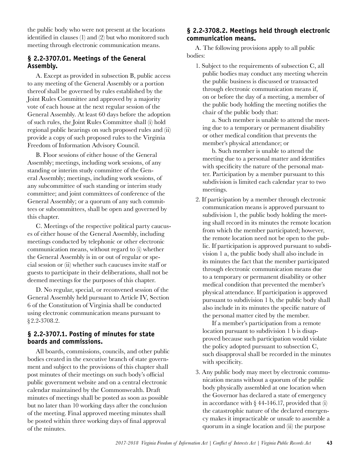the public body who were not present at the locations identified in clauses (1) and (2) but who monitored such meeting through electronic communication means.

#### **§ 2.2-3707.01. Meetings of the General Assembly.**

A. Except as provided in subsection B, public access to any meeting of the General Assembly or a portion thereof shall be governed by rules established by the Joint Rules Committee and approved by a majority vote of each house at the next regular session of the General Assembly. At least 60 days before the adoption of such rules, the Joint Rules Committee shall (i) hold regional public hearings on such proposed rules and (ii) provide a copy of such proposed rules to the Virginia Freedom of Information Advisory Council.

B. Floor sessions of either house of the General Assembly; meetings, including work sessions, of any standing or interim study committee of the General Assembly; meetings, including work sessions, of any subcommittee of such standing or interim study committee; and joint committees of conference of the General Assembly; or a quorum of any such committees or subcommittees, shall be open and governed by this chapter.

C. Meetings of the respective political party caucuses of either house of the General Assembly, including meetings conducted by telephonic or other electronic communication means, without regard to (i) whether the General Assembly is in or out of regular or special session or (ii) whether such caucuses invite staff or guests to participate in their deliberations, shall not be deemed meetings for the purposes of this chapter.

D. No regular, special, or reconvened session of the General Assembly held pursuant to Article IV, Section 6 of the Constitution of Virginia shall be conducted using electronic communication means pursuant to §2.2-3708.2.

#### **§ 2.2-3707.1. Posting of minutes for state boards and commissions.**

All boards, commissions, councils, and other public bodies created in the executive branch of state government and subject to the provisions of this chapter shall post minutes of their meetings on such body's official public government website and on a central electronic calendar maintained by the Commonwealth. Draft minutes of meetings shall be posted as soon as possible but no later than 10 working days after the conclusion of the meeting. Final approved meeting minutes shall be posted within three working days of final approval of the minutes.

#### **§ 2.2-3708.2. Meetings held through electronic communication means.**

A. The following provisions apply to all public bodies:

1. Subject to the requirements of subsection C, all public bodies may conduct any meeting wherein the public business is discussed or transacted through electronic communication means if, on or before the day of a meeting, a member of the public body holding the meeting notifies the chair of the public body that:

a. Such member is unable to attend the meeting due to a temporary or permanent disability or other medical condition that prevents the member's physical attendance; or

b. Such member is unable to attend the meeting due to a personal matter and identifies with specificity the nature of the personal matter. Participation by a member pursuant to this subdivision is limited each calendar year to two meetings.

2. If participation by a member through electronic communication means is approved pursuant to subdivision 1, the public body holding the meeting shall record in its minutes the remote location from which the member participated; however, the remote location need not be open to the public. If participation is approved pursuant to subdivision 1 a, the public body shall also include in its minutes the fact that the member participated through electronic communication means due to a temporary or permanent disability or other medical condition that prevented the member's physical attendance. If participation is approved pursuant to subdivision 1 b, the public body shall also include in its minutes the specific nature of the personal matter cited by the member.

If a member's participation from a remote location pursuant to subdivision 1 b is disapproved because such participation would violate the policy adopted pursuant to subsection C, such disapproval shall be recorded in the minutes with specificity.

3. Any public body may meet by electronic communication means without a quorum of the public body physically assembled at one location when the Governor has declared a state of emergency in accordance with § 44-146.17, provided that (i) the catastrophic nature of the declared emergency makes it impracticable or unsafe to assemble a quorum in a single location and (ii) the purpose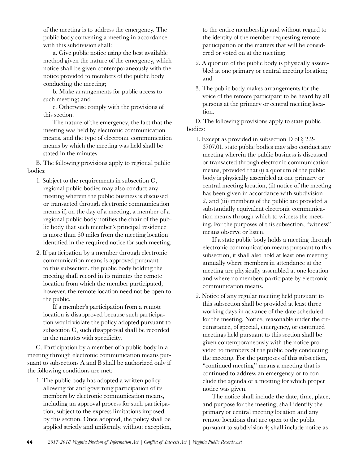of the meeting is to address the emergency. The public body convening a meeting in accordance with this subdivision shall:

a. Give public notice using the best available method given the nature of the emergency, which notice shall be given contemporaneously with the notice provided to members of the public body conducting the meeting;

b. Make arrangements for public access to such meeting; and

c. Otherwise comply with the provisions of this section.

The nature of the emergency, the fact that the meeting was held by electronic communication means, and the type of electronic communication means by which the meeting was held shall be stated in the minutes.

B. The following provisions apply to regional public bodies:

- 1. Subject to the requirements in subsection C, regional public bodies may also conduct any meeting wherein the public business is discussed or transacted through electronic communication means if, on the day of a meeting, a member of a regional public body notifies the chair of the public body that such member's principal residence is more than 60 miles from the meeting location identified in the required notice for such meeting.
- 2. If participation by a member through electronic communication means is approved pursuant to this subsection, the public body holding the meeting shall record in its minutes the remote location from which the member participated; however, the remote location need not be open to the public.

If a member's participation from a remote location is disapproved because such participation would violate the policy adopted pursuant to subsection C, such disapproval shall be recorded in the minutes with specificity.

C. Participation by a member of a public body in a meeting through electronic communication means pursuant to subsections A and B shall be authorized only if the following conditions are met:

1. The public body has adopted a written policy allowing for and governing participation of its members by electronic communication means, including an approval process for such participation, subject to the express limitations imposed by this section. Once adopted, the policy shall be applied strictly and uniformly, without exception,

to the entire membership and without regard to the identity of the member requesting remote participation or the matters that will be considered or voted on at the meeting;

- 2. A quorum of the public body is physically assembled at one primary or central meeting location; and
- 3. The public body makes arrangements for the voice of the remote participant to be heard by all persons at the primary or central meeting location.

D. The following provisions apply to state public bodies:

1. Except as provided in subsection D of § 2.2- 3707.01, state public bodies may also conduct any meeting wherein the public business is discussed or transacted through electronic communication means, provided that (i) a quorum of the public body is physically assembled at one primary or central meeting location, (ii) notice of the meeting has been given in accordance with subdivision 2, and (iii) members of the public are provided a substantially equivalent electronic communication means through which to witness the meeting. For the purposes of this subsection, "witness" means observe or listen.

If a state public body holds a meeting through electronic communication means pursuant to this subsection, it shall also hold at least one meeting annually where members in attendance at the meeting are physically assembled at one location and where no members participate by electronic communication means.

2. Notice of any regular meeting held pursuant to this subsection shall be provided at least three working days in advance of the date scheduled for the meeting. Notice, reasonable under the circumstance, of special, emergency, or continued meetings held pursuant to this section shall be given contemporaneously with the notice provided to members of the public body conducting the meeting. For the purposes of this subsection, "continued meeting" means a meeting that is continued to address an emergency or to conclude the agenda of a meeting for which proper notice was given.

The notice shall include the date, time, place, and purpose for the meeting; shall identify the primary or central meeting location and any remote locations that are open to the public pursuant to subdivision 4; shall include notice as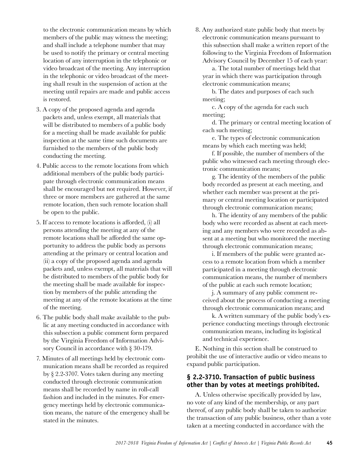to the electronic communication means by which members of the public may witness the meeting; and shall include a telephone number that may be used to notify the primary or central meeting location of any interruption in the telephonic or video broadcast of the meeting. Any interruption in the telephonic or video broadcast of the meeting shall result in the suspension of action at the meeting until repairs are made and public access is restored.

- 3. A copy of the proposed agenda and agenda packets and, unless exempt, all materials that will be distributed to members of a public body for a meeting shall be made available for public inspection at the same time such documents are furnished to the members of the public body conducting the meeting.
- 4. Public access to the remote locations from which additional members of the public body participate through electronic communication means shall be encouraged but not required. However, if three or more members are gathered at the same remote location, then such remote location shall be open to the public.
- 5. If access to remote locations is afforded, (i) all persons attending the meeting at any of the remote locations shall be afforded the same opportunity to address the public body as persons attending at the primary or central location and (ii) a copy of the proposed agenda and agenda packets and, unless exempt, all materials that will be distributed to members of the public body for the meeting shall be made available for inspection by members of the public attending the meeting at any of the remote locations at the time of the meeting.
- 6. The public body shall make available to the public at any meeting conducted in accordance with this subsection a public comment form prepared by the Virginia Freedom of Information Advisory Council in accordance with § 30-179.
- 7. Minutes of all meetings held by electronic communication means shall be recorded as required by § 2.2-3707. Votes taken during any meeting conducted through electronic communication means shall be recorded by name in roll-call fashion and included in the minutes. For emergency meetings held by electronic communication means, the nature of the emergency shall be stated in the minutes.

8. Any authorized state public body that meets by electronic communication means pursuant to this subsection shall make a written report of the following to the Virginia Freedom of Information Advisory Council by December 15 of each year:

a. The total number of meetings held that year in which there was participation through electronic communication means;

b. The dates and purposes of each such meeting;

c. A copy of the agenda for each such meeting;

d. The primary or central meeting location of each such meeting;

e. The types of electronic communication means by which each meeting was held;

f. If possible, the number of members of the public who witnessed each meeting through electronic communication means;

g. The identity of the members of the public body recorded as present at each meeting, and whether each member was present at the primary or central meeting location or participated through electronic communication means;

h. The identity of any members of the public body who were recorded as absent at each meeting and any members who were recorded as absent at a meeting but who monitored the meeting through electronic communication means;

i. If members of the public were granted access to a remote location from which a member participated in a meeting through electronic communication means, the number of members of the public at each such remote location;

j. A summary of any public comment received about the process of conducting a meeting through electronic communication means; and

k. A written summary of the public body's experience conducting meetings through electronic communication means, including its logistical and technical experience.

E. Nothing in this section shall be construed to prohibit the use of interactive audio or video means to expand public participation.

#### **§ 2.2-3710. Transaction of public business other than by votes at meetings prohibited.**

A. Unless otherwise specifically provided by law, no vote of any kind of the membership, or any part thereof, of any public body shall be taken to authorize the transaction of any public business, other than a vote taken at a meeting conducted in accordance with the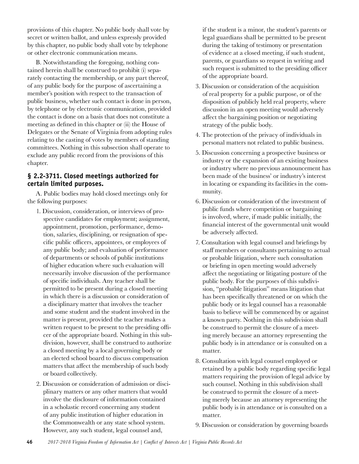provisions of this chapter. No public body shall vote by secret or written ballot, and unless expressly provided by this chapter, no public body shall vote by telephone or other electronic communication means.

B. Notwithstanding the foregoing, nothing contained herein shall be construed to prohibit (i) separately contacting the membership, or any part thereof, of any public body for the purpose of ascertaining a member's position with respect to the transaction of public business, whether such contact is done in person, by telephone or by electronic communication, provided the contact is done on a basis that does not constitute a meeting as defined in this chapter or (ii) the House of Delegates or the Senate of Virginia from adopting rules relating to the casting of votes by members of standing committees. Nothing in this subsection shall operate to exclude any public record from the provisions of this chapter.

#### **§ 2.2-3711. Closed meetings authorized for certain limited purposes.**

A. Public bodies may hold closed meetings only for the following purposes:

- 1. Discussion, consideration, or interviews of prospective candidates for employment; assignment, appointment, promotion, performance, demotion, salaries, disciplining, or resignation of specific public officers, appointees, or employees of any public body; and evaluation of performance of departments or schools of public institutions of higher education where such evaluation will necessarily involve discussion of the performance of specific individuals. Any teacher shall be permitted to be present during a closed meeting in which there is a discussion or consideration of a disciplinary matter that involves the teacher and some student and the student involved in the matter is present, provided the teacher makes a written request to be present to the presiding officer of the appropriate board. Nothing in this subdivision, however, shall be construed to authorize a closed meeting by a local governing body or an elected school board to discuss compensation matters that affect the membership of such body or board collectively.
- 2. Discussion or consideration of admission or disciplinary matters or any other matters that would involve the disclosure of information contained in a scholastic record concerning any student of any public institution of higher education in the Commonwealth or any state school system. However, any such student, legal counsel and,

if the student is a minor, the student's parents or legal guardians shall be permitted to be present during the taking of testimony or presentation of evidence at a closed meeting, if such student, parents, or guardians so request in writing and such request is submitted to the presiding officer of the appropriate board.

- 3. Discussion or consideration of the acquisition of real property for a public purpose, or of the disposition of publicly held real property, where discussion in an open meeting would adversely affect the bargaining position or negotiating strategy of the public body.
- 4. The protection of the privacy of individuals in personal matters not related to public business.
- 5. Discussion concerning a prospective business or industry or the expansion of an existing business or industry where no previous announcement has been made of the business' or industry's interest in locating or expanding its facilities in the community.
- 6. Discussion or consideration of the investment of public funds where competition or bargaining is involved, where, if made public initially, the financial interest of the governmental unit would be adversely affected.
- 7. Consultation with legal counsel and briefings by staff members or consultants pertaining to actual or probable litigation, where such consultation or briefing in open meeting would adversely affect the negotiating or litigating posture of the public body. For the purposes of this subdivision, "probable litigation" means litigation that has been specifically threatened or on which the public body or its legal counsel has a reasonable basis to believe will be commenced by or against a known party. Nothing in this subdivision shall be construed to permit the closure of a meeting merely because an attorney representing the public body is in attendance or is consulted on a matter.
- 8. Consultation with legal counsel employed or retained by a public body regarding specific legal matters requiring the provision of legal advice by such counsel. Nothing in this subdivision shall be construed to permit the closure of a meeting merely because an attorney representing the public body is in attendance or is consulted on a matter.
- 9. Discussion or consideration by governing boards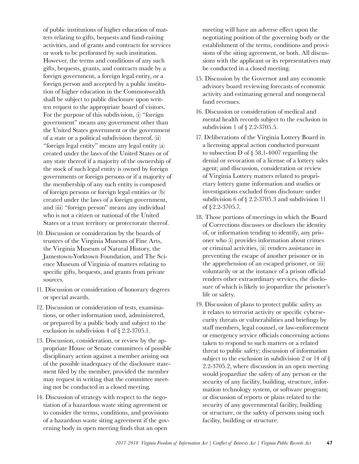of public institutions of higher education of matters relating to gifts, bequests and fund-raising activities, and of grants and contracts for services or work to be performed by such institution. However, the terms and conditions of any such gifts, bequests, grants, and contracts made by a foreign government, a foreign legal entity, or a foreign person and accepted by a public institution of higher education in the Commonwealth shall be subject to public disclosure upon written request to the appropriate board of visitors. For the purpose of this subdivision, (i) "foreign government" means any government other than the United States government or the government of a state or a political subdivision thereof, (ii) "foreign legal entity" means any legal entity (a) created under the laws of the United States or of any state thereof if a majority of the ownership of the stock of such legal entity is owned by foreign governments or foreign persons or if a majority of the membership of any such entity is composed of foreign persons or foreign legal entities or (b) created under the laws of a foreign government, and (iii) "foreign person" means any individual who is not a citizen or national of the United States or a trust territory or protectorate thereof.

- 10. Discussion or consideration by the boards of trustees of the Virginia Museum of Fine Arts, the Virginia Museum of Natural History, the Jamestown-Yorktown Foundation, and The Science Museum of Virginia of matters relating to specific gifts, bequests, and grants from private sources.
- 11. Discussion or consideration of honorary degrees or special awards.
- 12. Discussion or consideration of tests, examinations, or other information used, administered, or prepared by a public body and subject to the exclusion in subdivision 4 of § 2.2-3705.1.
- 13. Discussion, consideration, or review by the appropriate House or Senate committees of possible disciplinary action against a member arising out of the possible inadequacy of the disclosure statement filed by the member, provided the member may request in writing that the committee meeting not be conducted in a closed meeting.
- 14. Discussion of strategy with respect to the negotiation of a hazardous waste siting agreement or to consider the terms, conditions, and provisions of a hazardous waste siting agreement if the governing body in open meeting finds that an open

meeting will have an adverse effect upon the negotiating position of the governing body or the establishment of the terms, conditions and provisions of the siting agreement, or both. All discussions with the applicant or its representatives may be conducted in a closed meeting.

- 15. Discussion by the Governor and any economic advisory board reviewing forecasts of economic activity and estimating general and nongeneral fund revenues.
- 16. Discussion or consideration of medical and mental health records subject to the exclusion in subdivision 1 of § 2.2-3705.5.
- 17. Deliberations of the Virginia Lottery Board in a licensing appeal action conducted pursuant to subsection D of § 58.1-4007 regarding the denial or revocation of a license of a lottery sales agent; and discussion, consideration or review of Virginia Lottery matters related to proprietary lottery game information and studies or investigations excluded from disclosure under subdivision 6 of § 2.2-3705.3 and subdivision 11 of § 2.2-3705.7.
- 18. Those portions of meetings in which the Board of Corrections discusses or discloses the identity of, or information tending to identify, any prisoner who (i) provides information about crimes or criminal activities, (ii) renders assistance in preventing the escape of another prisoner or in the apprehension of an escaped prisoner, or (iii) voluntarily or at the instance of a prison official renders other extraordinary services, the disclosure of which is likely to jeopardize the prisoner's life or safety.
- 19. Discussion of plans to protect public safety as it relates to terrorist activity or specific cybersecurity threats or vulnerabilities and briefings by staff members, legal counsel, or law-enforcement or emergency service officials concerning actions taken to respond to such matters or a related threat to public safety; discussion of information subject to the exclusion in subdivision 2 or 14 of § 2.2-3705.2, where discussion in an open meeting would jeopardize the safety of any person or the security of any facility, building, structure, information technology system, or software program; or discussion of reports or plans related to the security of any governmental facility, building or structure, or the safety of persons using such facility, building or structure.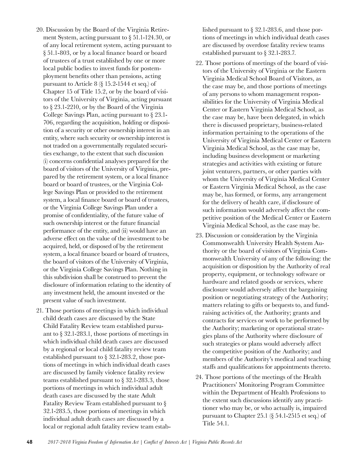- 20. Discussion by the Board of the Virginia Retirement System, acting pursuant to § 51.1-124.30, or of any local retirement system, acting pursuant to § 51.1-803, or by a local finance board or board of trustees of a trust established by one or more local public bodies to invest funds for postemployment benefits other than pensions, acting pursuant to Article 8 (§ 15.2-1544 et seq.) of Chapter 15 of Title 15.2, or by the board of visitors of the University of Virginia, acting pursuant to § 23.1-2210, or by the Board of the Virginia College Savings Plan, acting pursuant to § 23.1- 706, regarding the acquisition, holding or disposition of a security or other ownership interest in an entity, where such security or ownership interest is not traded on a governmentally regulated securities exchange, to the extent that such discussion (i) concerns confidential analyses prepared for the board of visitors of the University of Virginia, prepared by the retirement system, or a local finance board or board of trustees, or the Virginia College Savings Plan or provided to the retirement system, a local finance board or board of trustees, or the Virginia College Savings Plan under a promise of confidentiality, of the future value of such ownership interest or the future financial performance of the entity, and (ii) would have an adverse effect on the value of the investment to be acquired, held, or disposed of by the retirement system, a local finance board or board of trustees, the board of visitors of the University of Virginia, or the Virginia College Savings Plan. Nothing in this subdivision shall be construed to prevent the disclosure of information relating to the identity of any investment held, the amount invested or the present value of such investment.
- 21. Those portions of meetings in which individual child death cases are discussed by the State Child Fatality Review team established pursuant to § 32.1-283.1, those portions of meetings in which individual child death cases are discussed by a regional or local child fatality review team established pursuant to § 32.1-283.2, those portions of meetings in which individual death cases are discussed by family violence fatality review teams established pursuant to § 32.1-283.3, those portions of meetings in which individual adult death cases are discussed by the state Adult Fatality Review Team established pursuant to § 32.1-283.5, those portions of meetings in which individual adult death cases are discussed by a local or regional adult fatality review team estab-

lished pursuant to § 32.1-283.6, and those portions of meetings in which individual death cases are discussed by overdose fatality review teams established pursuant to § 32.1-283.7.

- 22. Those portions of meetings of the board of visitors of the University of Virginia or the Eastern Virginia Medical School Board of Visitors, as the case may be, and those portions of meetings of any persons to whom management responsibilities for the University of Virginia Medical Center or Eastern Virginia Medical School, as the case may be, have been delegated, in which there is discussed proprietary, business-related information pertaining to the operations of the University of Virginia Medical Center or Eastern Virginia Medical School, as the case may be, including business development or marketing strategies and activities with existing or future joint venturers, partners, or other parties with whom the University of Virginia Medical Center or Eastern Virginia Medical School, as the case may be, has formed, or forms, any arrangement for the delivery of health care, if disclosure of such information would adversely affect the competitive position of the Medical Center or Eastern Virginia Medical School, as the case may be.
- 23. Discussion or consideration by the Virginia Commonwealth University Health System Authority or the board of visitors of Virginia Commonwealth University of any of the following: the acquisition or disposition by the Authority of real property, equipment, or technology software or hardware and related goods or services, where disclosure would adversely affect the bargaining position or negotiating strategy of the Authority; matters relating to gifts or bequests to, and fundraising activities of, the Authority; grants and contracts for services or work to be performed by the Authority; marketing or operational strategies plans of the Authority where disclosure of such strategies or plans would adversely affect the competitive position of the Authority; and members of the Authority's medical and teaching staffs and qualifications for appointments thereto.
- 24. Those portions of the meetings of the Health Practitioners' Monitoring Program Committee within the Department of Health Professions to the extent such discussions identify any practitioner who may be, or who actually is, impaired pursuant to Chapter 25.1 (§ 54.1-2515 et seq.) of Title 54.1.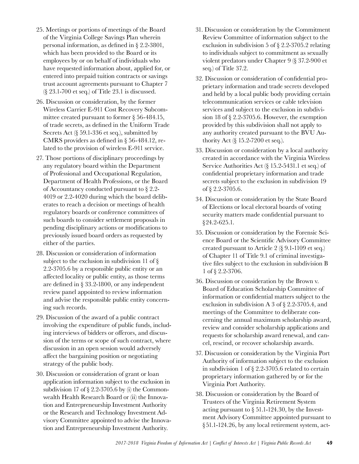- 25. Meetings or portions of meetings of the Board of the Virginia College Savings Plan wherein personal information, as defined in § 2.2-3801, which has been provided to the Board or its employees by or on behalf of individuals who have requested information about, applied for, or entered into prepaid tuition contracts or savings trust account agreements pursuant to Chapter 7 (§ 23.1-700 et seq.) of Title 23.1 is discussed.
- 26. Discussion or consideration, by the former Wireless Carrier E-911 Cost Recovery Subcommittee created pursuant to former  $\S 56-484.15$ , of trade secrets, as defined in the Uniform Trade Secrets Act (§ 59.1-336 et seq.), submitted by CMRS providers as defined in § 56-484.12, related to the provision of wireless E-911 service.
- 27. Those portions of disciplinary proceedings by any regulatory board within the Department of Professional and Occupational Regulation, Department of Health Professions, or the Board of Accountancy conducted pursuant to § 2.2- 4019 or 2.2-4020 during which the board deliberates to reach a decision or meetings of health regulatory boards or conference committees of such boards to consider settlement proposals in pending disciplinary actions or modifications to previously issued board orders as requested by either of the parties.
- 28. Discussion or consideration of information subject to the exclusion in subdivision 11 of § 2.2-3705.6 by a responsible public entity or an affected locality or public entity, as those terms are defined in § 33.2-1800, or any independent review panel appointed to review information and advise the responsible public entity concerning such records.
- 29. Discussion of the award of a public contract involving the expenditure of public funds, including interviews of bidders or offerors, and discussion of the terms or scope of such contract, where discussion in an open session would adversely affect the bargaining position or negotiating strategy of the public body.
- 30. Discussion or consideration of grant or loan application information subject to the exclusion in subdivision 17 of  $\S 2.2$ -3705.6 by (i) the Commonwealth Health Research Board or (ii) the Innovation and Entrepreneurship Investment Authority or the Research and Technology Investment Advisory Committee appointed to advise the Innovation and Entrepreneurship Investment Authority.
- 31. Discussion or consideration by the Commitment Review Committee of information subject to the exclusion in subdivision 5 of § 2.2-3705.2 relating to individuals subject to commitment as sexually violent predators under Chapter 9 (§ 37.2-900 et seq.) of Title 37.2.
- 32. Discussion or consideration of confidential proprietary information and trade secrets developed and held by a local public body providing certain telecommunication services or cable television services and subject to the exclusion in subdivision 18 of § 2.2-3705.6. However, the exemption provided by this subdivision shall not apply to any authority created pursuant to the BVU Authority Act  $(\S 15.2-7200$  et seq.).
- 33. Discussion or consideration by a local authority created in accordance with the Virginia Wireless Service Authorities Act (§ 15.2-5431.1 et seq.) of confidential proprietary information and trade secrets subject to the exclusion in subdivision 19 of § 2.2-3705.6.
- 34. Discussion or consideration by the State Board of Elections or local electoral boards of voting security matters made confidential pursuant to §24.2-625.1.
- 35. Discussion or consideration by the Forensic Science Board or the Scientific Advisory Committee created pursuant to Article 2 (§ 9.1-1109 et seq.) of Chapter 11 of Title 9.1 of criminal investigative files subject to the exclusion in subdivision B 1 of § 2.2-3706.
- 36. Discussion or consideration by the Brown v. Board of Education Scholarship Committee of information or confidential matters subject to the exclusion in subdivision A 3 of § 2.2-3705.4, and meetings of the Committee to deliberate concerning the annual maximum scholarship award, review and consider scholarship applications and requests for scholarship award renewal, and cancel, rescind, or recover scholarship awards.
- 37. Discussion or consideration by the Virginia Port Authority of information subject to the exclusion in subdivision 1 of § 2.2-3705.6 related to certain proprietary information gathered by or for the Virginia Port Authority.
- 38. Discussion or consideration by the Board of Trustees of the Virginia Retirement System acting pursuant to  $\S 51.1-124.30$ , by the Investment Advisory Committee appointed pursuant to §51.1-124.26, by any local retirement system, act-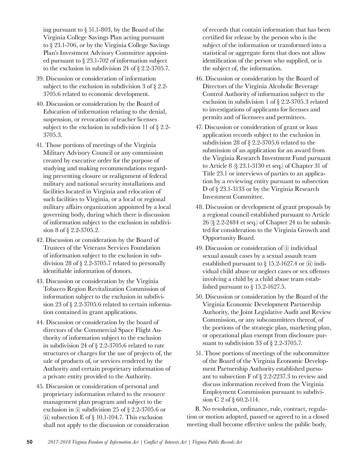ing pursuant to § 51.1-803, by the Board of the Virginia College Savings Plan acting pursuant to § 23.1-706, or by the Virginia College Savings Plan's Investment Advisory Committee appointed pursuant to § 23.1-702 of information subject to the exclusion in subdivision 24 of § 2.2-3705.7.

- 39. Discussion or consideration of information subject to the exclusion in subdivision 3 of § 2.2- 3705.6 related to economic development.
- 40. Discussion or consideration by the Board of Education of information relating to the denial, suspension, or revocation of teacher licenses subject to the exclusion in subdivision 11 of § 2.2- 3705.3.
- 41. Those portions of meetings of the Virginia Military Advisory Council or any commission created by executive order for the purpose of studying and making recommendations regarding preventing closure or realignment of federal military and national security installations and facilities located in Virginia and relocation of such facilities to Virginia, or a local or regional military affairs organization appointed by a local governing body, during which there is discussion of information subject to the exclusion in subdivision 8 of § 2.2-3705.2.
- 42. Discussion or consideration by the Board of Trustees of the Veterans Services Foundation of information subject to the exclusion in subdivision 28 of § 2.2-3705.7 related to personally identifiable information of donors.
- 43. Discussion or consideration by the Virginia Tobacco Region Revitalization Commission of information subject to the exclusion in subdivision 23 of § 2.2-3705.6 related to certain information contained in grant applications.
- 44. Discussion or consideration by the board of directors of the Commercial Space Flight Authority of information subject to the exclusion in subdivision 24 of § 2.2-3705.6 related to rate structures or charges for the use of projects of, the sale of products of, or services rendered by the Authority and certain proprietary information of a private entity provided to the Authority.
- 45. Discussion or consideration of personal and proprietary information related to the resource management plan program and subject to the exclusion in (i) subdivision 25 of § 2.2-3705.6 or (ii) subsection  $E$  of  $\S$  10.1-104.7. This exclusion shall not apply to the discussion or consideration

of records that contain information that has been certified for release by the person who is the subject of the information or transformed into a statistical or aggregate form that does not allow identification of the person who supplied, or is the subject of, the information.

- 46. Discussion or consideration by the Board of Directors of the Virginia Alcoholic Beverage Control Authority of information subject to the exclusion in subdivision 1 of § 2.2-3705.3 related to investigations of applicants for licenses and permits and of licensees and permittees.
- 47. Discussion or consideration of grant or loan application records subject to the exclusion in subdivision 28 of § 2.2-3705.6 related to the submission of an application for an award from the Virginia Research Investment Fund pursuant to Article 8 (§ 23.1-3130 et seq.) of Chapter 31 of Title 23.1 or interviews of parties to an application by a reviewing entity pursuant to subsection D of § 23.1-3133 or by the Virginia Research Investment Committee.
- 48. Discussion or development of grant proposals by a regional council established pursuant to Article 26 (§ 2.2-2484 et seq.) of Chapter 24 to be submitted for consideration to the Virginia Growth and Opportunity Board.
- 49. Discussion or consideration of (i) individual sexual assault cases by a sexual assault team established pursuant to § 15.2-1627.4 or (ii) individual child abuse or neglect cases or sex offenses involving a child by a child abuse team established pursuant to § 15.2-1627.5.
- 50. Discussion or consideration by the Board of the Virginia Economic Development Partnership Authority, the Joint Legislative Audit and Review Commission, or any subcommittees thereof, of the portions of the strategic plan, marketing plan, or operational plan exempt from disclosure pursuant to subdivision 33 of § 2.2-3705.7.
- 51. Those portions of meetings of the subcommittee of the Board of the Virginia Economic Development Partnership Authority established pursuant to subsection F of § 2.2-2237.3 to review and discuss information received from the Virginia Employment Commission pursuant to subdivision C 2 of § 60.2-114.

B. No resolution, ordinance, rule, contract, regulation or motion adopted, passed or agreed to in a closed meeting shall become effective unless the public body,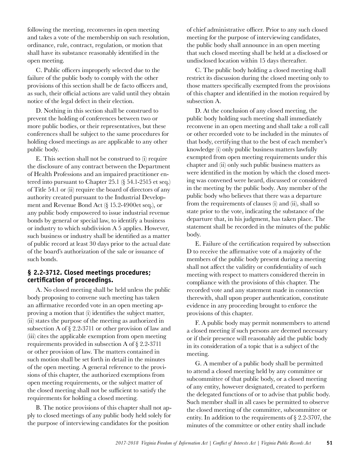following the meeting, reconvenes in open meeting and takes a vote of the membership on such resolution, ordinance, rule, contract, regulation, or motion that shall have its substance reasonably identified in the open meeting.

C. Public officers improperly selected due to the failure of the public body to comply with the other provisions of this section shall be de facto officers and, as such, their official actions are valid until they obtain notice of the legal defect in their election.

D. Nothing in this section shall be construed to prevent the holding of conferences between two or more public bodies, or their representatives, but these conferences shall be subject to the same procedures for holding closed meetings as are applicable to any other public body.

E. This section shall not be construed to (i) require the disclosure of any contract between the Department of Health Professions and an impaired practitioner entered into pursuant to Chapter 25.1 (§ 54.1-2515 et seq.) of Title 54.1 or (ii) require the board of directors of any authority created pursuant to the Industrial Development and Revenue Bond Act (§ 15.2-4900et seq.), or any public body empowered to issue industrial revenue bonds by general or special law, to identify a business or industry to which subdivision A 5 applies. However, such business or industry shall be identified as a matter of public record at least 30 days prior to the actual date of the board's authorization of the sale or issuance of such bonds.

#### **§ 2.2-3712. Closed meetings procedures; certification of proceedings.**

A. No closed meeting shall be held unless the public body proposing to convene such meeting has taken an affirmative recorded vote in an open meeting approving a motion that (i) identifies the subject matter, (ii) states the purpose of the meeting as authorized in subsection A of § 2.2-3711 or other provision of law and (iii) cites the applicable exemption from open meeting requirements provided in subsection A of § 2.2-3711 or other provision of law. The matters contained in such motion shall be set forth in detail in the minutes of the open meeting. A general reference to the provisions of this chapter, the authorized exemptions from open meeting requirements, or the subject matter of the closed meeting shall not be sufficient to satisfy the requirements for holding a closed meeting.

B. The notice provisions of this chapter shall not apply to closed meetings of any public body held solely for the purpose of interviewing candidates for the position

of chief administrative officer. Prior to any such closed meeting for the purpose of interviewing candidates, the public body shall announce in an open meeting that such closed meeting shall be held at a disclosed or undisclosed location within 15 days thereafter.

C. The public body holding a closed meeting shall restrict its discussion during the closed meeting only to those matters specifically exempted from the provisions of this chapter and identified in the motion required by subsection A.

D. At the conclusion of any closed meeting, the public body holding such meeting shall immediately reconvene in an open meeting and shall take a roll call or other recorded vote to be included in the minutes of that body, certifying that to the best of each member's knowledge (i) only public business matters lawfully exempted from open meeting requirements under this chapter and (ii) only such public business matters as were identified in the motion by which the closed meeting was convened were heard, discussed or considered in the meeting by the public body. Any member of the public body who believes that there was a departure from the requirements of clauses (i) and (ii), shall so state prior to the vote, indicating the substance of the departure that, in his judgment, has taken place. The statement shall be recorded in the minutes of the public body.

E. Failure of the certification required by subsection D to receive the affirmative vote of a majority of the members of the public body present during a meeting shall not affect the validity or confidentiality of such meeting with respect to matters considered therein in compliance with the provisions of this chapter. The recorded vote and any statement made in connection therewith, shall upon proper authentication, constitute evidence in any proceeding brought to enforce the provisions of this chapter.

F. A public body may permit nonmembers to attend a closed meeting if such persons are deemed necessary or if their presence will reasonably aid the public body in its consideration of a topic that is a subject of the meeting.

G. A member of a public body shall be permitted to attend a closed meeting held by any committee or subcommittee of that public body, or a closed meeting of any entity, however designated, created to perform the delegated functions of or to advise that public body. Such member shall in all cases be permitted to observe the closed meeting of the committee, subcommittee or entity. In addition to the requirements of § 2.2-3707, the minutes of the committee or other entity shall include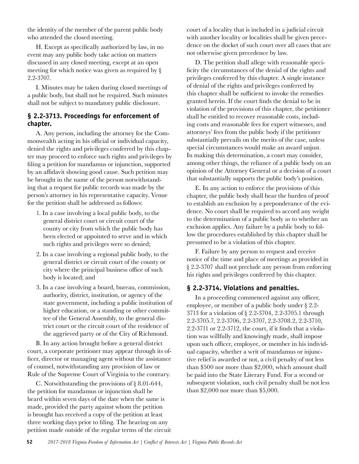the identity of the member of the parent public body who attended the closed meeting.

H. Except as specifically authorized by law, in no event may any public body take action on matters discussed in any closed meeting, except at an open meeting for which notice was given as required by § 2.2-3707.

I. Minutes may be taken during closed meetings of a public body, but shall not be required. Such minutes shall not be subject to mandatory public disclosure.

#### **§ 2.2-3713. Proceedings for enforcement of chapter.**

A. Any person, including the attorney for the Commonwealth acting in his official or individual capacity, denied the rights and privileges conferred by this chapter may proceed to enforce such rights and privileges by filing a petition for mandamus or injunction, supported by an affidavit showing good cause. Such petition may be brought in the name of the person notwithstanding that a request for public records was made by the person's attorney in his representative capacity. Venue for the petition shall be addressed as follows:

- 1. In a case involving a local public body, to the general district court or circuit court of the county or city from which the public body has been elected or appointed to serve and in which such rights and privileges were so denied;
- 2. In a case involving a regional public body, to the general district or circuit court of the county or city where the principal business office of such body is located; and
- 3. In a case involving a board, bureau, commission, authority, district, institution, or agency of the state government, including a public institution of higher education, or a standing or other committee of the General Assembly, to the general district court or the circuit court of the residence of the aggrieved party or of the City of Richmond.

B. In any action brought before a general district court, a corporate petitioner may appear through its officer, director or managing agent without the assistance of counsel, notwithstanding any provision of law or Rule of the Supreme Court of Virginia to the contrary.

C. Notwithstanding the provisions of § 8.01-644, the petition for mandamus or injunction shall be heard within seven days of the date when the same is made, provided the party against whom the petition is brought has received a copy of the petition at least three working days prior to filing. The hearing on any petition made outside of the regular terms of the circuit court of a locality that is included in a judicial circuit with another locality or localities shall be given precedence on the docket of such court over all cases that are not otherwise given precedence by law.

D. The petition shall allege with reasonable specificity the circumstances of the denial of the rights and privileges conferred by this chapter. A single instance of denial of the rights and privileges conferred by this chapter shall be sufficient to invoke the remedies granted herein. If the court finds the denial to be in violation of the provisions of this chapter, the petitioner shall be entitled to recover reasonable costs, including costs and reasonable fees for expert witnesses, and attorneys' fees from the public body if the petitioner substantially prevails on the merits of the case, unless special circumstances would make an award unjust. In making this determination, a court may consider, among other things, the reliance of a public body on an opinion of the Attorney General or a decision of a court that substantially supports the public body's position.

E. In any action to enforce the provisions of this chapter, the public body shall bear the burden of proof to establish an exclusion by a preponderance of the evidence. No court shall be required to accord any weight to the determination of a public body as to whether an exclusion applies. Any failure by a public body to follow the procedures established by this chapter shall be presumed to be a violation of this chapter.

F. Failure by any person to request and receive notice of the time and place of meetings as provided in § 2.2-3707 shall not preclude any person from enforcing his rights and privileges conferred by this chapter.

#### **§ 2.2-3714. Violations and penalties.**

In a proceeding commenced against any officer, employee, or member of a public body under § 2.2- 3713 for a violation of § 2.2-3704, 2.2-3705.1 through 2.2-3705.7, 2.2-3706, 2.2-3707, 2.2-3708.2, 2.2-3710, 2.2-3711 or 2.2-3712, the court, if it finds that a violation was willfully and knowingly made, shall impose upon such officer, employee, or member in his individual capacity, whether a writ of mandamus or injunctive relief is awarded or not, a civil penalty of not less than \$500 nor more than \$2,000, which amount shall be paid into the State Literary Fund. For a second or subsequent violation, such civil penalty shall be not less than \$2,000 nor more than \$5,000.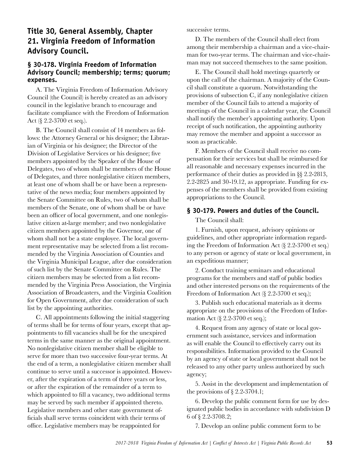## **Title 30, General Assembly, Chapter 21. Virginia Freedom of Information Advisory Council.**

#### **§ 30-178. Virginia Freedom of Information Advisory Council; membership; terms; quorum; expenses.**

A. The Virginia Freedom of Information Advisory Council (the Council) is hereby created as an advisory council in the legislative branch to encourage and facilitate compliance with the Freedom of Information Act (§ 2.2-3700 et seq.).

B. The Council shall consist of 14 members as follows: the Attorney General or his designee; the Librarian of Virginia or his designee; the Director of the Division of Legislative Services or his designee; five members appointed by the Speaker of the House of Delegates, two of whom shall be members of the House of Delegates, and three nonlegislative citizen members, at least one of whom shall be or have been a representative of the news media; four members appointed by the Senate Committee on Rules, two of whom shall be members of the Senate, one of whom shall be or have been an officer of local government, and one nonlegislative citizen at-large member; and two nonlegislative citizen members appointed by the Governor, one of whom shall not be a state employee. The local government representative may be selected from a list recommended by the Virginia Association of Counties and the Virginia Municipal League, after due consideration of such list by the Senate Committee on Rules. The citizen members may be selected from a list recommended by the Virginia Press Association, the Virginia Association of Broadcasters, and the Virginia Coalition for Open Government, after due consideration of such list by the appointing authorities.

C. All appointments following the initial staggering of terms shall be for terms of four years, except that appointments to fill vacancies shall be for the unexpired terms in the same manner as the original appointment. No nonlegislative citizen member shall be eligible to serve for more than two successive four-year terms. At the end of a term, a nonlegislative citizen member shall continue to serve until a successor is appointed. However, after the expiration of a term of three years or less, or after the expiration of the remainder of a term to which appointed to fill a vacancy, two additional terms may be served by such member if appointed thereto. Legislative members and other state government officials shall serve terms coincident with their terms of office. Legislative members may be reappointed for

successive terms.

D. The members of the Council shall elect from among their membership a chairman and a vice-chairman for two-year terms. The chairman and vice-chairman may not succeed themselves to the same position.

E. The Council shall hold meetings quarterly or upon the call of the chairman. A majority of the Council shall constitute a quorum. Notwithstanding the provisions of subsection C, if any nonlegislative citizen member of the Council fails to attend a majority of meetings of the Council in a calendar year, the Council shall notify the member's appointing authority. Upon receipt of such notification, the appointing authority may remove the member and appoint a successor as soon as practicable.

F. Members of the Council shall receive no compensation for their services but shall be reimbursed for all reasonable and necessary expenses incurred in the performance of their duties as provided in §§ 2.2-2813, 2.2-2825 and 30-19.12, as appropriate. Funding for expenses of the members shall be provided from existing appropriations to the Council.

#### **§ 30-179. Powers and duties of the Council.**

#### The Council shall:

1. Furnish, upon request, advisory opinions or guidelines, and other appropriate information regarding the Freedom of Information Act (§ 2.2-3700 et seq.) to any person or agency of state or local government, in an expeditious manner;

2. Conduct training seminars and educational programs for the members and staff of public bodies and other interested persons on the requirements of the Freedom of Information Act (§ 2.2-3700 et seq.);

3. Publish such educational materials as it deems appropriate on the provisions of the Freedom of Information Act (§ 2.2-3700 et seq.);

4. Request from any agency of state or local government such assistance, services and information as will enable the Council to effectively carry out its responsibilities. Information provided to the Council by an agency of state or local government shall not be released to any other party unless authorized by such agency;

5. Assist in the development and implementation of the provisions of § 2.2-3704.1;

6. Develop the public comment form for use by designated public bodies in accordance with subdivision D 6 of § 2.2-3708.2;

7. Develop an online public comment form to be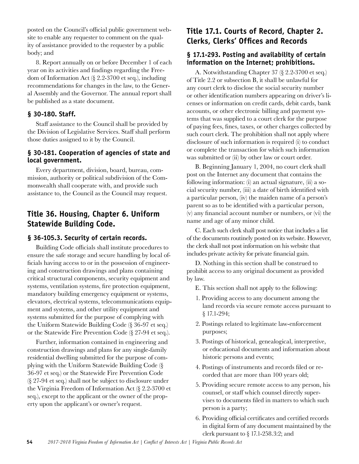posted on the Council's official public government website to enable any requester to comment on the quality of assistance provided to the requester by a public body; and

8. Report annually on or before December 1 of each year on its activities and findings regarding the Freedom of Information Act (§ 2.2-3700 et seq.), including recommendations for changes in the law, to the General Assembly and the Governor. The annual report shall be published as a state document.

#### **§ 30-180. Staff.**

Staff assistance to the Council shall be provided by the Division of Legislative Services. Staff shall perform those duties assigned to it by the Council.

#### **§ 30-181. Cooperation of agencies of state and local government.**

Every department, division, board, bureau, commission, authority or political subdivision of the Commonwealth shall cooperate with, and provide such assistance to, the Council as the Council may request.

## **Title 36. Housing, Chapter 6. Uniform Statewide Building Code.**

#### **§ 36-105.3. Security of certain records.**

Building Code officials shall institute procedures to ensure the safe storage and secure handling by local officials having access to or in the possession of engineering and construction drawings and plans containing critical structural components, security equipment and systems, ventilation systems, fire protection equipment, mandatory building emergency equipment or systems, elevators, electrical systems, telecommunications equipment and systems, and other utility equipment and systems submitted for the purpose of complying with the Uniform Statewide Building Code (§ 36-97 et seq.) or the Statewide Fire Prevention Code (§ 27-94 et seq.).

Further, information contained in engineering and construction drawings and plans for any single-family residential dwelling submitted for the purpose of complying with the Uniform Statewide Building Code (§ 36-97 et seq.) or the Statewide Fire Prevention Code (§ 27-94 et seq.) shall not be subject to disclosure under the Virginia Freedom of Information Act (§ 2.2-3700 et seq.), except to the applicant or the owner of the property upon the applicant's or owner's request.

## **Title 17.1. Courts of Record, Chapter 2. Clerks, Clerks' Offices and Records**

#### **§ 17.1-293. Posting and availability of certain information on the Internet; prohibitions.**

A. Notwithstanding Chapter 37 (§ 2.2-3700 et seq.) of Title 2.2 or subsection B, it shall be unlawful for any court clerk to disclose the social security number or other identification numbers appearing on driver's licenses or information on credit cards, debit cards, bank accounts, or other electronic billing and payment systems that was supplied to a court clerk for the purpose of paying fees, fines, taxes, or other charges collected by such court clerk. The prohibition shall not apply where disclosure of such information is required (i) to conduct or complete the transaction for which such information was submitted or (ii) by other law or court order.

B. Beginning January 1, 2004, no court clerk shall post on the Internet any document that contains the following information: (i) an actual signature, (ii) a social security number, (iii) a date of birth identified with a particular person, (iv) the maiden name of a person's parent so as to be identified with a particular person, (v) any financial account number or numbers, or (vi) the name and age of any minor child.

C. Each such clerk shall post notice that includes a list of the documents routinely posted on its website. However, the clerk shall not post information on his website that includes private activity for private financial gain.

D. Nothing in this section shall be construed to prohibit access to any original document as provided by law.

- E. This section shall not apply to the following:
- 1. Providing access to any document among the land records via secure remote access pursuant to § 17.1-294;
- 2. Postings related to legitimate law-enforcement purposes;
- 3. Postings of historical, genealogical, interpretive, or educational documents and information about historic persons and events;
- 4. Postings of instruments and records filed or recorded that are more than 100 years old;
- 5. Providing secure remote access to any person, his counsel, or staff which counsel directly supervises to documents filed in matters to which such person is a party;
- 6. Providing official certificates and certified records in digital form of any document maintained by the clerk pursuant to § 17.1-258.3:2; and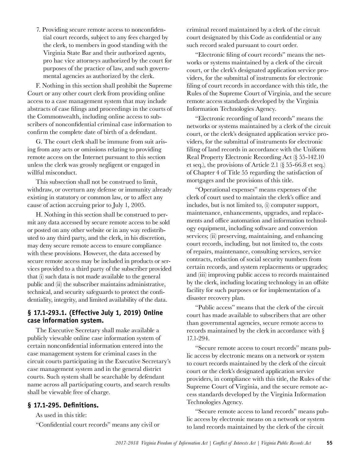7. Providing secure remote access to nonconfidential court records, subject to any fees charged by the clerk, to members in good standing with the Virginia State Bar and their authorized agents, pro hac vice attorneys authorized by the court for purposes of the practice of law, and such governmental agencies as authorized by the clerk.

F. Nothing in this section shall prohibit the Supreme Court or any other court clerk from providing online access to a case management system that may include abstracts of case filings and proceedings in the courts of the Commonwealth, including online access to subscribers of nonconfidential criminal case information to confirm the complete date of birth of a defendant.

G. The court clerk shall be immune from suit arising from any acts or omissions relating to providing remote access on the Internet pursuant to this section unless the clerk was grossly negligent or engaged in willful misconduct.

This subsection shall not be construed to limit, withdraw, or overturn any defense or immunity already existing in statutory or common law, or to affect any cause of action accruing prior to July 1, 2005.

H. Nothing in this section shall be construed to permit any data accessed by secure remote access to be sold or posted on any other website or in any way redistributed to any third party, and the clerk, in his discretion, may deny secure remote access to ensure compliance with these provisions. However, the data accessed by secure remote access may be included in products or services provided to a third party of the subscriber provided that (i) such data is not made available to the general public and (ii) the subscriber maintains administrative, technical, and security safeguards to protect the confidentiality, integrity, and limited availability of the data.

#### **§ 17.1-293.1. (Effective July 1, 2019) Online case information system.**

The Executive Secretary shall make available a publicly viewable online case information system of certain nonconfidential information entered into the case management system for criminal cases in the circuit courts participating in the Executive Secretary's case management system and in the general district courts. Such system shall be searchable by defendant name across all participating courts, and search results shall be viewable free of charge.

#### **§ 17.1-295. Definitions.**

As used in this title:

"Confidential court records" means any civil or

criminal record maintained by a clerk of the circuit court designated by this Code as confidential or any such record sealed pursuant to court order.

"Electronic filing of court records" means the networks or systems maintained by a clerk of the circuit court, or the clerk's designated application service providers, for the submittal of instruments for electronic filing of court records in accordance with this title, the Rules of the Supreme Court of Virginia, and the secure remote access standards developed by the Virginia Information Technologies Agency.

"Electronic recording of land records" means the networks or systems maintained by a clerk of the circuit court, or the clerk's designated application service providers, for the submittal of instruments for electronic filing of land records in accordance with the Uniform Real Property Electronic Recording Act (§ 55-142.10 et seq.), the provisions of Article 2.1 (§ 55-66.8 et seq.) of Chapter 4 of Title 55 regarding the satisfaction of mortgages and the provisions of this title.

"Operational expenses" means expenses of the clerk of court used to maintain the clerk's office and includes, but is not limited to, (i) computer support, maintenance, enhancements, upgrades, and replacements and office automation and information technology equipment, including software and conversion services; (ii) preserving, maintaining, and enhancing court records, including, but not limited to, the costs of repairs, maintenance, consulting services, service contracts, redaction of social security numbers from certain records, and system replacements or upgrades; and (iii) improving public access to records maintained by the clerk, including locating technology in an offsite facility for such purposes or for implementation of a disaster recovery plan.

"Public access" means that the clerk of the circuit court has made available to subscribers that are other than governmental agencies, secure remote access to records maintained by the clerk in accordance with § 17.1-294.

"Secure remote access to court records" means public access by electronic means on a network or system to court records maintained by the clerk of the circuit court or the clerk's designated application service providers, in compliance with this title, the Rules of the Supreme Court of Virginia, and the secure remote access standards developed by the Virginia Information Technologies Agency.

"Secure remote access to land records" means public access by electronic means on a network or system to land records maintained by the clerk of the circuit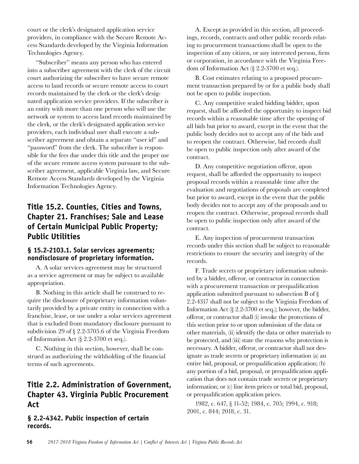court or the clerk's designated application service providers, in compliance with the Secure Remote Access Standards developed by the Virginia Information Technologies Agency.

"Subscriber" means any person who has entered into a subscriber agreement with the clerk of the circuit court authorizing the subscriber to have secure remote access to land records or secure remote access to court records maintained by the clerk or the clerk's designated application service providers. If the subscriber is an entity with more than one person who will use the network or system to access land records maintained by the clerk, or the clerk's designated application service providers, each individual user shall execute a subscriber agreement and obtain a separate "user id" and "password" from the clerk. The subscriber is responsible for the fees due under this title and the proper use of the secure remote access system pursuant to the subscriber agreement, applicable Virginia law, and Secure Remote Access Standards developed by the Virginia Information Technologies Agency.

## **Title 15.2. Counties, Cities and Towns, Chapter 21. Franchises; Sale and Lease of Certain Municipal Public Property; Public Utilities**

#### **§ 15.2-2103.1. Solar services agreements; nondisclosure of proprietary information.**

A. A solar services agreement may be structured as a service agreement or may be subject to available appropriation.

B. Nothing in this article shall be construed to require the disclosure of proprietary information voluntarily provided by a private entity in connection with a franchise, lease, or use under a solar services agreement that is excluded from mandatory disclosure pursuant to subdivision 29 of § 2.2-3705.6 of the Virginia Freedom of Information Act (§ 2.2-3700 et seq.).

C. Nothing in this section, however, shall be construed as authorizing the withholding of the financial terms of such agreements.

## **Title 2.2. Administration of Government, Chapter 43. Virginia Public Procurement Act**

**§ 2.2-4342. Public inspection of certain records.**

A. Except as provided in this section, all proceedings, records, contracts and other public records relating to procurement transactions shall be open to the inspection of any citizen, or any interested person, firm or corporation, in accordance with the Virginia Freedom of Information Act (§ 2.2-3700 et seq.).

B. Cost estimates relating to a proposed procurement transaction prepared by or for a public body shall not be open to public inspection.

C. Any competitive sealed bidding bidder, upon request, shall be afforded the opportunity to inspect bid records within a reasonable time after the opening of all bids but prior to award, except in the event that the public body decides not to accept any of the bids and to reopen the contract. Otherwise, bid records shall be open to public inspection only after award of the contract.

D. Any competitive negotiation offeror, upon request, shall be afforded the opportunity to inspect proposal records within a reasonable time after the evaluation and negotiations of proposals are completed but prior to award, except in the event that the public body decides not to accept any of the proposals and to reopen the contract. Otherwise, proposal records shall be open to public inspection only after award of the contract.

E. Any inspection of procurement transaction records under this section shall be subject to reasonable restrictions to ensure the security and integrity of the records.

F. Trade secrets or proprietary information submitted by a bidder, offeror, or contractor in connection with a procurement transaction or prequalification application submitted pursuant to subsection B of § 2.2-4317 shall not be subject to the Virginia Freedom of Information Act (§ 2.2-3700 et seq.); however, the bidder, offeror, or contractor shall (i) invoke the protections of this section prior to or upon submission of the data or other materials, (ii) identify the data or other materials to be protected, and (iii) state the reasons why protection is necessary. A bidder, offeror, or contractor shall not designate as trade secrets or proprietary information (a) an entire bid, proposal, or prequalification application; (b) any portion of a bid, proposal, or prequalification application that does not contain trade secrets or proprietary information; or (c) line item prices or total bid, proposal, or prequalification application prices.

1982, c. 647, § 11-52; 1984, c. 705; 1994, c. 918; 2001, c. 844; 2018, c. 31.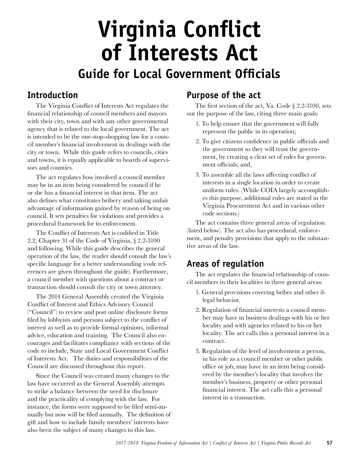# **Virginia Conflict of Interests Act Guide for Local Government Officials**

## **Introduction**

The Virginia Conflict of Interests Act regulates the financial relationship of council members and mayors with their city, town and with any other governmental agency that is related to the local government. The act is intended to be the one-stop-shopping law for a council member's financial involvement in dealings with the city or town. While this guide refers to councils, cities and towns, it is equally applicable to boards of supervisors and counties.

The act regulates how involved a council member may be in an item being considered by council if he or she has a financial interest in that item. The act also defines what constitutes bribery and taking unfair advantage of information gained by reason of being on council. It sets penalties for violations and provides a procedural framework for its enforcement.

The Conflict of Interests Act is codified in Title 2.2, Chapter 31 of the Code of Virginia, § 2.2-3100 and following. While this guide describes the general operation of the law, the reader should consult the law's specific language for a better understanding (code references are given throughout the guide). Furthermore, a council member with questions about a contract or transaction should consult the city or town attorney.

The 2014 General Assembly created the Virginia Conflict of Interest and Ethics Advisory Council ("Council") to review and post online disclosure forms filed by lobbyists and persons subject to the conflict of interest as well as to provide formal opinions, informal advice, education and training. The Council also encourages and facilitates compliance with sections of the code to include, State and Local Government Conflict of Interests Act. The duties and responsibilities of the Council are discussed throughout this report.

Since the Council was created many changes to the law have occurred as the General Assembly attempts to strike a balance between the need for disclosure and the practicality of complying with the law. For instance, the forms were supposed to be filed semi-annually but now will be filed annually. The definition of gift and how to include family members' interests have also been the subject of many changes to this law.

## **Purpose of the act**

The first section of the act, Va. Code  $\S 2.2-3100$ , sets out the purpose of the law, citing three main goals:

- 1. To help ensure that the government will fully represent the public in its operation;
- 2. To give citizens confidence in public officials and the government so they will trust the government, by creating a clear set of rules for government officials; and,
- 3. To assemble all the laws affecting conflict of interests in a single location in order to create uniform rules. (While COIA largely accomplishes this purpose, additional rules are stated in the Virginia Procurement Act and in various other code sections.)

The act contains three general areas of regulation (listed below). The act also has procedural, enforcement, and penalty provisions that apply to the substantive areas of the law.

## **Areas of regulation**

The act regulates the financial relationship of council members in their localities in three general areas:

- 1. General provisions covering bribes and other illegal behavior.
- 2. Regulation of financial interests a council member may have in business dealings with his or her locality and with agencies related to his or her locality. The act calls this a personal interest in a contract.
- 3. Regulation of the level of involvement a person, in his role as a council member or other public office or job, may have in an item being considered by the member's locality that involves the member's business, property or other personal financial interest. The act calls this a personal interest in a transaction.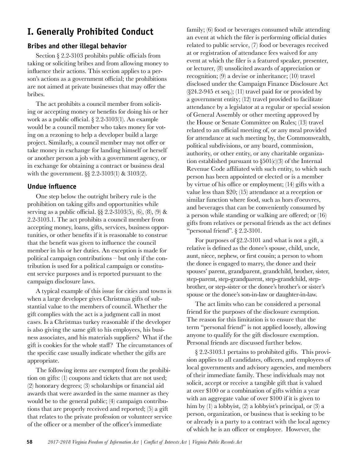# **I. Generally Prohibited Conduct**

#### **Bribes and other illegal behavior**

Section § 2.2-3103 prohibits public officials from taking or soliciting bribes and from allowing money to influence their actions. This section applies to a person's actions as a government official; the prohibitions are not aimed at private businesses that may offer the bribes.

The act prohibits a council member from soliciting or accepting money or benefits for doing his or her work as a public official. § 2.2-3103(1). An example would be a council member who takes money for voting on a rezoning to help a developer build a large project. Similarly, a council member may not offer or take money in exchange for landing himself or herself or another person a job with a government agency, or in exchange for obtaining a contract or business deal with the government. §§ 2.2-3103(1) & 3103(2).

#### **Undue influence**

One step below the outright bribery rule is the prohibition on taking gifts and opportunities while serving as a public official. §§ 2.2-3103(5), (6), (8), (9) & 2.2-3103.1. The act prohibits a council member from accepting money, loans, gifts, services, business opportunities, or other benefits if it is reasonable to construe that the benefit was given to influence the council member in his or her duties. An exception is made for political campaign contributions – but only if the contribution is used for a political campaign or constituent service purposes and is reported pursuant to the campaign disclosure laws.

A typical example of this issue for cities and towns is when a large developer gives Christmas gifts of substantial value to the members of council. Whether the gift complies with the act is a judgment call in most cases. Is a Christmas turkey reasonable if the developer is also giving the same gift to his employees, his business associates, and his materials suppliers? What if the gift is cookies for the whole staff? The circumstances of the specific case usually indicate whether the gifts are appropriate.

The following items are exempted from the prohibition on gifts: (1) coupons and tickets that are not used; (2) honorary degrees; (3) scholarships or financial aid awards that were awarded in the same manner as they would be to the general public; (4) campaign contributions that are properly received and reported; (5) a gift that relates to the private profession or volunteer service of the officer or a member of the officer's immediate

family; (6) food or beverages consumed while attending an event at which the filer is performing official duties related to public service, (7) food or beverages received at or registration of attendance fees waived for any event at which the filer is a featured speaker, presenter, or lecturer, (8) unsolicited awards of appreciation or recognition; (9) a devise or inheritance; (10) travel disclosed under the Campaign Finance Disclosure Act (§24.2-945 et seq.); (11) travel paid for or provided by a government entity; (12) travel provided to facilitate attendance by a legislator at a regular or special session of General Assembly or other meeting approved by the House or Senate Committee on Rules; (13) travel related to an official meeting of, or any meal provided for attendance at such meeting by, the Commonwealth, political subdivisions, or any board, commission, authority, or other entity, or any charitable organization established pursuant to §501(c)(3) of the Internal Revenue Code affiliated with such entity, to which such person has been appointed or elected or is a member by virtue of his office or employment; (14) gifts with a value less than \$20; (15) attendance at a reception or similar function where food, such as hors d'oeuvres, and beverages that can be conveniently consumed by a person while standing or walking are offered; or (16) gifts from relatives or personal friends as the act defines "personal friend". § 2.2-3101.

For purposes of §2.2-3101 and what is not a gift, a relative is defined as the donee's spouse, child, uncle, aunt, niece, nephew, or first cousin; a person to whom the donee is engaged to marry, the donee and their spouses' parent, grandparent, grandchild, brother, sister, step-parent, step-grandparent, step-grandchild, stepbrother, or step-sister or the donee's brother's or sister's spouse or the donee's son-in-law or daughter-in-law.

The act limits who can be considered a personal friend for the purposes of the disclosure exemption. The reason for this limitation is to ensure that the term "personal friend" is not applied loosely, allowing anyone to qualify for the gift disclosure exemption. Personal friends are discussed further below.

§ 2.2-3103.1 pertains to prohibited gifts. This provision applies to all candidates, officers, and employees of local governments and advisory agencies, and members of their immediate family. These individuals may not solicit, accept or receive a tangible gift that is valued at over \$100 or a combination of gifts within a year with an aggregate value of over \$100 if it is given to him by (1) a lobbyist, (2) a lobbyist's principal, or (3) a person, organization, or business that is seeking to be or already is a party to a contract with the local agency of which he is an officer or employee. However, the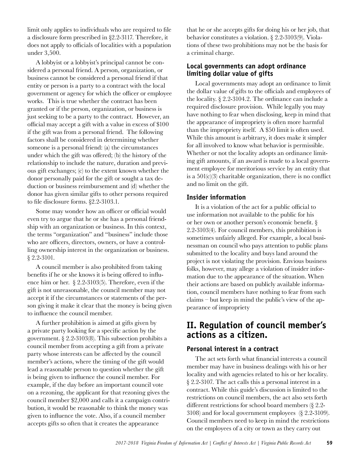limit only applies to individuals who are required to file a disclosure form prescribed in §2.2-3117. Therefore, it does not apply to officials of localities with a population under 3,500.

A lobbyist or a lobbyist's principal cannot be considered a personal friend. A person, organization, or business cannot be considered a personal friend if that entity or person is a party to a contract with the local government or agency for which the officer or employee works. This is true whether the contract has been granted or if the person, organization, or business is just seeking to be a party to the contract. However, an official may accept a gift with a value in excess of \$100 if the gift was from a personal friend. The following factors shall be considered in determining whether someone is a personal friend: (a) the circumstances under which the gift was offered; (b) the history of the relationship to include the nature, duration and previous gift exchanges; (c) to the extent known whether the donor personally paid for the gift or sought a tax deduction or business reimbursement and (d) whether the donor has given similar gifts to other persons required to file disclosure forms. §2.2-3103.1.

Some may wonder how an officer or official would even try to argue that he or she has a personal friendship with an organization or business. In this context, the terms "organization" and "business" include those who are officers, directors, owners, or have a controlling ownership interest in the organization or business. § 2.2-3101.

A council member is also prohibited from taking benefits if he or she knows it is being offered to influence him or her. § 2.2-3103(5). Therefore, even if the gift is not unreasonable, the council member may not accept it if the circumstances or statements of the person giving it make it clear that the money is being given to influence the council member.

A further prohibition is aimed at gifts given by a private party looking for a specific action by the government. § 2.2-3103(8). This subsection prohibits a council member from accepting a gift from a private party whose interests can be affected by the council member's actions, where the timing of the gift would lead a reasonable person to question whether the gift is being given to influence the council member. For example, if the day before an important council vote on a rezoning, the applicant for that rezoning gives the council member \$2,000 and calls it a campaign contribution, it would be reasonable to think the money was given to influence the vote. Also, if a council member accepts gifts so often that it creates the appearance

that he or she accepts gifts for doing his or her job, that behavior constitutes a violation. § 2.2-3103(9). Violations of these two prohibitions may not be the basis for a criminal charge.

#### **Local governments can adopt ordinance limiting dollar value of gifts**

Local governments may adopt an ordinance to limit the dollar value of gifts to the officials and employees of the locality. § 2.2-3104.2. The ordinance can include a required disclosure provision. While legally you may have nothing to fear when disclosing, keep in mind that the appearance of impropriety is often more harmful than the impropriety itself. A \$50 limit is often used. While this amount is arbitrary, it does make it simpler for all involved to know what behavior is permissible. Whether or not the locality adopts an ordinance limiting gift amounts, if an award is made to a local government employee for meritorious service by an entity that is a  $501(c)(3)$  charitable organization, there is no conflict and no limit on the gift.

#### **Insider information**

It is a violation of the act for a public official to use information not available to the public for his or her own or another person's economic benefit. § 2.2-3103(4). For council members, this prohibition is sometimes unfairly alleged. For example, a local businessman on council who pays attention to public plans submitted to the locality and buys land around the project is not violating the provision. Envious business folks, however, may allege a violation of insider information due to the appearance of the situation. When their actions are based on publicly available information, council members have nothing to fear from such claims – but keep in mind the public's view of the appearance of impropriety

## **II. Regulation of council member's actions as a citizen.**

#### **Personal interest in a contract**

The act sets forth what financial interests a council member may have in business dealings with his or her locality and with agencies related to his or her locality. § 2.2-3107. The act calls this a personal interest in a contract. While this guide's discussion is limited to the restrictions on council members, the act also sets forth different restrictions for school board members (§ 2.2- 3108) and for local government employees (§ 2.2-3109). Council members need to keep in mind the restrictions on the employees of a city or town as they carry out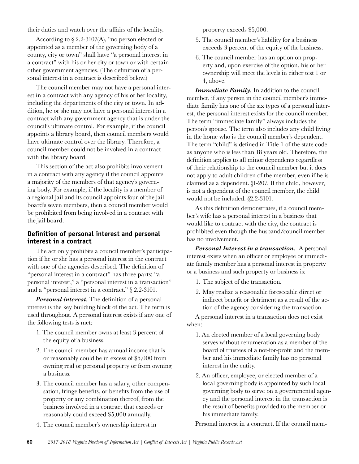their duties and watch over the affairs of the locality.

According to § 2.2-3107(A), "no person elected or appointed as a member of the governing body of a county, city or town" shall have "a personal interest in a contract" with his or her city or town or with certain other government agencies. (The definition of a personal interest in a contract is described below.)

The council member may not have a personal interest in a contract with any agency of his or her locality, including the departments of the city or town. In addition, he or she may not have a personal interest in a contract with any government agency that is under the council's ultimate control. For example, if the council appoints a library board, then council members would have ultimate control over the library. Therefore, a council member could not be involved in a contract with the library board.

This section of the act also prohibits involvement in a contract with any agency if the council appoints a majority of the members of that agency's governing body. For example, if the locality is a member of a regional jail and its council appoints four of the jail board's seven members, then a council member would be prohibited from being involved in a contract with the jail board.

#### **Definition of personal interest and personal interest in a contract**

The act only prohibits a council member's participation if he or she has a personal interest in the contract with one of the agencies described. The definition of "personal interest in a contract" has three parts: "a personal interest," a "personal interest in a transaction" and a "personal interest in a contract." § 2.2-3101.

*Personal interest.* The definition of a personal interest is the key building block of the act. The term is used throughout. A personal interest exists if any one of the following tests is met:

- 1. The council member owns at least 3 percent of the equity of a business.
- 2. The council member has annual income that is or reasonably could be in excess of \$5,000 from owning real or personal property or from owning a business.
- 3. The council member has a salary, other compensation, fringe benefits, or benefits from the use of property or any combination thereof, from the business involved in a contract that exceeds or reasonably could exceed \$5,000 annually.
- 4. The council member's ownership interest in

property exceeds \$5,000.

- 5. The council member's liability for a business exceeds 3 percent of the equity of the business.
- 6. The council member has an option on property and, upon exercise of the option, his or her ownership will meet the levels in either test 1 or 4, above.

*Immediate Family.* In addition to the council member, if any person in the council member's immediate family has one of the six types of a personal interest, the personal interest exists for the council member. The term "immediate family" always includes the person's spouse. The term also includes any child living in the home who is the council member's dependent. The term "child" is defined in Title 1 of the state code as anyone who is less than 18 years old. Therefore, the definition applies to all minor dependents regardless of their relationship to the council member but it does not apply to adult children of the member, even if he is claimed as a dependent. §1-207. If the child, however, is not a dependent of the council member, the child would not be included. §2.2-3101.

As this definition demonstrates, if a council member's wife has a personal interest in a business that would like to contract with the city, the contract is prohibited even though the husband/council member has no involvement.

*Personal Interest in a transaction.* A personal interest exists when an officer or employee or immediate family member has a personal interest in property or a business and such property or business is:

- 1. The subject of the transaction.
- 2. May realize a reasonable foreseeable direct or indirect benefit or detriment as a result of the action of the agency considering the transaction.

A personal interest in a transaction does not exist when:

- 1. An elected member of a local governing body serves without renumeration as a member of the board of trustees of a not-for-profit and the member and his immediate family has no personal interest in the entity.
- 2. An officer, employee, or elected member of a local governing body is appointed by such local governing body to serve on a governmental agency and the personal interest in the transaction is the result of benefits provided to the member or his immediate family.

Personal interest in a contract. If the council mem-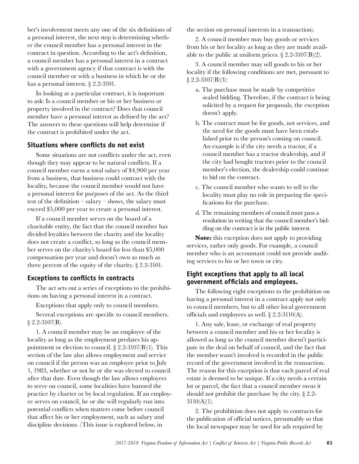ber's involvement meets any one of the six definitions of a personal interest, the next step is determining whether the council member has a personal interest in the contract in question. According to the act's definition, a council member has a personal interest in a contract with a government agency if that contract is with the council member or with a business in which he or she has a personal interest.  $\S$  2.2-3101.

In looking at a particular contract, it is important to ask: Is a council member or his or her business or property involved in the contract? Does that council member have a personal interest as defined by the act? The answers to these questions will help determine if the contract is prohibited under the act.

#### **Situations where conflicts do not exist**

Some situations are not conflicts under the act, even though they may appear to be natural conflicts. If a council member earns a total salary of \$4,900 per year from a business, that business could contract with the locality, because the council member would not have a personal interest for purposes of the act. As the third test of the definition – salary – shows, the salary must exceed \$5,000 per year to create a personal interest.

If a council member serves on the board of a charitable entity, the fact that the council member has divided loyalties between the charity and the locality does not create a conflict, so long as the council member serves on the charity's board for less than \$5,000 compensation per year and doesn't own as much as three percent of the equity of the charity. § 2.2-3101.

#### **Exceptions to conflicts in contracts**

The act sets out a series of exceptions to the prohibitions on having a personal interest in a contract.

Exceptions that apply only to council members.

Several exceptions are specific to council members. § 2.2-3107(B).

1. A council member may be an employee of the locality as long as the employment predates his appointment or election to council.  $\S 2.2-3107(B)(1)$ . This section of the law also allows employment and service on council if the person was an employee prior to July 1, 1983, whether or not he or she was elected to council after that date. Even though the law allows employees to serve on council, some localities have banned the practice by charter or by local regulation. If an employee serves on council, he or she will regularly run into potential conflicts when matters come before council that affect his or her employment, such as salary and discipline decisions. (This issue is explored below, in

the section on personal interests in a transaction).

2. A council member may buy goods or services from his or her locality as long as they are made available to the public at uniform prices.  $\S 2.2-3107(B)(2)$ .

3. A council member may sell goods to his or her locality if the following conditions are met, pursuant to § 2.2-3107(B)(3):

- a. The purchase must be made by competitive sealed bidding. Therefore, if the contract is being solicited by a request for proposals, the exception doesn't apply.
- b. The contract must be for goods, not services, and the need for the goods must have been established prior to the person's coming on council. An example is if the city needs a tractor, if a council member has a tractor dealership, and if the city had bought tractors prior to the council member's election, the dealership could continue to bid on the contract.
- c. The council member who wants to sell to the locality must play no role in preparing the specifications for the purchase.
- d. The remaining members of council must pass a resolution in writing that the council member's bidding on the contract is in the public interest.

**Note:** this exception does not apply to providing services, rather only goods. For example, a council member who is an accountant could not provide auditing services to his or her town or city.

#### **Eight exceptions that apply to all local government officials and employees.**

The following eight exceptions to the prohibition on having a personal interest in a contract apply not only to council members, but to all other local government officials and employees as well. § 2.2-3110(A).

1. Any sale, lease, or exchange of real property between a council member and his or her locality is allowed as long as the council member doesn't participate in the deal on behalf of council, and the fact that the member wasn't involved is recorded in the public record of the government involved in the transaction. The reason for this exception is that each parcel of real estate is deemed to be unique. If a city needs a certain lot or parcel, the fact that a council member owns it should not prohibit the purchase by the city. § 2.2- 3110(A)(1).

2. The prohibition does not apply to contracts for the publication of official notices, presumably so that the local newspaper may be used for ads required by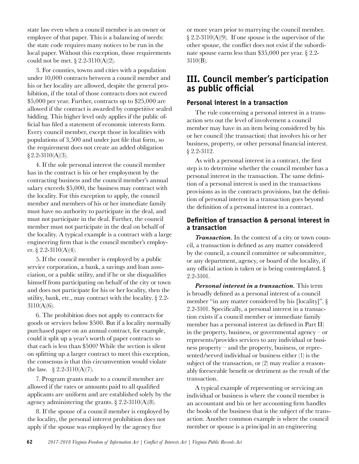state law even when a council member is an owner or employee of that paper. This is a balancing of needs: the state code requires many notices to be run in the local paper. Without this exception, those requirements could not be met. § 2.2-3110(A)(2).

3. For counties, towns and cities with a population under 10,000 contracts between a council member and his or her locality are allowed, despite the general prohibition, if the total of those contracts does not exceed \$5,000 per year. Further, contracts up to \$25,000 are allowed if the contract is awarded by competitive sealed bidding. This higher level only applies if the public official has filed a statement of economic interests form. Every council member, except those in localities with populations of 3,500 and under just file that form, so the requirement does not create an added obligation § 2.2-3110(A)(3).

4. If the sole personal interest the council member has in the contract is his or her employment by the contracting business and the council member's annual salary exceeds \$5,000, the business may contract with the locality. For this exception to apply, the council member and members of his or her immediate family must have no authority to participate in the deal, and must not participate in the deal. Further, the council member must not participate in the deal on behalf of the locality. A typical example is a contract with a large engineering firm that is the council member's employer. § 2.2-3110(A)(4).

5. If the council member is employed by a public service corporation, a bank, a savings and loan association, or a public utility, and if he or she disqualifies himself from participating on behalf of the city or town and does not participate for his or her locality, then the utility, bank, etc., may contract with the locality. § 2.2- 3110(A)(6).

6. The prohibition does not apply to contracts for goods or services below \$500. But if a locality normally purchased paper on an annual contract, for example, could it split up a year's worth of paper contracts so that each is less than \$500? While the section is silent on splitting up a larger contract to meet this exception, the consensus is that this circumvention would violate the law.  $\S 2.2-3110(A)(7)$ .

7. Program grants made to a council member are allowed if the rates or amounts paid to all qualified applicants are uniform and are established solely by the agency administering the grants.  $\S 2.2-3110(A)(8)$ .

8. If the spouse of a council member is employed by the locality, the personal interest prohibition does not apply if the spouse was employed by the agency five

or more years prior to marrying the council member. § 2.2-3110(A)(9). If one spouse is the supervisor of the other spouse, the conflict does not exist if the subordinate spouse earns less than \$35,000 per year. § 2.2- 3110(B).

## **III. Council member's participation as public official**

#### **Personal interest in a transaction**

The rule concerning a personal interest in a transaction sets out the level of involvement a council member may have in an item being considered by his or her council (the transaction) that involves his or her business, property, or other personal financial interest. § 2.2-3112.

As with a personal interest in a contract, the first step is to determine whether the council member has a personal interest in the transaction. The same definition of a personal interest is used in the transactions provisions as in the contracts provisions, but the definition of personal interest in a transaction goes beyond the definition of a personal interest in a contract.

#### **Definition of transaction & personal interest in a transaction**

*Transaction.* In the context of a city or town council, a transaction is defined as any matter considered by the council, a council committee or subcommittee, or any department, agency, or board of the locality, if any official action is taken or is being contemplated. § 2.2-3101.

*Personal interest in a transaction.* This term is broadly defined as a personal interest of a council member "in any matter considered by his [locality]". § 2.2-3101. Specifically, a personal interest in a transaction exists if a council member or immediate family member has a personal interest (as defined in Part II) in the property, business, or governmental agency – or represents/provides services to any individual or business property – and the property, business, or represented/served individual or business either (1) is the subject of the transaction, or (2) may realize a reasonably foreseeable benefit or detriment as the result of the transaction.

A typical example of representing or servicing an individual or business is where the council member is an accountant and his or her accounting firm handles the books of the business that is the subject of the transaction. Another common example is where the council member or spouse is a principal in an engineering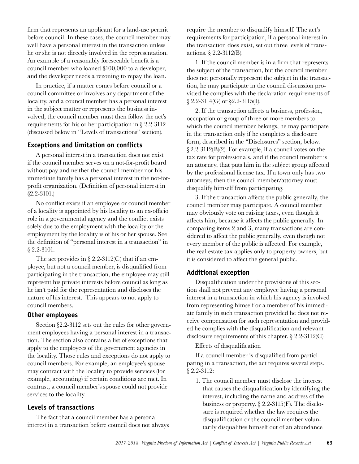firm that represents an applicant for a land-use permit before council. In these cases, the council member may well have a personal interest in the transaction unless he or she is not directly involved in the representation. An example of a reasonably foreseeable benefit is a council member who loaned \$100,000 to a developer, and the developer needs a rezoning to repay the loan.

In practice, if a matter comes before council or a council committee or involves any department of the locality, and a council member has a personal interest in the subject matter or represents the business involved, the council member must then follow the act's requirements for his or her participation in § 2.2-3112 (discussed below in "Levels of transactions" section).

#### **Exceptions and limitation on conflicts**

A personal interest in a transaction does not exist if the council member serves on a not-for-profit board without pay and neither the council member nor his immediate family has a personal interest in the not-forprofit organization. (Definition of personal interest in §2.2-3101.)

No conflict exists if an employee or council member of a locality is appointed by his locality to an ex-officio role in a governmental agency and the conflict exists solely due to the employment with the locality or the employment by the locality is of his or her spouse. See the definition of "personal interest in a transaction" in § 2.2-3101.

The act provides in  $\S 2.2$ -3112(C) that if an employee, but not a council member, is disqualified from participating in the transaction, the employee may still represent his private interests before council as long as he isn't paid for the representation and discloses the nature of his interest. This appears to not apply to council members.

#### **Other employees**

Section  $\S2.2$ -3112 sets out the rules for other government employees having a personal interest in a transaction. The section also contains a list of exceptions that apply to the employees of the government agencies in the locality. Those rules and exceptions do not apply to council members. For example, an employee's spouse may contract with the locality to provide services (for example, accounting) if certain conditions are met. In contrast, a council member's spouse could not provide services to the locality.

#### **Levels of transactions**

The fact that a council member has a personal interest in a transaction before council does not always require the member to disqualify himself. The act's requirements for participation, if a personal interest in the transaction does exist, set out three levels of transactions. § 2.2-3112(B).

1. If the council member is in a firm that represents the subject of the transaction, but the council member does not personally represent the subject in the transaction, he may participate in the council discussion provided he complies with the declaration requirements of § 2.2-3114(G) or §2.2-3115(I).

2. If the transaction affects a business, profession, occupation or group of three or more members to which the council member belongs, he may participate in the transaction only if he completes a disclosure form, described in the "Disclosures" section, below.  $§ 2.2-3112(B)(2)$ . For example, if a council votes on the tax rate for professionals, and if the council member is an attorney, that puts him in the subject group affected by the professional license tax. If a town only has two attorneys, then the council member/attorney must disqualify himself from participating.

3. If the transaction affects the public generally, the council member may participate. A council member may obviously vote on raising taxes, even though it affects him, because it affects the public generally. In comparing items 2 and 3, many transactions are considered to affect the public generally, even though not every member of the public is affected. For example, the real estate tax applies only to property owners, but it is considered to affect the general public.

#### **Additional exception**

Disqualification under the provisions of this section shall not prevent any employee having a personal interest in a transaction in which his agency is involved from representing himself or a member of his immediate family in such transaction provided he does not receive compensation for such representation and provided he complies with the disqualification and relevant disclosure requirements of this chapter.  $\S 2.2-3112(C)$ 

Effects of disqualification

If a council member is disqualified from participating in a transaction, the act requires several steps. § 2.2-3112:

1. The council member must disclose the interest that causes the disqualification by identifying the interest, including the name and address of the business or property.  $\S 2.2$ -3115(F). The disclosure is required whether the law requires the disqualification or the council member voluntarily disqualifies himself out of an abundance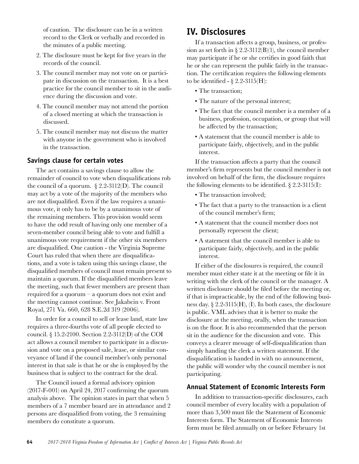of caution. The disclosure can be in a written record to the Clerk or verbally and recorded in the minutes of a public meeting.

- 2. The disclosure must be kept for five years in the records of the council.
- 3. The council member may not vote on or participate in discussion on the transaction. It is a best practice for the council member to sit in the audience during the discussion and vote.
- 4. The council member may not attend the portion of a closed meeting at which the transaction is discussed.
- 5. The council member may not discuss the matter with anyone in the government who is involved in the transaction.

#### **Savings clause for certain votes**

The act contains a savings clause to allow the remainder of council to vote when disqualifications rob the council of a quorum.  $\S 2.2$ -3112(D). The council may act by a vote of the majority of the members who are not disqualified. Even if the law requires a unanimous vote, it only has to be by a unanimous vote of the remaining members. This provision would seem to have the odd result of having only one member of a seven-member council being able to vote and fulfill a unanimous vote requirement if the other six members are disqualified. One caution - the Virginia Supreme Court has ruled that when there are disqualifications, and a vote is taken using this savings clause, the disqualified members of council must remain present to maintain a quorum. If the disqualified members leave the meeting, such that fewer members are present than required for a quorum – a quorum does not exist and the meeting cannot continue. See Jakabcin v. Front Royal, 271 Va. 660, 628 S.E.2d 319 (2006).

In order for a council to sell or lease land, state law requires a three-fourths vote of all people elected to council. § 15.2-2100. Section 2.2-3112(D) of the COI act allows a council member to participate in a discussion and vote on a proposed sale, lease, or similar conveyance of land if the council member's only personal interest in that sale is that he or she is employed by the business that is subject to the contract for the deal.

The Council issued a formal advisory opinion (2017-F-001) on April 24, 2017 confirming the quorum analysis above. The opinion states in part that when 5 members of a 7 member board are in attendance and 2 persons are disqualified from voting, the 3 remaining members do constitute a quorum.

## **IV. Disclosures**

If a transaction affects a group, business, or profession as set forth in  $\S 2.2-3112(B)(1)$ , the council member may participate if he or she certifies in good faith that he or she can represent the public fairly in the transaction. The certification requires the following elements to be identified -  $\S 2.2$ -3115(H):

- The transaction:
- The nature of the personal interest;
- The fact that the council member is a member of a business, profession, occupation, or group that will be affected by the transaction;
- A statement that the council member is able to participate fairly, objectively, and in the public interest.

If the transaction affects a party that the council member's firm represents but the council member is not involved on behalf of the firm, the disclosure requires the following elements to be identified.  $\S 2.2-3115(I)$ :

- The transaction involved;
- The fact that a party to the transaction is a client of the council member's firm;
- A statement that the council member does not personally represent the client;
- A statement that the council member is able to participate fairly, objectively, and in the public interest.

If either of the disclosures is required, the council member must either state it at the meeting or file it in writing with the clerk of the council or the manager. A written disclosure should be filed before the meeting or, if that is impracticable, by the end of the following business day. § 2.2-3115(H), (I). In both cases, the disclosure is public. VML advises that it is better to make the disclosure at the meeting, orally, when the transaction is on the floor. It is also recommended that the person sit in the audience for the discussion and vote. This conveys a clearer message of self-disqualification than simply handing the clerk a written statement. If the disqualification is handed in with no announcement, the public will wonder why the council member is not participating.

#### **Annual Statement of Economic Interests Form**

In addition to transaction-specific disclosures, each council member of every locality with a population of more than 3,500 must file the Statement of Economic Interests form. The Statement of Economic Interests form must be filed annually on or before February 1st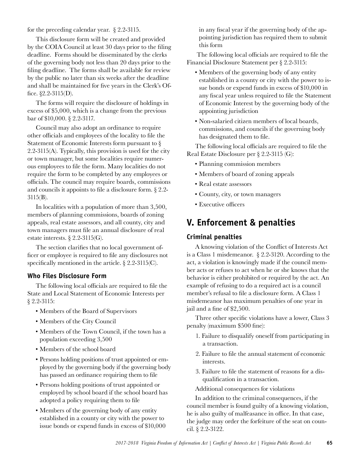for the preceding calendar year. § 2.2-3115.

This disclosure form will be created and provided by the COIA Council at least 30 days prior to the filing deadline. Forms should be disseminated by the clerks of the governing body not less than 20 days prior to the filing deadline. The forms shall be available for review by the public no later than six weeks after the deadline and shall be maintained for five years in the Clerk's Office. §2.2-3115(D).

The forms will require the disclosure of holdings in excess of \$5,000, which is a change from the previous bar of \$10,000. § 2.2-3117.

Council may also adopt an ordinance to require other officials and employees of the locality to file the Statement of Economic Interests form pursuant to § 2.2-3115(A). Typically, this provision is used for the city or town manager, but some localities require numerous employees to file the form. Many localities do not require the form to be completed by any employees or officials. The council may require boards, commissions and councils it appoints to file a disclosure form. § 2.2- 3115(B).

In localities with a population of more than 3,500, members of planning commissions, boards of zoning appeals, real estate assessors, and all county, city and town managers must file an annual disclosure of real estate interests.  $\S$  2.2-3115(G).

The section clarifies that no local government officer or employee is required to file any disclosures not specifically mentioned in the article.  $\S 2.2-3115(C)$ .

#### **Who Files Disclosure Form**

The following local officials are required to file the State and Local Statement of Economic Interests per § 2.2-3115:

- Members of the Board of Supervisors
- Members of the City Council
- Members of the Town Council, if the town has a population exceeding 3,500
- Members of the school board
- Persons holding positions of trust appointed or employed by the governing body if the governing body has passed an ordinance requiring them to file
- Persons holding positions of trust appointed or employed by school board if the school board has adopted a policy requiring them to file
- Members of the governing body of any entity established in a county or city with the power to issue bonds or expend funds in excess of \$10,000

in any fiscal year if the governing body of the appointing jurisdiction has required them to submit this form

 The following local officials are required to file the Financial Disclosure Statement per § 2.2-3115:

- Members of the governing body of any entity established in a county or city with the power to issue bonds or expend funds in excess of \$10,000 in any fiscal year unless required to file the Statement of Economic Interest by the governing body of the appointing jurisdiction
- Non-salaried citizen members of local boards, commissions, and councils if the governing body has designated them to file.

The following local officials are required to file the Real Estate Disclosure per § 2.2-3115 (G):

- Planning commission members
- Members of board of zoning appeals
- Real estate assessors
- County, city, or town managers
- Executive officers

# **V. Enforcement & penalties**

#### **Criminal penalties**

A knowing violation of the Conflict of Interests Act is a Class 1 misdemeanor. § 2.2-3120. According to the act, a violation is knowingly made if the council member acts or refuses to act when he or she knows that the behavior is either prohibited or required by the act. An example of refusing to do a required act is a council member's refusal to file a disclosure form. A Class 1 misdemeanor has maximum penalties of one year in jail and a fine of \$2,500.

Three other specific violations have a lower, Class 3 penalty (maximum \$500 fine):

- 1. Failure to disqualify oneself from participating in a transaction.
- 2. Failure to file the annual statement of economic interests.
- 3. Failure to file the statement of reasons for a disqualification in a transaction.

Additional consequences for violations

In addition to the criminal consequences, if the council member is found guilty of a knowing violation, he is also guilty of malfeasance in office. In that case, the judge may order the forfeiture of the seat on council. § 2.2-3122.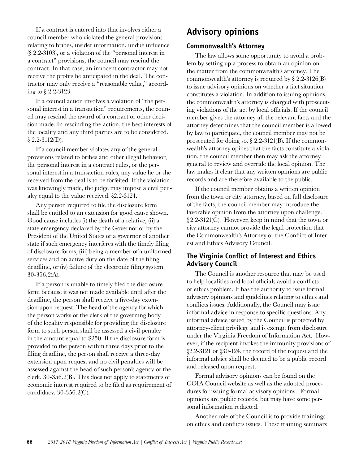If a contract is entered into that involves either a council member who violated the general provisions relating to bribes, insider information, undue influence (§ 2.2-3103), or a violation of the "personal interest in a contract" provisions, the council may rescind the contract. In that case, an innocent contractor may not receive the profits he anticipated in the deal. The contractor may only receive a "reasonable value," according to § 2.2-3123.

If a council action involves a violation of "the personal interest in a transaction" requirements, the council may rescind the award of a contract or other decision made. In rescinding the action, the best interests of the locality and any third parties are to be considered. § 2.2-3112(D).

If a council member violates any of the general provisions related to bribes and other illegal behavior, the personal interest in a contract rules, or the personal interest in a transaction rules, any value he or she received from the deal is to be forfeited. If the violation was knowingly made, the judge may impose a civil penalty equal to the value received. §2.2-3124.

Any person required to file the disclosure form shall be entitled to an extension for good cause shown. Good cause includes (i) the death of a relative, (ii) a state emergency declared by the Governor or by the President of the United States or a governor of another state if such emergency interferes with the timely filing of disclosure forms, (iii) being a member of a uniformed services and on active duty on the date of the filing deadline, or (iv) failure of the electronic filing system. 30-356.2(A).

If a person is unable to timely filed the disclosure form because it was not made available until after the deadline, the person shall receive a five-day extension upon request. The head of the agency for which the person works or the clerk of the governing body of the locality responsible for providing the disclosure form to such person shall be assessed a civil penalty in the amount equal to \$250. If the disclosure form is provided to the person within three days prior to the filing deadline, the person shall receive a three-day extension upon request and no civil penalties will be assessed against the head of such person's agency or the clerk. 30-356.2(B). This does not apply to statements of economic interest required to be filed as requirement of candidacy. 30-356.2(C).

# **Advisory opinions**

#### **Commonwealth's Attorney**

The law allows some opportunity to avoid a problem by setting up a process to obtain an opinion on the matter from the commonwealth's attorney. The commonwealth's attorney is required by  $\S$  2.2-3126(B) to issue advisory opinions on whether a fact situation constitutes a violation. In addition to issuing opinions, the commonwealth's attorney is charged with prosecuting violations of the act by local officials. If the council member gives the attorney all the relevant facts and the attorney determines that the council member is allowed by law to participate, the council member may not be prosecuted for doing so.  $\S 2.2-3121(B)$ . If the commonwealth's attorney opines that the facts constitute a violation, the council member then may ask the attorney general to review and override the local opinion. The law makes it clear that any written opinions are public records and are therefore available to the public.

If the council member obtains a written opinion from the town or city attorney, based on full disclosure of the facts, the council member may introduce the favorable opinion from the attorney upon challenge. § 2.2-3121(C). However, keep in mind that the town or city attorney cannot provide the legal protection that the Commonwealth's Attorney or the Conflict of Interest and Ethics Advisory Council.

#### **The Virginia Conflict of Interest and Ethics Advisory Council**

The Council is another resource that may be used to help localities and local officials avoid a conflicts or ethics problem. It has the authority to issue formal advisory opinions and guidelines relating to ethics and conflicts issues. Additionally, the Council may issue informal advice in response to specific questions. Any informal advice issued by the Council is protected by attorney-client privilege and is exempt from disclosure under the Virginia Freedom of Information Act. However, if the recipient invokes the immunity provisions of §2.2-3121 or §30-124, the record of the request and the informal advice shall be deemed to be a public record and released upon request.

Formal advisory opinions can be found on the COIA Council website as well as the adopted procedures for issuing formal advisory opinions. Formal opinions are public records, but may have some personal information redacted.

Another role of the Council is to provide trainings on ethics and conflicts issues. These training seminars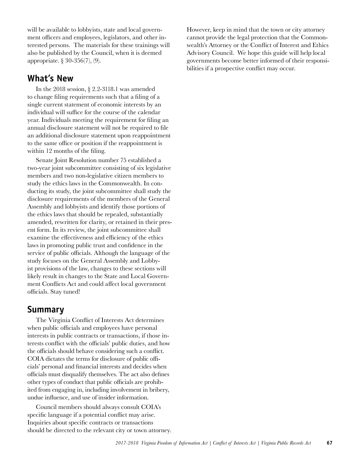will be available to lobbyists, state and local government officers and employees, legislators, and other interested persons. The materials for these trainings will also be published by the Council, when it is deemed appropriate. § 30-356(7), (9).

## **What's New**

In the 2018 session, § 2.2-3118.1 was amended to change filing requirements such that a filing of a single current statement of economic interests by an individual will suffice for the course of the calendar year. Individuals meeting the requirement for filing an annual disclosure statement will not be required to file an additional disclosure statement upon reappointment to the same office or position if the reappointment is within 12 months of the filing.

Senate Joint Resolution number 75 established a two-year joint subcommittee consisting of six legislative members and two non-legislative citizen members to study the ethics laws in the Commonwealth. In conducting its study, the joint subcommittee shall study the disclosure requirements of the members of the General Assembly and lobbyists and identify those portions of the ethics laws that should be repealed, substantially amended, rewritten for clarity, or retained in their present form. In its review, the joint subcommittee shall examine the effectiveness and efficiency of the ethics laws in promoting public trust and confidence in the service of public officials. Although the language of the study focuses on the General Assembly and Lobbyist provisions of the law, changes to these sections will likely result in changes to the State and Local Government Conflicts Act and could affect local government officials. Stay tuned!

## **Summary**

The Virginia Conflict of Interests Act determines when public officials and employees have personal interests in public contracts or transactions, if those interests conflict with the officials' public duties, and how the officials should behave considering such a conflict. COIA dictates the terms for disclosure of public officials' personal and financial interests and decides when officials must disqualify themselves. The act also defines other types of conduct that public officials are prohibited from engaging in, including involvement in bribery, undue influence, and use of insider information.

Council members should always consult COIA's specific language if a potential conflict may arise. Inquiries about specific contracts or transactions should be directed to the relevant city or town attorney. However, keep in mind that the town or city attorney cannot provide the legal protection that the Commonwealth's Attorney or the Conflict of Interest and Ethics Advisory Council. We hope this guide will help local governments become better informed of their responsibilities if a prospective conflict may occur.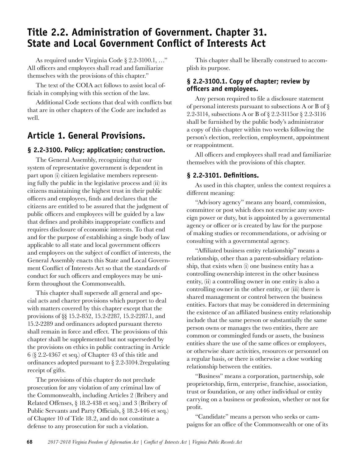# **Title 2.2. Administration of Government. Chapter 31. State and Local Government Conflict of Interests Act**

As required under Virginia Code § 2.2-3100.1, …" All officers and employees shall read and familiarize themselves with the provisions of this chapter."

The text of the COIA act follows to assist local officials in complying with this section of the law.

Additional Code sections that deal with conflicts but that are in other chapters of the Code are included as well.

# **Article 1. General Provisions.**

#### **§ 2.2-3100. Policy; application; construction.**

The General Assembly, recognizing that our system of representative government is dependent in part upon (i) citizen legislative members representing fully the public in the legislative process and (ii) its citizens maintaining the highest trust in their public officers and employees, finds and declares that the citizens are entitled to be assured that the judgment of public officers and employees will be guided by a law that defines and prohibits inappropriate conflicts and requires disclosure of economic interests. To that end and for the purpose of establishing a single body of law applicable to all state and local government officers and employees on the subject of conflict of interests, the General Assembly enacts this State and Local Government Conflict of Interests Act so that the standards of conduct for such officers and employees may be uniform throughout the Commonwealth.

This chapter shall supersede all general and special acts and charter provisions which purport to deal with matters covered by this chapter except that the provisions of §§ 15.2-852, 15.2-2287, 15.2-2287.1, and 15.2-2289 and ordinances adopted pursuant thereto shall remain in force and effect. The provisions of this chapter shall be supplemented but not superseded by the provisions on ethics in public contracting in Article 6 (§ 2.2-4367 et seq.) of Chapter 43 of this title and ordinances adopted pursuant to § 2.2-3104.2regulating receipt of gifts.

The provisions of this chapter do not preclude prosecution for any violation of any criminal law of the Commonwealth, including Articles 2 (Bribery and Related Offenses, § 18.2-438 et seq.) and 3 (Bribery of Public Servants and Party Officials, § 18.2-446 et seq.) of Chapter 10 of Title 18.2, and do not constitute a defense to any prosecution for such a violation.

This chapter shall be liberally construed to accomplish its purpose.

#### **§ 2.2-3100.1. Copy of chapter; review by officers and employees.**

Any person required to file a disclosure statement of personal interests pursuant to subsections A or B of § 2.2-3114, subsections A or B of § 2.2-3115or § 2.2-3116 shall be furnished by the public body's administrator a copy of this chapter within two weeks following the person's election, reelection, employment, appointment or reappointment.

All officers and employees shall read and familiarize themselves with the provisions of this chapter.

#### **§ 2.2-3101. Definitions.**

As used in this chapter, unless the context requires a different meaning:

"Advisory agency" means any board, commission, committee or post which does not exercise any sovereign power or duty, but is appointed by a governmental agency or officer or is created by law for the purpose of making studies or recommendations, or advising or consulting with a governmental agency.

"Affiliated business entity relationship" means a relationship, other than a parent-subsidiary relationship, that exists when (i) one business entity has a controlling ownership interest in the other business entity, (ii) a controlling owner in one entity is also a controlling owner in the other entity, or (iii) there is shared management or control between the business entities. Factors that may be considered in determining the existence of an affiliated business entity relationship include that the same person or substantially the same person owns or manages the two entities, there are common or commingled funds or assets, the business entities share the use of the same offices or employees, or otherwise share activities, resources or personnel on a regular basis, or there is otherwise a close working relationship between the entities.

"Business" means a corporation, partnership, sole proprietorship, firm, enterprise, franchise, association, trust or foundation, or any other individual or entity carrying on a business or profession, whether or not for profit.

"Candidate" means a person who seeks or campaigns for an office of the Commonwealth or one of its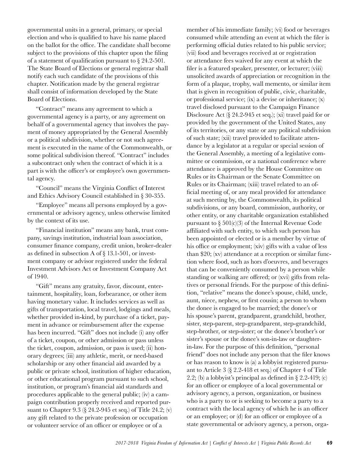governmental units in a general, primary, or special election and who is qualified to have his name placed on the ballot for the office. The candidate shall become subject to the provisions of this chapter upon the filing of a statement of qualification pursuant to § 24.2-501. The State Board of Elections or general registrar shall notify each such candidate of the provisions of this chapter. Notification made by the general registrar shall consist of information developed by the State Board of Elections.

"Contract" means any agreement to which a governmental agency is a party, or any agreement on behalf of a governmental agency that involves the payment of money appropriated by the General Assembly or a political subdivision, whether or not such agreement is executed in the name of the Commonwealth, or some political subdivision thereof. "Contract" includes a subcontract only when the contract of which it is a part is with the officer's or employee's own governmental agency.

"Council" means the Virginia Conflict of Interest and Ethics Advisory Council established in § 30-355.

"Employee" means all persons employed by a governmental or advisory agency, unless otherwise limited by the context of its use.

"Financial institution" means any bank, trust company, savings institution, industrial loan association, consumer finance company, credit union, broker-dealer as defined in subsection A of § 13.1-501, or investment company or advisor registered under the federal Investment Advisors Act or Investment Company Act of 1940.

"Gift" means any gratuity, favor, discount, entertainment, hospitality, loan, forbearance, or other item having monetary value. It includes services as well as gifts of transportation, local travel, lodgings and meals, whether provided in-kind, by purchase of a ticket, payment in advance or reimbursement after the expense has been incurred. "Gift" does not include (i) any offer of a ticket, coupon, or other admission or pass unless the ticket, coupon, admission, or pass is used; (ii) honorary degrees; (iii) any athletic, merit, or need-based scholarship or any other financial aid awarded by a public or private school, institution of higher education, or other educational program pursuant to such school, institution, or program's financial aid standards and procedures applicable to the general public; (iv) a campaign contribution properly received and reported pursuant to Chapter 9.3 (§ 24.2-945 et seq.) of Title 24.2; (v) any gift related to the private profession or occupation or volunteer service of an officer or employee or of a

member of his immediate family; (vi) food or beverages consumed while attending an event at which the filer is performing official duties related to his public service; (vii) food and beverages received at or registration or attendance fees waived for any event at which the filer is a featured speaker, presenter, or lecturer; (viii) unsolicited awards of appreciation or recognition in the form of a plaque, trophy, wall memento, or similar item that is given in recognition of public, civic, charitable, or professional service; (ix) a devise or inheritance; (x) travel disclosed pursuant to the Campaign Finance Disclosure Act (§ 24.2-945 et seq.); (xi) travel paid for or provided by the government of the United States, any of its territories, or any state or any political subdivision of such state; (xii) travel provided to facilitate attendance by a legislator at a regular or special session of the General Assembly, a meeting of a legislative committee or commission, or a national conference where attendance is approved by the House Committee on Rules or its Chairman or the Senate Committee on Rules or its Chairman; (xiii) travel related to an official meeting of, or any meal provided for attendance at such meeting by, the Commonwealth, its political subdivisions, or any board, commission, authority, or other entity, or any charitable organization established pursuant to  $\S 501(c)(3)$  of the Internal Revenue Code affiliated with such entity, to which such person has been appointed or elected or is a member by virtue of his office or employment; (xiv) gifts with a value of less than \$20; (xv) attendance at a reception or similar function where food, such as hors d'oeuvres, and beverages that can be conveniently consumed by a person while standing or walking are offered; or (xvi) gifts from relatives or personal friends. For the purpose of this definition, "relative" means the donee's spouse, child, uncle, aunt, niece, nephew, or first cousin; a person to whom the donee is engaged to be married; the donee's or his spouse's parent, grandparent, grandchild, brother, sister, step-parent, step-grandparent, step-grandchild, step-brother, or step-sister; or the donee's brother's or sister's spouse or the donee's son-in-law or daughterin-law. For the purpose of this definition, "personal friend" does not include any person that the filer knows or has reason to know is (a) a lobbyist registered pursuant to Article 3 (§ 2.2-418 et seq.) of Chapter 4 of Title 2.2; (b) a lobbyist's principal as defined in  $\S$  2.2-419; (c) for an officer or employee of a local governmental or advisory agency, a person, organization, or business who is a party to or is seeking to become a party to a contract with the local agency of which he is an officer or an employee; or (d) for an officer or employee of a state governmental or advisory agency, a person, orga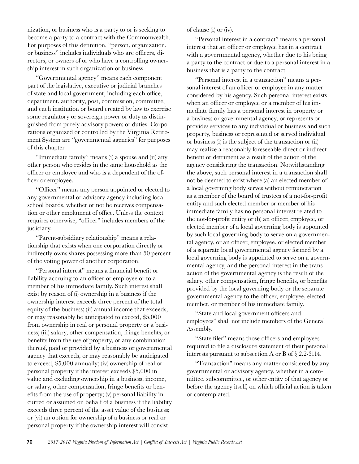nization, or business who is a party to or is seeking to become a party to a contract with the Commonwealth. For purposes of this definition, "person, organization, or business" includes individuals who are officers, directors, or owners of or who have a controlling ownership interest in such organization or business.

"Governmental agency" means each component part of the legislative, executive or judicial branches of state and local government, including each office, department, authority, post, commission, committee, and each institution or board created by law to exercise some regulatory or sovereign power or duty as distinguished from purely advisory powers or duties. Corporations organized or controlled by the Virginia Retirement System are "governmental agencies" for purposes of this chapter.

"Immediate family" means (i) a spouse and (ii) any other person who resides in the same household as the officer or employee and who is a dependent of the officer or employee.

"Officer" means any person appointed or elected to any governmental or advisory agency including local school boards, whether or not he receives compensation or other emolument of office. Unless the context requires otherwise, "officer" includes members of the judiciary.

"Parent-subsidiary relationship" means a relationship that exists when one corporation directly or indirectly owns shares possessing more than 50 percent of the voting power of another corporation.

"Personal interest" means a financial benefit or liability accruing to an officer or employee or to a member of his immediate family. Such interest shall exist by reason of (i) ownership in a business if the ownership interest exceeds three percent of the total equity of the business; (ii) annual income that exceeds, or may reasonably be anticipated to exceed, \$5,000 from ownership in real or personal property or a business; (iii) salary, other compensation, fringe benefits, or benefits from the use of property, or any combination thereof, paid or provided by a business or governmental agency that exceeds, or may reasonably be anticipated to exceed, \$5,000 annually; (iv) ownership of real or personal property if the interest exceeds \$5,000 in value and excluding ownership in a business, income, or salary, other compensation, fringe benefits or benefits from the use of property; (v) personal liability incurred or assumed on behalf of a business if the liability exceeds three percent of the asset value of the business; or (vi) an option for ownership of a business or real or personal property if the ownership interest will consist

of clause (i) or (iv).

"Personal interest in a contract" means a personal interest that an officer or employee has in a contract with a governmental agency, whether due to his being a party to the contract or due to a personal interest in a business that is a party to the contract.

"Personal interest in a transaction" means a personal interest of an officer or employee in any matter considered by his agency. Such personal interest exists when an officer or employee or a member of his immediate family has a personal interest in property or a business or governmental agency, or represents or provides services to any individual or business and such property, business or represented or served individual or business (i) is the subject of the transaction or (ii) may realize a reasonably foreseeable direct or indirect benefit or detriment as a result of the action of the agency considering the transaction. Notwithstanding the above, such personal interest in a transaction shall not be deemed to exist where (a) an elected member of a local governing body serves without remuneration as a member of the board of trustees of a not-for-profit entity and such elected member or member of his immediate family has no personal interest related to the not-for-profit entity or (b) an officer, employee, or elected member of a local governing body is appointed by such local governing body to serve on a governmental agency, or an officer, employee, or elected member of a separate local governmental agency formed by a local governing body is appointed to serve on a governmental agency, and the personal interest in the transaction of the governmental agency is the result of the salary, other compensation, fringe benefits, or benefits provided by the local governing body or the separate governmental agency to the officer, employee, elected member, or member of his immediate family.

"State and local government officers and employees" shall not include members of the General Assembly.

"State filer" means those officers and employees required to file a disclosure statement of their personal interests pursuant to subsection A or B of § 2.2-3114.

"Transaction" means any matter considered by any governmental or advisory agency, whether in a committee, subcommittee, or other entity of that agency or before the agency itself, on which official action is taken or contemplated.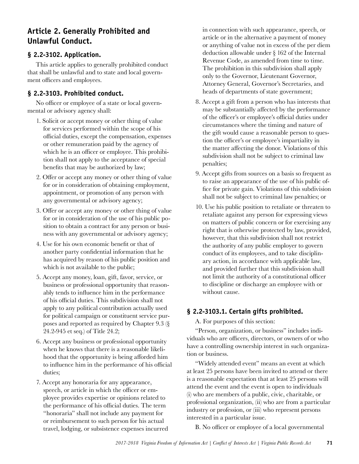## **Article 2. Generally Prohibited and Unlawful Conduct.**

#### **§ 2.2-3102. Application.**

This article applies to generally prohibited conduct that shall be unlawful and to state and local government officers and employees.

#### **§ 2.2-3103. Prohibited conduct.**

No officer or employee of a state or local governmental or advisory agency shall:

- 1. Solicit or accept money or other thing of value for services performed within the scope of his official duties, except the compensation, expenses or other remuneration paid by the agency of which he is an officer or employee. This prohibition shall not apply to the acceptance of special benefits that may be authorized by law;
- 2. Offer or accept any money or other thing of value for or in consideration of obtaining employment, appointment, or promotion of any person with any governmental or advisory agency;
- 3. Offer or accept any money or other thing of value for or in consideration of the use of his public position to obtain a contract for any person or business with any governmental or advisory agency;
- 4. Use for his own economic benefit or that of another party confidential information that he has acquired by reason of his public position and which is not available to the public;
- 5. Accept any money, loan, gift, favor, service, or business or professional opportunity that reasonably tends to influence him in the performance of his official duties. This subdivision shall not apply to any political contribution actually used for political campaign or constituent service purposes and reported as required by Chapter 9.3 (§ 24.2-945 et seq.) of Title 24.2;
- 6. Accept any business or professional opportunity when he knows that there is a reasonable likelihood that the opportunity is being afforded him to influence him in the performance of his official duties;
- 7. Accept any honoraria for any appearance, speech, or article in which the officer or employee provides expertise or opinions related to the performance of his official duties. The term "honoraria" shall not include any payment for or reimbursement to such person for his actual travel, lodging, or subsistence expenses incurred

in connection with such appearance, speech, or article or in the alternative a payment of money or anything of value not in excess of the per diem deduction allowable under § 162 of the Internal Revenue Code, as amended from time to time. The prohibition in this subdivision shall apply only to the Governor, Lieutenant Governor, Attorney General, Governor's Secretaries, and heads of departments of state government;

- 8. Accept a gift from a person who has interests that may be substantially affected by the performance of the officer's or employee's official duties under circumstances where the timing and nature of the gift would cause a reasonable person to question the officer's or employee's impartiality in the matter affecting the donor. Violations of this subdivision shall not be subject to criminal law penalties;
- 9. Accept gifts from sources on a basis so frequent as to raise an appearance of the use of his public office for private gain. Violations of this subdivision shall not be subject to criminal law penalties; or
- 10. Use his public position to retaliate or threaten to retaliate against any person for expressing views on matters of public concern or for exercising any right that is otherwise protected by law, provided, however, that this subdivision shall not restrict the authority of any public employer to govern conduct of its employees, and to take disciplinary action, in accordance with applicable law, and provided further that this subdivision shall not limit the authority of a constitutional officer to discipline or discharge an employee with or without cause.

#### **§ 2.2-3103.1. Certain gifts prohibited.**

A. For purposes of this section:

"Person, organization, or business" includes individuals who are officers, directors, or owners of or who have a controlling ownership interest in such organization or business.

"Widely attended event" means an event at which at least 25 persons have been invited to attend or there is a reasonable expectation that at least 25 persons will attend the event and the event is open to individuals (i) who are members of a public, civic, charitable, or professional organization, (ii) who are from a particular industry or profession, or (iii) who represent persons interested in a particular issue.

B. No officer or employee of a local governmental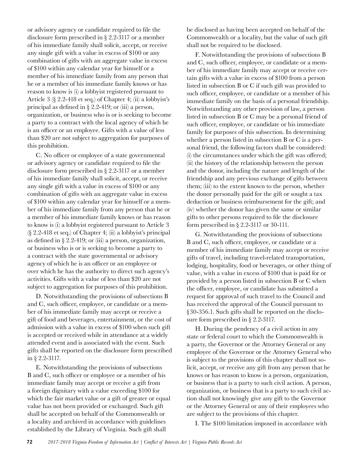or advisory agency or candidate required to file the disclosure form prescribed in § 2.2-3117 or a member of his immediate family shall solicit, accept, or receive any single gift with a value in excess of \$100 or any combination of gifts with an aggregate value in excess of \$100 within any calendar year for himself or a member of his immediate family from any person that he or a member of his immediate family knows or has reason to know is (i) a lobbyist registered pursuant to Article 3 (§ 2.2-418 et seq.) of Chapter 4; (ii) a lobbyist's principal as defined in  $\S 2.2$ -419; or (iii) a person, organization, or business who is or is seeking to become a party to a contract with the local agency of which he is an officer or an employee. Gifts with a value of less than \$20 are not subject to aggregation for purposes of this prohibition.

C. No officer or employee of a state governmental or advisory agency or candidate required to file the disclosure form prescribed in § 2.2-3117 or a member of his immediate family shall solicit, accept, or receive any single gift with a value in excess of \$100 or any combination of gifts with an aggregate value in excess of \$100 within any calendar year for himself or a member of his immediate family from any person that he or a member of his immediate family knows or has reason to know is (i) a lobbyist registered pursuant to Article 3 (§ 2.2-418 et seq.) of Chapter 4; (ii) a lobbyist's principal as defined in § 2.2-419; or (iii) a person, organization, or business who is or is seeking to become a party to a contract with the state governmental or advisory agency of which he is an officer or an employee or over which he has the authority to direct such agency's activities. Gifts with a value of less than \$20 are not subject to aggregation for purposes of this prohibition.

D. Notwithstanding the provisions of subsections B and C, such officer, employee, or candidate or a member of his immediate family may accept or receive a gift of food and beverages, entertainment, or the cost of admission with a value in excess of \$100 when such gift is accepted or received while in attendance at a widely attended event and is associated with the event. Such gifts shall be reported on the disclosure form prescribed in § 2.2-3117.

E. Notwithstanding the provisions of subsections B and C, such officer or employee or a member of his immediate family may accept or receive a gift from a foreign dignitary with a value exceeding \$100 for which the fair market value or a gift of greater or equal value has not been provided or exchanged. Such gift shall be accepted on behalf of the Commonwealth or a locality and archived in accordance with guidelines established by the Library of Virginia. Such gift shall

be disclosed as having been accepted on behalf of the Commonwealth or a locality, but the value of such gift shall not be required to be disclosed.

F. Notwithstanding the provisions of subsections B and C, such officer, employee, or candidate or a member of his immediate family may accept or receive certain gifts with a value in excess of \$100 from a person listed in subsection B or C if such gift was provided to such officer, employee, or candidate or a member of his immediate family on the basis of a personal friendship. Notwithstanding any other provision of law, a person listed in subsection B or C may be a personal friend of such officer, employee, or candidate or his immediate family for purposes of this subsection. In determining whether a person listed in subsection B or C is a personal friend, the following factors shall be considered: (i) the circumstances under which the gift was offered; (ii) the history of the relationship between the person and the donor, including the nature and length of the friendship and any previous exchange of gifts between them; (iii) to the extent known to the person, whether the donor personally paid for the gift or sought a tax deduction or business reimbursement for the gift; and (iv) whether the donor has given the same or similar gifts to other persons required to file the disclosure form prescribed in § 2.2-3117 or 30-111.

G. Notwithstanding the provisions of subsections B and C, such officer, employee, or candidate or a member of his immediate family may accept or receive gifts of travel, including travel-related transportation, lodging, hospitality, food or beverages, or other thing of value, with a value in excess of \$100 that is paid for or provided by a person listed in subsection B or C when the officer, employee, or candidate has submitted a request for approval of such travel to the Council and has received the approval of the Council pursuant to §30-356.1. Such gifts shall be reported on the disclosure form prescribed in  $\S$  2.2-3117.

H. During the pendency of a civil action in any state or federal court to which the Commonwealth is a party, the Governor or the Attorney General or any employee of the Governor or the Attorney General who is subject to the provisions of this chapter shall not solicit, accept, or receive any gift from any person that he knows or has reason to know is a person, organization, or business that is a party to such civil action. A person, organization, or business that is a party to such civil action shall not knowingly give any gift to the Governor or the Attorney General or any of their employees who are subject to the provisions of this chapter.

I. The \$100 limitation imposed in accordance with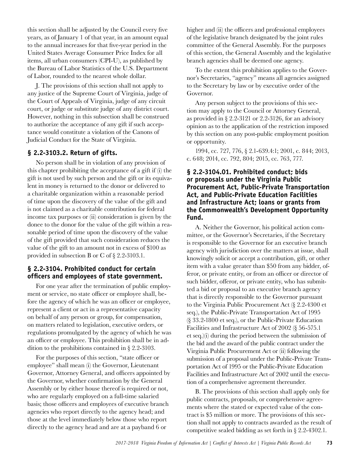this section shall be adjusted by the Council every five years, as of January 1 of that year, in an amount equal to the annual increases for that five-year period in the United States Average Consumer Price Index for all items, all urban consumers (CPI-U), as published by the Bureau of Labor Statistics of the U.S. Department of Labor, rounded to the nearest whole dollar.

J. The provisions of this section shall not apply to any justice of the Supreme Court of Virginia, judge of the Court of Appeals of Virginia, judge of any circuit court, or judge or substitute judge of any district court. However, nothing in this subsection shall be construed to authorize the acceptance of any gift if such acceptance would constitute a violation of the Canons of Judicial Conduct for the State of Virginia.

#### **§ 2.2-3103.2. Return of gifts.**

No person shall be in violation of any provision of this chapter prohibiting the acceptance of a gift if (i) the gift is not used by such person and the gift or its equivalent in money is returned to the donor or delivered to a charitable organization within a reasonable period of time upon the discovery of the value of the gift and is not claimed as a charitable contribution for federal income tax purposes or (ii) consideration is given by the donee to the donor for the value of the gift within a reasonable period of time upon the discovery of the value of the gift provided that such consideration reduces the value of the gift to an amount not in excess of \$100 as provided in subsection B or C of § 2.2-3103.1.

### **§ 2.2-3104. Prohibited conduct for certain officers and employees of state government.**

For one year after the termination of public employment or service, no state officer or employee shall, before the agency of which he was an officer or employee, represent a client or act in a representative capacity on behalf of any person or group, for compensation, on matters related to legislation, executive orders, or regulations promulgated by the agency of which he was an officer or employee. This prohibition shall be in addition to the prohibitions contained in § 2.2-3103.

For the purposes of this section, "state officer or employee" shall mean (i) the Governor, Lieutenant Governor, Attorney General, and officers appointed by the Governor, whether confirmation by the General Assembly or by either house thereof is required or not, who are regularly employed on a full-time salaried basis; those officers and employees of executive branch agencies who report directly to the agency head; and those at the level immediately below those who report directly to the agency head and are at a payband 6 or

higher and (ii) the officers and professional employees of the legislative branch designated by the joint rules committee of the General Assembly. For the purposes of this section, the General Assembly and the legislative branch agencies shall be deemed one agency.

To the extent this prohibition applies to the Governor's Secretaries, "agency" means all agencies assigned to the Secretary by law or by executive order of the Governor.

Any person subject to the provisions of this section may apply to the Council or Attorney General, as provided in § 2.2-3121 or 2.2-3126, for an advisory opinion as to the application of the restriction imposed by this section on any post-public employment position or opportunity.

1994, cc. 727, 776, § 2.1-639.4:1; 2001, c. 844; 2013, c. 648; 2014, cc. 792, 804; 2015, cc. 763, 777.

#### **§ 2.2-3104.01. Prohibited conduct; bids or proposals under the Virginia Public Procurement Act, Public-Private Transportation Act, and Public-Private Education Facilities and Infrastructure Act; loans or grants from the Commonwealth's Development Opportunity Fund.**

A. Neither the Governor, his political action committee, or the Governor's Secretaries, if the Secretary is responsible to the Governor for an executive branch agency with jurisdiction over the matters at issue, shall knowingly solicit or accept a contribution, gift, or other item with a value greater than \$50 from any bidder, offeror, or private entity, or from an officer or director of such bidder, offeror, or private entity, who has submitted a bid or proposal to an executive branch agency that is directly responsible to the Governor pursuant to the Virginia Public Procurement Act (§ 2.2-4300 et seq.), the Public-Private Transportation Act of 1995 (§ 33.2-1800 et seq.), or the Public-Private Education Facilities and Infrastructure Act of 2002 (§ 56-575.1 et seq.)(i) during the period between the submission of the bid and the award of the public contract under the Virginia Public Procurement Act or (ii) following the submission of a proposal under the Public-Private Transportation Act of 1995 or the Public-Private Education Facilities and Infrastructure Act of 2002 until the execution of a comprehensive agreement thereunder.

B. The provisions of this section shall apply only for public contracts, proposals, or comprehensive agreements where the stated or expected value of the contract is \$5 million or more. The provisions of this section shall not apply to contracts awarded as the result of competitive sealed bidding as set forth in § 2.2-4302.1.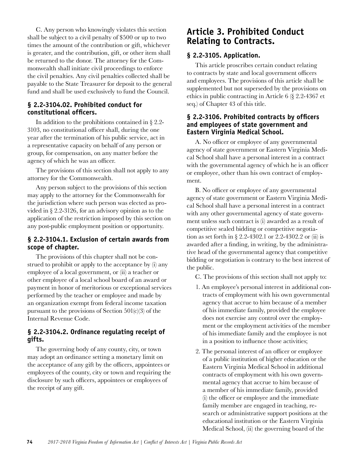C. Any person who knowingly violates this section shall be subject to a civil penalty of \$500 or up to two times the amount of the contribution or gift, whichever is greater, and the contribution, gift, or other item shall be returned to the donor. The attorney for the Commonwealth shall initiate civil proceedings to enforce the civil penalties. Any civil penalties collected shall be payable to the State Treasurer for deposit to the general fund and shall be used exclusively to fund the Council.

### **§ 2.2-3104.02. Prohibited conduct for constitutional officers.**

In addition to the prohibitions contained in § 2.2- 3103, no constitutional officer shall, during the one year after the termination of his public service, act in a representative capacity on behalf of any person or group, for compensation, on any matter before the agency of which he was an officer.

The provisions of this section shall not apply to any attorney for the Commonwealth.

Any person subject to the provisions of this section may apply to the attorney for the Commonwealth for the jurisdiction where such person was elected as provided in § 2.2-3126, for an advisory opinion as to the application of the restriction imposed by this section on any post-public employment position or opportunity.

### **§ 2.2-3104.1. Exclusion of certain awards from scope of chapter.**

The provisions of this chapter shall not be construed to prohibit or apply to the acceptance by (i) any employee of a local government, or (ii) a teacher or other employee of a local school board of an award or payment in honor of meritorious or exceptional services performed by the teacher or employee and made by an organization exempt from federal income taxation pursuant to the provisions of Section  $501(c)(3)$  of the Internal Revenue Code.

### **§ 2.2-3104.2. Ordinance regulating receipt of gifts.**

The governing body of any county, city, or town may adopt an ordinance setting a monetary limit on the acceptance of any gift by the officers, appointees or employees of the county, city or town and requiring the disclosure by such officers, appointees or employees of the receipt of any gift.

### **Article 3. Prohibited Conduct Relating to Contracts.**

### **§ 2.2-3105. Application.**

This article proscribes certain conduct relating to contracts by state and local government officers and employees. The provisions of this article shall be supplemented but not superseded by the provisions on ethics in public contracting in Article 6 (§ 2.2-4367 et seq.) of Chapter 43 of this title.

### **§ 2.2-3106. Prohibited contracts by officers and employees of state government and Eastern Virginia Medical School.**

A. No officer or employee of any governmental agency of state government or Eastern Virginia Medical School shall have a personal interest in a contract with the governmental agency of which he is an officer or employee, other than his own contract of employment.

B. No officer or employee of any governmental agency of state government or Eastern Virginia Medical School shall have a personal interest in a contract with any other governmental agency of state government unless such contract is (i) awarded as a result of competitive sealed bidding or competitive negotiation as set forth in § 2.2-4302.1 or 2.2-4302.2 or (ii) is awarded after a finding, in writing, by the administrative head of the governmental agency that competitive bidding or negotiation is contrary to the best interest of the public.

- C. The provisions of this section shall not apply to:
- 1. An employee's personal interest in additional contracts of employment with his own governmental agency that accrue to him because of a member of his immediate family, provided the employee does not exercise any control over the employment or the employment activities of the member of his immediate family and the employee is not in a position to influence those activities;
- 2. The personal interest of an officer or employee of a public institution of higher education or the Eastern Virginia Medical School in additional contracts of employment with his own governmental agency that accrue to him because of a member of his immediate family, provided (i) the officer or employee and the immediate family member are engaged in teaching, research or administrative support positions at the educational institution or the Eastern Virginia Medical School, (ii) the governing board of the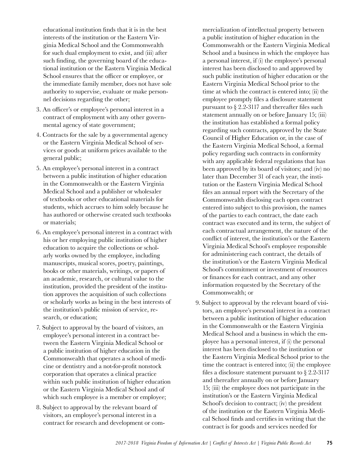educational institution finds that it is in the best interests of the institution or the Eastern Virginia Medical School and the Commonwealth for such dual employment to exist, and (iii) after such finding, the governing board of the educational institution or the Eastern Virginia Medical School ensures that the officer or employee, or the immediate family member, does not have sole authority to supervise, evaluate or make personnel decisions regarding the other;

- 3. An officer's or employee's personal interest in a contract of employment with any other governmental agency of state government;
- 4. Contracts for the sale by a governmental agency or the Eastern Virginia Medical School of services or goods at uniform prices available to the general public;
- 5. An employee's personal interest in a contract between a public institution of higher education in the Commonwealth or the Eastern Virginia Medical School and a publisher or wholesaler of textbooks or other educational materials for students, which accrues to him solely because he has authored or otherwise created such textbooks or materials;
- 6. An employee's personal interest in a contract with his or her employing public institution of higher education to acquire the collections or scholarly works owned by the employee, including manuscripts, musical scores, poetry, paintings, books or other materials, writings, or papers of an academic, research, or cultural value to the institution, provided the president of the institution approves the acquisition of such collections or scholarly works as being in the best interests of the institution's public mission of service, research, or education;
- 7. Subject to approval by the board of visitors, an employee's personal interest in a contract between the Eastern Virginia Medical School or a public institution of higher education in the Commonwealth that operates a school of medicine or dentistry and a not-for-profit nonstock corporation that operates a clinical practice within such public institution of higher education or the Eastern Virginia Medical School and of which such employee is a member or employee;
- 8. Subject to approval by the relevant board of visitors, an employee's personal interest in a contract for research and development or com-

mercialization of intellectual property between a public institution of higher education in the Commonwealth or the Eastern Virginia Medical School and a business in which the employee has a personal interest, if (i) the employee's personal interest has been disclosed to and approved by such public institution of higher education or the Eastern Virginia Medical School prior to the time at which the contract is entered into; (ii) the employee promptly files a disclosure statement pursuant to § 2.2-3117 and thereafter files such statement annually on or before January 15; (iii) the institution has established a formal policy regarding such contracts, approved by the State Council of Higher Education or, in the case of the Eastern Virginia Medical School, a formal policy regarding such contracts in conformity with any applicable federal regulations that has been approved by its board of visitors; and (iv) no later than December 31 of each year, the institution or the Eastern Virginia Medical School files an annual report with the Secretary of the Commonwealth disclosing each open contract entered into subject to this provision, the names of the parties to each contract, the date each contract was executed and its term, the subject of each contractual arrangement, the nature of the conflict of interest, the institution's or the Eastern Virginia Medical School's employee responsible for administering each contract, the details of the institution's or the Eastern Virginia Medical School's commitment or investment of resources or finances for each contract, and any other information requested by the Secretary of the Commonwealth; or

9. Subject to approval by the relevant board of visitors, an employee's personal interest in a contract between a public institution of higher education in the Commonwealth or the Eastern Virginia Medical School and a business in which the employee has a personal interest, if (i) the personal interest has been disclosed to the institution or the Eastern Virginia Medical School prior to the time the contract is entered into; (ii) the employee files a disclosure statement pursuant to  $\S 2.2-3117$ and thereafter annually on or before January 15; (iii) the employee does not participate in the institution's or the Eastern Virginia Medical School's decision to contract; (iv) the president of the institution or the Eastern Virginia Medical School finds and certifies in writing that the contract is for goods and services needed for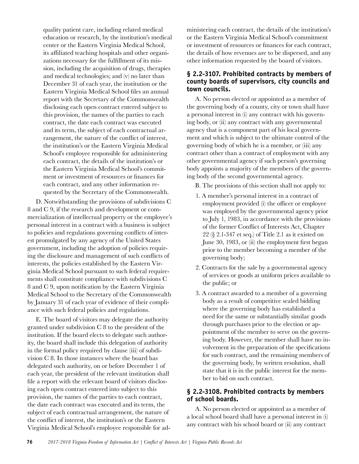quality patient care, including related medical education or research, by the institution's medical center or the Eastern Virginia Medical School, its affiliated teaching hospitals and other organizations necessary for the fulfillment of its mission, including the acquisition of drugs, therapies and medical technologies; and (v) no later than December 31 of each year, the institution or the Eastern Virginia Medical School files an annual report with the Secretary of the Commonwealth disclosing each open contract entered subject to this provision, the names of the parties to each contract, the date each contract was executed and its term, the subject of each contractual arrangement, the nature of the conflict of interest, the institution's or the Eastern Virginia Medical School's employee responsible for administering each contract, the details of the institution's or the Eastern Virginia Medical School's commitment or investment of resources or finances for each contract, and any other information requested by the Secretary of the Commonwealth.

D. Notwithstanding the provisions of subdivisions C 8 and C 9, if the research and development or commercialization of intellectual property or the employee's personal interest in a contract with a business is subject to policies and regulations governing conflicts of interest promulgated by any agency of the United States government, including the adoption of policies requiring the disclosure and management of such conflicts of interests, the policies established by the Eastern Virginia Medical School pursuant to such federal requirements shall constitute compliance with subdivisions C 8 and C 9, upon notification by the Eastern Virginia Medical School to the Secretary of the Commonwealth by January 31 of each year of evidence of their compliance with such federal policies and regulations.

E. The board of visitors may delegate the authority granted under subdivision C 8 to the president of the institution. If the board elects to delegate such authority, the board shall include this delegation of authority in the formal policy required by clause (iii) of subdivision C 8. In those instances where the board has delegated such authority, on or before December 1 of each year, the president of the relevant institution shall file a report with the relevant board of visitors disclosing each open contract entered into subject to this provision, the names of the parties to each contract, the date each contract was executed and its term, the subject of each contractual arrangement, the nature of the conflict of interest, the institution's or the Eastern Virginia Medical School's employee responsible for administering each contract, the details of the institution's or the Eastern Virginia Medical School's commitment or investment of resources or finances for each contract, the details of how revenues are to be dispersed, and any other information requested by the board of visitors.

### **§ 2.2-3107. Prohibited contracts by members of county boards of supervisors, city councils and town councils.**

A. No person elected or appointed as a member of the governing body of a county, city or town shall have a personal interest in (i) any contract with his governing body, or (ii) any contract with any governmental agency that is a component part of his local government and which is subject to the ultimate control of the governing body of which he is a member, or (iii) any contract other than a contract of employment with any other governmental agency if such person's governing body appoints a majority of the members of the governing body of the second governmental agency.

- B. The provisions of this section shall not apply to:
- 1. A member's personal interest in a contract of employment provided (i) the officer or employee was employed by the governmental agency prior to July 1, 1983, in accordance with the provisions of the former Conflict of Interests Act, Chapter 22 (§ 2.1-347 et seq.) of Title 2.1 as it existed on June 30, 1983, or (ii) the employment first began prior to the member becoming a member of the governing body;
- 2. Contracts for the sale by a governmental agency of services or goods at uniform prices available to the public; or
- 3. A contract awarded to a member of a governing body as a result of competitive sealed bidding where the governing body has established a need for the same or substantially similar goods through purchases prior to the election or appointment of the member to serve on the governing body. However, the member shall have no involvement in the preparation of the specifications for such contract, and the remaining members of the governing body, by written resolution, shall state that it is in the public interest for the member to bid on such contract.

### **§ 2.2-3108. Prohibited contracts by members of school boards.**

A. No person elected or appointed as a member of a local school board shall have a personal interest in (i) any contract with his school board or (ii) any contract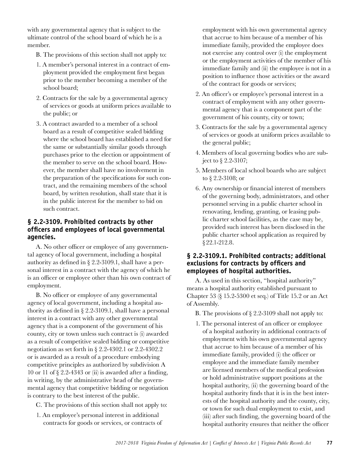with any governmental agency that is subject to the ultimate control of the school board of which he is a member.

- B. The provisions of this section shall not apply to:
- 1. A member's personal interest in a contract of employment provided the employment first began prior to the member becoming a member of the school board;
- 2. Contracts for the sale by a governmental agency of services or goods at uniform prices available to the public; or
- 3. A contract awarded to a member of a school board as a result of competitive sealed bidding where the school board has established a need for the same or substantially similar goods through purchases prior to the election or appointment of the member to serve on the school board. However, the member shall have no involvement in the preparation of the specifications for such contract, and the remaining members of the school board, by written resolution, shall state that it is in the public interest for the member to bid on such contract.

### **§ 2.2-3109. Prohibited contracts by other officers and employees of local governmental agencies.**

A. No other officer or employee of any governmental agency of local government, including a hospital authority as defined in § 2.2-3109.1, shall have a personal interest in a contract with the agency of which he is an officer or employee other than his own contract of employment.

B. No officer or employee of any governmental agency of local government, including a hospital authority as defined in § 2.2-3109.1, shall have a personal interest in a contract with any other governmental agency that is a component of the government of his county, city or town unless such contract is (i) awarded as a result of competitive sealed bidding or competitive negotiation as set forth in § 2.2-4302.1 or 2.2-4302.2 or is awarded as a result of a procedure embodying competitive principles as authorized by subdivision A 10 or 11 of  $\S 2.2$ -4343 or (ii) is awarded after a finding, in writing, by the administrative head of the governmental agency that competitive bidding or negotiation is contrary to the best interest of the public.

- C. The provisions of this section shall not apply to:
- 1. An employee's personal interest in additional contracts for goods or services, or contracts of

employment with his own governmental agency that accrue to him because of a member of his immediate family, provided the employee does not exercise any control over (i) the employment or the employment activities of the member of his immediate family and (ii) the employee is not in a position to influence those activities or the award of the contract for goods or services;

- 2. An officer's or employee's personal interest in a contract of employment with any other governmental agency that is a component part of the government of his county, city or town;
- 3. Contracts for the sale by a governmental agency of services or goods at uniform prices available to the general public;
- 4. Members of local governing bodies who are subject to § 2.2-3107;
- 5. Members of local school boards who are subject to § 2.2-3108; or
- 6. Any ownership or financial interest of members of the governing body, administrators, and other personnel serving in a public charter school in renovating, lending, granting, or leasing public charter school facilities, as the case may be, provided such interest has been disclosed in the public charter school application as required by § 22.1-212.8.

#### **§ 2.2-3109.1. Prohibited contracts; additional exclusions for contracts by officers and employees of hospital authorities.**

A. As used in this section, "hospital authority" means a hospital authority established pursuant to Chapter 53 (§ 15.2-5300 et seq.) of Title 15.2 or an Act of Assembly.

- B. The provisions of § 2.2-3109 shall not apply to:
- 1. The personal interest of an officer or employee of a hospital authority in additional contracts of employment with his own governmental agency that accrue to him because of a member of his immediate family, provided (i) the officer or employee and the immediate family member are licensed members of the medical profession or hold administrative support positions at the hospital authority, (ii) the governing board of the hospital authority finds that it is in the best interests of the hospital authority and the county, city, or town for such dual employment to exist, and (iii) after such finding, the governing board of the hospital authority ensures that neither the officer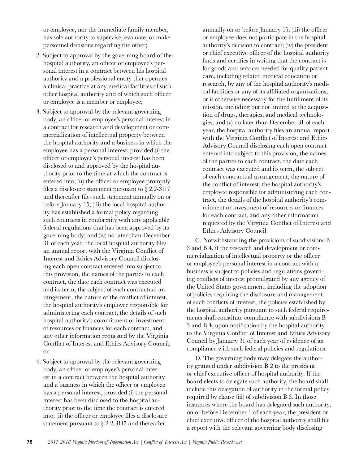or employee, nor the immediate family member, has sole authority to supervise, evaluate, or make personnel decisions regarding the other;

- 2. Subject to approval by the governing board of the hospital authority, an officer or employee's personal interest in a contract between his hospital authority and a professional entity that operates a clinical practice at any medical facilities of such other hospital authority and of which such officer or employee is a member or employee;
- 3. Subject to approval by the relevant governing body, an officer or employee's personal interest in a contract for research and development or commercialization of intellectual property between the hospital authority and a business in which the employee has a personal interest, provided (i) the officer or employee's personal interest has been disclosed to and approved by the hospital authority prior to the time at which the contract is entered into; (ii) the officer or employee promptly files a disclosure statement pursuant to  $\S 2.2-3117$ and thereafter files such statement annually on or before January 15; (iii) the local hospital authority has established a formal policy regarding such contracts in conformity with any applicable federal regulations that has been approved by its governing body; and (iv) no later than December 31 of each year, the local hospital authority files an annual report with the Virginia Conflict of Interest and Ethics Advisory Council disclosing each open contract entered into subject to this provision, the names of the parties to each contract, the date each contract was executed and its term, the subject of each contractual arrangement, the nature of the conflict of interest, the hospital authority's employee responsible for administering each contract, the details of such hospital authority's commitment or investment of resources or finances for each contract, and any other information requested by the Virginia Conflict of Interest and Ethics Advisory Council; or
- 4. Subject to approval by the relevant governing body, an officer or employee's personal interest in a contract between the hospital authority and a business in which the officer or employee has a personal interest, provided (i) the personal interest has been disclosed to the hospital authority prior to the time the contract is entered into; (ii) the officer or employee files a disclosure statement pursuant to § 2.2-3117 and thereafter

annually on or before January 15; (iii) the officer or employee does not participate in the hospital authority's decision to contract; (iv) the president or chief executive officer of the hospital authority finds and certifies in writing that the contract is for goods and services needed for quality patient care, including related medical education or research, by any of the hospital authority's medical facilities or any of its affiliated organizations, or is otherwise necessary for the fulfillment of its mission, including but not limited to the acquisition of drugs, therapies, and medical technologies; and (v) no later than December 31 of each year, the hospital authority files an annual report with the Virginia Conflict of Interest and Ethics Advisory Council disclosing each open contract entered into subject to this provision, the names of the parties to each contract, the date each contract was executed and its term, the subject of each contractual arrangement, the nature of the conflict of interest, the hospital authority's employee responsible for administering each contract, the details of the hospital authority's commitment or investment of resources or finances for each contract, and any other information requested by the Virginia Conflict of Interest and Ethics Advisory Council.

C. Notwithstanding the provisions of subdivisions B 3 and B 4, if the research and development or commercialization of intellectual property or the officer or employee's personal interest in a contract with a business is subject to policies and regulations governing conflicts of interest promulgated by any agency of the United States government, including the adoption of policies requiring the disclosure and management of such conflicts of interest, the policies established by the hospital authority pursuant to such federal requirements shall constitute compliance with subdivisions B 3 and B 4, upon notification by the hospital authority to the Virginia Conflict of Interest and Ethics Advisory Council by January 31 of each year of evidence of its compliance with such federal policies and regulations.

D. The governing body may delegate the authority granted under subdivision B 2 to the president or chief executive officer of hospital authority. If the board elects to delegate such authority, the board shall include this delegation of authority in the formal policy required by clause (iii) of subdivision B 3. In those instances where the board has delegated such authority, on or before December 1 of each year, the president or chief executive officer of the hospital authority shall file a report with the relevant governing body disclosing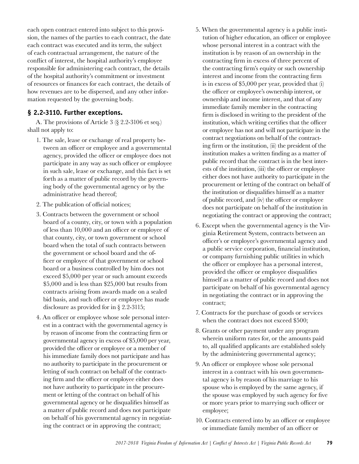each open contract entered into subject to this provision, the names of the parties to each contract, the date each contract was executed and its term, the subject of each contractual arrangement, the nature of the conflict of interest, the hospital authority's employee responsible for administering each contract, the details of the hospital authority's commitment or investment of resources or finances for each contract, the details of how revenues are to be dispersed, and any other information requested by the governing body.

### **§ 2.2-3110. Further exceptions.**

A. The provisions of Article 3 (§ 2.2-3106 et seq.) shall not apply to:

- 1. The sale, lease or exchange of real property between an officer or employee and a governmental agency, provided the officer or employee does not participate in any way as such officer or employee in such sale, lease or exchange, and this fact is set forth as a matter of public record by the governing body of the governmental agency or by the administrative head thereof;
- 2. The publication of official notices;
- 3. Contracts between the government or school board of a county, city, or town with a population of less than 10,000 and an officer or employee of that county, city, or town government or school board when the total of such contracts between the government or school board and the officer or employee of that government or school board or a business controlled by him does not exceed \$5,000 per year or such amount exceeds \$5,000 and is less than \$25,000 but results from contracts arising from awards made on a sealed bid basis, and such officer or employee has made disclosure as provided for in § 2.2-3115;
- 4. An officer or employee whose sole personal interest in a contract with the governmental agency is by reason of income from the contracting firm or governmental agency in excess of \$5,000 per year, provided the officer or employee or a member of his immediate family does not participate and has no authority to participate in the procurement or letting of such contract on behalf of the contracting firm and the officer or employee either does not have authority to participate in the procurement or letting of the contract on behalf of his governmental agency or he disqualifies himself as a matter of public record and does not participate on behalf of his governmental agency in negotiating the contract or in approving the contract;
- 5. When the governmental agency is a public institution of higher education, an officer or employee whose personal interest in a contract with the institution is by reason of an ownership in the contracting firm in excess of three percent of the contracting firm's equity or such ownership interest and income from the contracting firm is in excess of \$5,000 per year, provided that (i) the officer or employee's ownership interest, or ownership and income interest, and that of any immediate family member in the contracting firm is disclosed in writing to the president of the institution, which writing certifies that the officer or employee has not and will not participate in the contract negotiations on behalf of the contracting firm or the institution, (ii) the president of the institution makes a written finding as a matter of public record that the contract is in the best interests of the institution, (iii) the officer or employee either does not have authority to participate in the procurement or letting of the contract on behalf of the institution or disqualifies himself as a matter of public record, and (iv) the officer or employee does not participate on behalf of the institution in negotiating the contract or approving the contract;
- 6. Except when the governmental agency is the Virginia Retirement System, contracts between an officer's or employee's governmental agency and a public service corporation, financial institution, or company furnishing public utilities in which the officer or employee has a personal interest, provided the officer or employee disqualifies himself as a matter of public record and does not participate on behalf of his governmental agency in negotiating the contract or in approving the contract;
- 7. Contracts for the purchase of goods or services when the contract does not exceed \$500;
- 8. Grants or other payment under any program wherein uniform rates for, or the amounts paid to, all qualified applicants are established solely by the administering governmental agency;
- 9. An officer or employee whose sole personal interest in a contract with his own governmental agency is by reason of his marriage to his spouse who is employed by the same agency, if the spouse was employed by such agency for five or more years prior to marrying such officer or employee;
- 10. Contracts entered into by an officer or employee or immediate family member of an officer or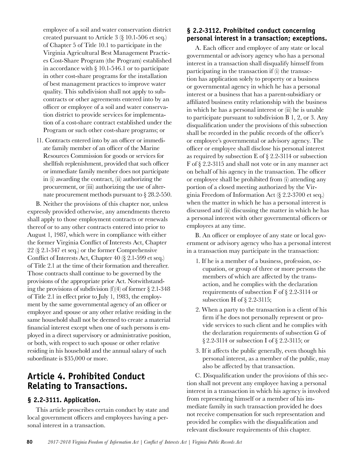employee of a soil and water conservation district created pursuant to Article 3 (§ 10.1-506 et seq.) of Chapter 5 of Title 10.1 to participate in the Virginia Agricultural Best Management Practices Cost-Share Program (the Program) established in accordance with § 10.1-546.1 or to participate in other cost-share programs for the installation of best management practices to improve water quality. This subdivision shall not apply to subcontracts or other agreements entered into by an officer or employee of a soil and water conservation district to provide services for implementation of a cost-share contract established under the Program or such other cost-share programs; or

11. Contracts entered into by an officer or immediate family member of an officer of the Marine Resources Commission for goods or services for shellfish replenishment, provided that such officer or immediate family member does not participate in (i) awarding the contract, (ii) authorizing the procurement, or (iii) authorizing the use of alternate procurement methods pursuant to § 28.2-550.

B. Neither the provisions of this chapter nor, unless expressly provided otherwise, any amendments thereto shall apply to those employment contracts or renewals thereof or to any other contracts entered into prior to August 1, 1987, which were in compliance with either the former Virginia Conflict of Interests Act, Chapter 22 (§ 2.1-347 et seq.) or the former Comprehensive Conflict of Interests Act, Chapter 40 (§ 2.1-599 et seq.) of Title 2.1 at the time of their formation and thereafter. Those contracts shall continue to be governed by the provisions of the appropriate prior Act. Notwithstanding the provisions of subdivision  $(f)(4)$  of former  $\S 2.1-348$ of Title 2.1 in effect prior to July 1, 1983, the employment by the same governmental agency of an officer or employee and spouse or any other relative residing in the same household shall not be deemed to create a material financial interest except when one of such persons is employed in a direct supervisory or administrative position, or both, with respect to such spouse or other relative residing in his household and the annual salary of such subordinate is \$35,000 or more.

### **Article 4. Prohibited Conduct Relating to Transactions.**

### **§ 2.2-3111. Application.**

This article proscribes certain conduct by state and local government officers and employees having a personal interest in a transaction.

### **§ 2.2-3112. Prohibited conduct concerning personal interest in a transaction; exceptions.**

A. Each officer and employee of any state or local governmental or advisory agency who has a personal interest in a transaction shall disqualify himself from participating in the transaction if (i) the transaction has application solely to property or a business or governmental agency in which he has a personal interest or a business that has a parent-subsidiary or affiliated business entity relationship with the business in which he has a personal interest or (ii) he is unable to participate pursuant to subdivision B 1, 2, or 3. Any disqualification under the provisions of this subsection shall be recorded in the public records of the officer's or employee's governmental or advisory agency. The officer or employee shall disclose his personal interest as required by subsection E of § 2.2-3114 or subsection F of § 2.2-3115 and shall not vote or in any manner act on behalf of his agency in the transaction. The officer or employee shall be prohibited from (i) attending any portion of a closed meeting authorized by the Virginia Freedom of Information Act (§ 2.2-3700 et seq.) when the matter in which he has a personal interest is discussed and (ii) discussing the matter in which he has a personal interest with other governmental officers or employees at any time.

B. An officer or employee of any state or local government or advisory agency who has a personal interest in a transaction may participate in the transaction:

- 1. If he is a member of a business, profession, occupation, or group of three or more persons the members of which are affected by the transaction, and he complies with the declaration requirements of subsection F of § 2.2-3114 or subsection H of § 2.2-3115;
- 2. When a party to the transaction is a client of his firm if he does not personally represent or provide services to such client and he complies with the declaration requirements of subsection G of § 2.2-3114 or subsection I of § 2.2-3115; or
- 3. If it affects the public generally, even though his personal interest, as a member of the public, may also be affected by that transaction.

C. Disqualification under the provisions of this section shall not prevent any employee having a personal interest in a transaction in which his agency is involved from representing himself or a member of his immediate family in such transaction provided he does not receive compensation for such representation and provided he complies with the disqualification and relevant disclosure requirements of this chapter.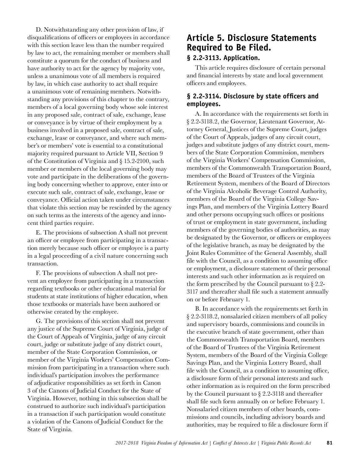D. Notwithstanding any other provision of law, if disqualifications of officers or employees in accordance with this section leave less than the number required by law to act, the remaining member or members shall constitute a quorum for the conduct of business and have authority to act for the agency by majority vote, unless a unanimous vote of all members is required by law, in which case authority to act shall require a unanimous vote of remaining members. Notwithstanding any provisions of this chapter to the contrary, members of a local governing body whose sole interest in any proposed sale, contract of sale, exchange, lease or conveyance is by virtue of their employment by a business involved in a proposed sale, contract of sale, exchange, lease or conveyance, and where such member's or members' vote is essential to a constitutional majority required pursuant to Article VII, Section 9 of the Constitution of Virginia and § 15.2-2100, such member or members of the local governing body may vote and participate in the deliberations of the governing body concerning whether to approve, enter into or execute such sale, contract of sale, exchange, lease or conveyance. Official action taken under circumstances that violate this section may be rescinded by the agency on such terms as the interests of the agency and innocent third parties require.

E. The provisions of subsection A shall not prevent an officer or employee from participating in a transaction merely because such officer or employee is a party in a legal proceeding of a civil nature concerning such transaction.

F. The provisions of subsection A shall not prevent an employee from participating in a transaction regarding textbooks or other educational material for students at state institutions of higher education, when those textbooks or materials have been authored or otherwise created by the employee.

G. The provisions of this section shall not prevent any justice of the Supreme Court of Virginia, judge of the Court of Appeals of Virginia, judge of any circuit court, judge or substitute judge of any district court, member of the State Corporation Commission, or member of the Virginia Workers' Compensation Commission from participating in a transaction where such individual's participation involves the performance of adjudicative responsibilities as set forth in Canon 3 of the Canons of Judicial Conduct for the State of Virginia. However, nothing in this subsection shall be construed to authorize such individual's participation in a transaction if such participation would constitute a violation of the Canons of Judicial Conduct for the State of Virginia.

# **Article 5. Disclosure Statements Required to Be Filed.**

### **§ 2.2-3113. Application.**

This article requires disclosure of certain personal and financial interests by state and local government officers and employees.

### **§ 2.2-3114. Disclosure by state officers and employees.**

A. In accordance with the requirements set forth in § 2.2-3118.2, the Governor, Lieutenant Governor, Attorney General, Justices of the Supreme Court, judges of the Court of Appeals, judges of any circuit court, judges and substitute judges of any district court, members of the State Corporation Commission, members of the Virginia Workers' Compensation Commission, members of the Commonwealth Transportation Board, members of the Board of Trustees of the Virginia Retirement System, members of the Board of Directors of the Virginia Alcoholic Beverage Control Authority, members of the Board of the Virginia College Savings Plan, and members of the Virginia Lottery Board and other persons occupying such offices or positions of trust or employment in state government, including members of the governing bodies of authorities, as may be designated by the Governor, or officers or employees of the legislative branch, as may be designated by the Joint Rules Committee of the General Assembly, shall file with the Council, as a condition to assuming office or employment, a disclosure statement of their personal interests and such other information as is required on the form prescribed by the Council pursuant to  $\S 2.2$ -3117 and thereafter shall file such a statement annually on or before February 1.

B. In accordance with the requirements set forth in § 2.2-3118.2, nonsalaried citizen members of all policy and supervisory boards, commissions and councils in the executive branch of state government, other than the Commonwealth Transportation Board, members of the Board of Trustees of the Virginia Retirement System, members of the Board of the Virginia College Savings Plan, and the Virginia Lottery Board, shall file with the Council, as a condition to assuming office, a disclosure form of their personal interests and such other information as is required on the form prescribed by the Council pursuant to § 2.2-3118 and thereafter shall file such form annually on or before February 1. Nonsalaried citizen members of other boards, commissions and councils, including advisory boards and authorities, may be required to file a disclosure form if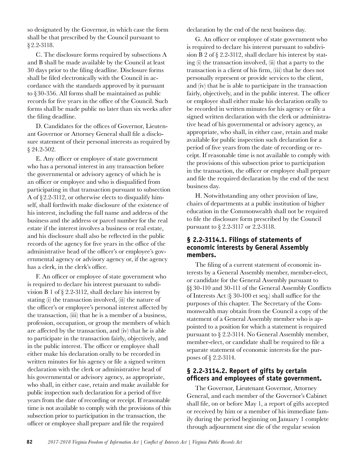so designated by the Governor, in which case the form shall be that prescribed by the Council pursuant to § 2.2-3118.

C. The disclosure forms required by subsections A and B shall be made available by the Council at least 30 days prior to the filing deadline. Disclosure forms shall be filed electronically with the Council in accordance with the standards approved by it pursuant to §30-356. All forms shall be maintained as public records for five years in the office of the Council. Such forms shall be made public no later than six weeks after the filing deadline.

D. Candidates for the offices of Governor, Lieutenant Governor or Attorney General shall file a disclosure statement of their personal interests as required by § 24.2-502.

E. Any officer or employee of state government who has a personal interest in any transaction before the governmental or advisory agency of which he is an officer or employee and who is disqualified from participating in that transaction pursuant to subsection A of §2.2-3112, or otherwise elects to disqualify himself, shall forthwith make disclosure of the existence of his interest, including the full name and address of the business and the address or parcel number for the real estate if the interest involves a business or real estate, and his disclosure shall also be reflected in the public records of the agency for five years in the office of the administrative head of the officer's or employee's governmental agency or advisory agency or, if the agency has a clerk, in the clerk's office.

F. An officer or employee of state government who is required to declare his interest pursuant to subdivision B 1 of § 2.2-3112, shall declare his interest by stating (i) the transaction involved, (ii) the nature of the officer's or employee's personal interest affected by the transaction, (iii) that he is a member of a business, profession, occupation, or group the members of which are affected by the transaction, and (iv) that he is able to participate in the transaction fairly, objectively, and in the public interest. The officer or employee shall either make his declaration orally to be recorded in written minutes for his agency or file a signed written declaration with the clerk or administrative head of his governmental or advisory agency, as appropriate, who shall, in either case, retain and make available for public inspection such declaration for a period of five years from the date of recording or receipt. If reasonable time is not available to comply with the provisions of this subsection prior to participation in the transaction, the officer or employee shall prepare and file the required

declaration by the end of the next business day.

G. An officer or employee of state government who is required to declare his interest pursuant to subdivision B 2 of § 2.2-3112, shall declare his interest by stating (i) the transaction involved, (ii) that a party to the transaction is a client of his firm, (iii) that he does not personally represent or provide services to the client, and (iv) that he is able to participate in the transaction fairly, objectively, and in the public interest. The officer or employee shall either make his declaration orally to be recorded in written minutes for his agency or file a signed written declaration with the clerk or administrative head of his governmental or advisory agency, as appropriate, who shall, in either case, retain and make available for public inspection such declaration for a period of five years from the date of recording or receipt. If reasonable time is not available to comply with the provisions of this subsection prior to participation in the transaction, the officer or employee shall prepare and file the required declaration by the end of the next business day.

H. Notwithstanding any other provision of law, chairs of departments at a public institution of higher education in the Commonwealth shall not be required to file the disclosure form prescribed by the Council pursuant to § 2.2-3117 or 2.2-3118.

### **§ 2.2-3114.1. Filings of statements of economic interests by General Assembly members.**

The filing of a current statement of economic interests by a General Assembly member, member-elect, or candidate for the General Assembly pursuant to §§ 30-110 and 30-111 of the General Assembly Conflicts of Interests Act (§ 30-100 et seq.) shall suffice for the purposes of this chapter. The Secretary of the Commonwealth may obtain from the Council a copy of the statement of a General Assembly member who is appointed to a position for which a statement is required pursuant to § 2.2-3114. No General Assembly member, member-elect, or candidate shall be required to file a separate statement of economic interests for the purposes of § 2.2-3114.

### **§ 2.2-3114.2. Report of gifts by certain officers and employees of state government.**

The Governor, Lieutenant Governor, Attorney General, and each member of the Governor's Cabinet shall file, on or before May 1, a report of gifts accepted or received by him or a member of his immediate family during the period beginning on January 1 complete through adjournment sine die of the regular session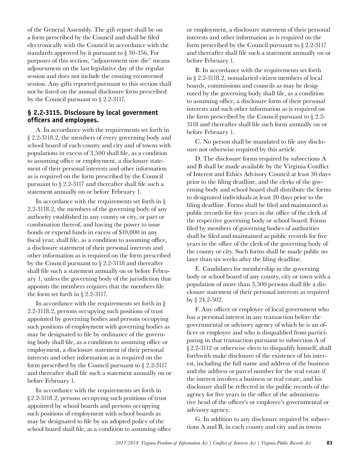of the General Assembly. The gift report shall be on a form prescribed by the Council and shall be filed electronically with the Council in accordance with the standards approved by it pursuant to § 30-356. For purposes of this section, "adjournment sine die" means adjournment on the last legislative day of the regular session and does not include the ensuing reconvened session. Any gifts reported pursuant to this section shall not be listed on the annual disclosure form prescribed by the Council pursuant to § 2.2-3117.

### **§ 2.2-3115. Disclosure by local government officers and employees.**

A. In accordance with the requirements set forth in § 2.2-3118.2, the members of every governing body and school board of each county and city and of towns with populations in excess of 3,500 shall file, as a condition to assuming office or employment, a disclosure statement of their personal interests and other information as is required on the form prescribed by the Council pursuant to § 2.2-3117 and thereafter shall file such a statement annually on or before February 1.

In accordance with the requirements set forth in  $\S$ 2.2-3118.2, the members of the governing body of any authority established in any county or city, or part or combination thereof, and having the power to issue bonds or expend funds in excess of \$10,000 in any fiscal year, shall file, as a condition to assuming office, a disclosure statement of their personal interests and other information as is required on the form prescribed by the Council pursuant to § 2.2-3118 and thereafter shall file such a statement annually on or before February 1, unless the governing body of the jurisdiction that appoints the members requires that the members file the form set forth in § 2.2-3117.

In accordance with the requirements set forth in  $\S$ 2.2-3118.2, persons occupying such positions of trust appointed by governing bodies and persons occupying such positions of employment with governing bodies as may be designated to file by ordinance of the governing body shall file, as a condition to assuming office or employment, a disclosure statement of their personal interests and other information as is required on the form prescribed by the Council pursuant to  $\S 2.2-3117$ and thereafter shall file such a statement annually on or before February 1.

In accordance with the requirements set forth in § 2.2-3118.2, persons occupying such positions of trust appointed by school boards and persons occupying such positions of employment with school boards as may be designated to file by an adopted policy of the school board shall file, as a condition to assuming office or employment, a disclosure statement of their personal interests and other information as is required on the form prescribed by the Council pursuant to § 2.2-3117 and thereafter shall file such a statement annually on or before February 1.

B. In accordance with the requirements set forth in § 2.2-3118.2, nonsalaried citizen members of local boards, commissions and councils as may be designated by the governing body shall file, as a condition to assuming office, a disclosure form of their personal interests and such other information as is required on the form prescribed by the Council pursuant to  $\S 2.2$ -3118 and thereafter shall file such form annually on or before February 1.

C. No person shall be mandated to file any disclosure not otherwise required by this article.

D. The disclosure forms required by subsections A and B shall be made available by the Virginia Conflict of Interest and Ethics Advisory Council at least 30 days prior to the filing deadline, and the clerks of the governing body and school board shall distribute the forms to designated individuals at least 20 days prior to the filing deadline. Forms shall be filed and maintained as public records for five years in the office of the clerk of the respective governing body or school board. Forms filed by members of governing bodies of authorities shall be filed and maintained as public records for five years in the office of the clerk of the governing body of the county or city. Such forms shall be made public no later than six weeks after the filing deadline.

E. Candidates for membership in the governing body or school board of any county, city or town with a population of more than 3,500 persons shall file a disclosure statement of their personal interests as required by § 24.2-502.

F. Any officer or employee of local government who has a personal interest in any transaction before the governmental or advisory agency of which he is an officer or employee and who is disqualified from participating in that transaction pursuant to subsection A of § 2.2-3112 or otherwise elects to disqualify himself, shall forthwith make disclosure of the existence of his interest, including the full name and address of the business and the address or parcel number for the real estate if the interest involves a business or real estate, and his disclosure shall be reflected in the public records of the agency for five years in the office of the administrative head of the officer's or employee's governmental or advisory agency.

G. In addition to any disclosure required by subsections A and B, in each county and city and in towns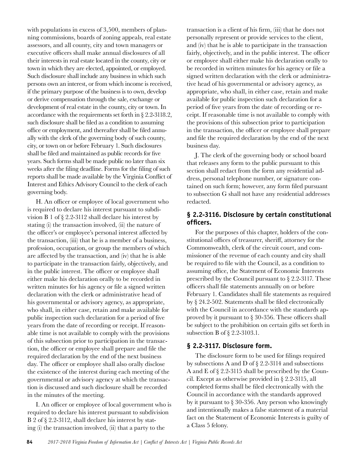with populations in excess of 3,500, members of planning commissions, boards of zoning appeals, real estate assessors, and all county, city and town managers or executive officers shall make annual disclosures of all their interests in real estate located in the county, city or town in which they are elected, appointed, or employed. Such disclosure shall include any business in which such persons own an interest, or from which income is received, if the primary purpose of the business is to own, develop or derive compensation through the sale, exchange or development of real estate in the county, city or town. In accordance with the requirements set forth in § 2.2-3118.2, such disclosure shall be filed as a condition to assuming office or employment, and thereafter shall be filed annually with the clerk of the governing body of such county, city, or town on or before February 1. Such disclosures shall be filed and maintained as public records for five years. Such forms shall be made public no later than six weeks after the filing deadline. Forms for the filing of such reports shall be made available by the Virginia Conflict of Interest and Ethics Advisory Council to the clerk of each governing body.

H. An officer or employee of local government who is required to declare his interest pursuant to subdivision B 1 of § 2.2-3112 shall declare his interest by stating (i) the transaction involved, (ii) the nature of the officer's or employee's personal interest affected by the transaction, (iii) that he is a member of a business, profession, occupation, or group the members of which are affected by the transaction, and (iv) that he is able to participate in the transaction fairly, objectively, and in the public interest. The officer or employee shall either make his declaration orally to be recorded in written minutes for his agency or file a signed written declaration with the clerk or administrative head of his governmental or advisory agency, as appropriate, who shall, in either case, retain and make available for public inspection such declaration for a period of five years from the date of recording or receipt. If reasonable time is not available to comply with the provisions of this subsection prior to participation in the transaction, the officer or employee shall prepare and file the required declaration by the end of the next business day. The officer or employee shall also orally disclose the existence of the interest during each meeting of the governmental or advisory agency at which the transaction is discussed and such disclosure shall be recorded in the minutes of the meeting.

I. An officer or employee of local government who is required to declare his interest pursuant to subdivision B 2 of § 2.2-3112, shall declare his interest by stating (i) the transaction involved, (ii) that a party to the

transaction is a client of his firm, (iii) that he does not personally represent or provide services to the client, and (iv) that he is able to participate in the transaction fairly, objectively, and in the public interest. The officer or employee shall either make his declaration orally to be recorded in written minutes for his agency or file a signed written declaration with the clerk or administrative head of his governmental or advisory agency, as appropriate, who shall, in either case, retain and make available for public inspection such declaration for a period of five years from the date of recording or receipt. If reasonable time is not available to comply with the provisions of this subsection prior to participation in the transaction, the officer or employee shall prepare and file the required declaration by the end of the next business day.

J. The clerk of the governing body or school board that releases any form to the public pursuant to this section shall redact from the form any residential address, personal telephone number, or signature contained on such form; however, any form filed pursuant to subsection G shall not have any residential addresses redacted.

### **§ 2.2-3116. Disclosure by certain constitutional officers.**

For the purposes of this chapter, holders of the constitutional offices of treasurer, sheriff, attorney for the Commonwealth, clerk of the circuit court, and commissioner of the revenue of each county and city shall be required to file with the Council, as a condition to assuming office, the Statement of Economic Interests prescribed by the Council pursuant to § 2.2-3117. These officers shall file statements annually on or before February 1. Candidates shall file statements as required by § 24.2-502. Statements shall be filed electronically with the Council in accordance with the standards approved by it pursuant to § 30-356. These officers shall be subject to the prohibition on certain gifts set forth in subsection B of § 2.2-3103.1.

### **§ 2.2-3117. Disclosure form.**

The disclosure form to be used for filings required by subsections A and D of § 2.2-3114 and subsections A and E of § 2.2-3115 shall be prescribed by the Council. Except as otherwise provided in § 2.2-3115, all completed forms shall be filed electronically with the Council in accordance with the standards approved by it pursuant to § 30-356. Any person who knowingly and intentionally makes a false statement of a material fact on the Statement of Economic Interests is guilty of a Class 5 felony.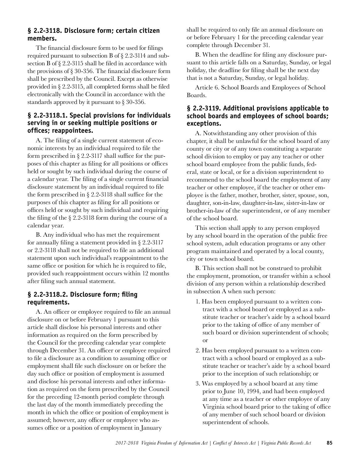### **§ 2.2-3118. Disclosure form; certain citizen members.**

The financial disclosure form to be used for filings required pursuant to subsection B of § 2.2-3114 and subsection B of § 2.2-3115 shall be filed in accordance with the provisions of § 30-356. The financial disclosure form shall be prescribed by the Council. Except as otherwise provided in § 2.2-3115, all completed forms shall be filed electronically with the Council in accordance with the standards approved by it pursuant to § 30-356.

### **§ 2.2-3118.1. Special provisions for individuals serving in or seeking multiple positions or offices; reappointees.**

A. The filing of a single current statement of economic interests by an individual required to file the form prescribed in § 2.2-3117 shall suffice for the purposes of this chapter as filing for all positions or offices held or sought by such individual during the course of a calendar year. The filing of a single current financial disclosure statement by an individual required to file the form prescribed in  $\S 2.2$ -3118 shall suffice for the purposes of this chapter as filing for all positions or offices held or sought by such individual and requiring the filing of the § 2.2-3118 form during the course of a calendar year.

B. Any individual who has met the requirement for annually filing a statement provided in § 2.2-3117 or 2.2-3118 shall not be required to file an additional statement upon such individual's reappointment to the same office or position for which he is required to file, provided such reappointment occurs within 12 months after filing such annual statement.

### **§ 2.2-3118.2. Disclosure form; filing requirements.**

A. An officer or employee required to file an annual disclosure on or before February 1 pursuant to this article shall disclose his personal interests and other information as required on the form prescribed by the Council for the preceding calendar year complete through December 31. An officer or employee required to file a disclosure as a condition to assuming office or employment shall file such disclosure on or before the day such office or position of employment is assumed and disclose his personal interests and other information as required on the form prescribed by the Council for the preceding 12-month period complete through the last day of the month immediately preceding the month in which the office or position of employment is assumed; however, any officer or employee who assumes office or a position of employment in January

shall be required to only file an annual disclosure on or before February 1 for the preceding calendar year complete through December 31.

B. When the deadline for filing any disclosure pursuant to this article falls on a Saturday, Sunday, or legal holiday, the deadline for filing shall be the next day that is not a Saturday, Sunday, or legal holiday.

Article 6. School Boards and Employees of School Boards.

### **§ 2.2-3119. Additional provisions applicable to school boards and employees of school boards; exceptions.**

A. Notwithstanding any other provision of this chapter, it shall be unlawful for the school board of any county or city or of any town constituting a separate school division to employ or pay any teacher or other school board employee from the public funds, federal, state or local, or for a division superintendent to recommend to the school board the employment of any teacher or other employee, if the teacher or other employee is the father, mother, brother, sister, spouse, son, daughter, son-in-law, daughter-in-law, sister-in-law or brother-in-law of the superintendent, or of any member of the school board.

This section shall apply to any person employed by any school board in the operation of the public free school system, adult education programs or any other program maintained and operated by a local county, city or town school board.

B. This section shall not be construed to prohibit the employment, promotion, or transfer within a school division of any person within a relationship described in subsection A when such person:

- 1. Has been employed pursuant to a written contract with a school board or employed as a substitute teacher or teacher's aide by a school board prior to the taking of office of any member of such board or division superintendent of schools; or
- 2. Has been employed pursuant to a written contract with a school board or employed as a substitute teacher or teacher's aide by a school board prior to the inception of such relationship; or
- 3. Was employed by a school board at any time prior to June 10, 1994, and had been employed at any time as a teacher or other employee of any Virginia school board prior to the taking of office of any member of such school board or division superintendent of schools.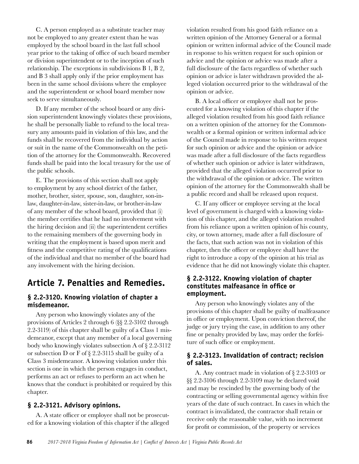C. A person employed as a substitute teacher may not be employed to any greater extent than he was employed by the school board in the last full school year prior to the taking of office of such board member or division superintendent or to the inception of such relationship. The exceptions in subdivisions B 1, B 2, and B 3 shall apply only if the prior employment has been in the same school divisions where the employee and the superintendent or school board member now seek to serve simultaneously.

D. If any member of the school board or any division superintendent knowingly violates these provisions, he shall be personally liable to refund to the local treasury any amounts paid in violation of this law, and the funds shall be recovered from the individual by action or suit in the name of the Commonwealth on the petition of the attorney for the Commonwealth. Recovered funds shall be paid into the local treasury for the use of the public schools.

E. The provisions of this section shall not apply to employment by any school district of the father, mother, brother, sister, spouse, son, daughter, son-inlaw, daughter-in-law, sister-in-law, or brother-in-law of any member of the school board, provided that (i) the member certifies that he had no involvement with the hiring decision and (ii) the superintendent certifies to the remaining members of the governing body in writing that the employment is based upon merit and fitness and the competitive rating of the qualifications of the individual and that no member of the board had any involvement with the hiring decision.

### **Article 7. Penalties and Remedies.**

### **§ 2.2-3120. Knowing violation of chapter a misdemeanor.**

Any person who knowingly violates any of the provisions of Articles 2 through 6 (§§ 2.2-3102 through 2.2-3119) of this chapter shall be guilty of a Class 1 misdemeanor, except that any member of a local governing body who knowingly violates subsection A of § 2.2-3112 or subsection D or F of  $\S 2.2$ -3115 shall be guilty of a Class 3 misdemeanor. A knowing violation under this section is one in which the person engages in conduct, performs an act or refuses to perform an act when he knows that the conduct is prohibited or required by this chapter.

### **§ 2.2-3121. Advisory opinions.**

A. A state officer or employee shall not be prosecuted for a knowing violation of this chapter if the alleged violation resulted from his good faith reliance on a written opinion of the Attorney General or a formal opinion or written informal advice of the Council made in response to his written request for such opinion or advice and the opinion or advice was made after a full disclosure of the facts regardless of whether such opinion or advice is later withdrawn provided the alleged violation occurred prior to the withdrawal of the opinion or advice.

B. A local officer or employee shall not be prosecuted for a knowing violation of this chapter if the alleged violation resulted from his good faith reliance on a written opinion of the attorney for the Commonwealth or a formal opinion or written informal advice of the Council made in response to his written request for such opinion or advice and the opinion or advice was made after a full disclosure of the facts regardless of whether such opinion or advice is later withdrawn, provided that the alleged violation occurred prior to the withdrawal of the opinion or advice. The written opinion of the attorney for the Commonwealth shall be a public record and shall be released upon request.

C. If any officer or employee serving at the local level of government is charged with a knowing violation of this chapter, and the alleged violation resulted from his reliance upon a written opinion of his county, city, or town attorney, made after a full disclosure of the facts, that such action was not in violation of this chapter, then the officer or employee shall have the right to introduce a copy of the opinion at his trial as evidence that he did not knowingly violate this chapter.

### **§ 2.2-3122. Knowing violation of chapter constitutes malfeasance in office or employment.**

Any person who knowingly violates any of the provisions of this chapter shall be guilty of malfeasance in office or employment. Upon conviction thereof, the judge or jury trying the case, in addition to any other fine or penalty provided by law, may order the forfeiture of such office or employment.

### **§ 2.2-3123. Invalidation of contract; recision of sales.**

A. Any contract made in violation of § 2.2-3103 or §§ 2.2-3106 through 2.2-3109 may be declared void and may be rescinded by the governing body of the contracting or selling governmental agency within five years of the date of such contract. In cases in which the contract is invalidated, the contractor shall retain or receive only the reasonable value, with no increment for profit or commission, of the property or services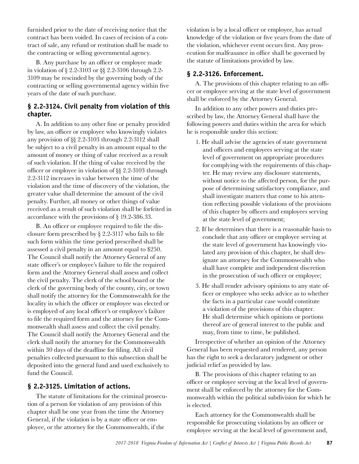furnished prior to the date of receiving notice that the contract has been voided. In cases of recision of a contract of sale, any refund or restitution shall be made to the contracting or selling governmental agency.

B. Any purchase by an officer or employee made in violation of § 2.2-3103 or §§ 2.2-3106 through 2.2- 3109 may be rescinded by the governing body of the contracting or selling governmental agency within five years of the date of such purchase.

### **§ 2.2-3124. Civil penalty from violation of this chapter.**

A. In addition to any other fine or penalty provided by law, an officer or employee who knowingly violates any provision of §§ 2.2-3103 through 2.2-3112 shall be subject to a civil penalty in an amount equal to the amount of money or thing of value received as a result of such violation. If the thing of value received by the officer or employee in violation of §§ 2.2-3103 through 2.2-3112 increases in value between the time of the violation and the time of discovery of the violation, the greater value shall determine the amount of the civil penalty. Further, all money or other things of value received as a result of such violation shall be forfeited in accordance with the provisions of § 19.2-386.33.

B. An officer or employee required to file the disclosure form prescribed by § 2.2-3117 who fails to file such form within the time period prescribed shall be assessed a civil penalty in an amount equal to \$250. The Council shall notify the Attorney General of any state officer's or employee's failure to file the required form and the Attorney General shall assess and collect the civil penalty. The clerk of the school board or the clerk of the governing body of the county, city, or town shall notify the attorney for the Commonwealth for the locality in which the officer or employee was elected or is employed of any local officer's or employee's failure to file the required form and the attorney for the Commonwealth shall assess and collect the civil penalty. The Council shall notify the Attorney General and the clerk shall notify the attorney for the Commonwealth within 30 days of the deadline for filing. All civil penalties collected pursuant to this subsection shall be deposited into the general fund and used exclusively to fund the Council.

### **§ 2.2-3125. Limitation of actions.**

The statute of limitations for the criminal prosecution of a person for violation of any provision of this chapter shall be one year from the time the Attorney General, if the violation is by a state officer or employee, or the attorney for the Commonwealth, if the

violation is by a local officer or employee, has actual knowledge of the violation or five years from the date of the violation, whichever event occurs first. Any prosecution for malfeasance in office shall be governed by the statute of limitations provided by law.

### **§ 2.2-3126. Enforcement.**

A. The provisions of this chapter relating to an officer or employee serving at the state level of government shall be enforced by the Attorney General.

In addition to any other powers and duties prescribed by law, the Attorney General shall have the following powers and duties within the area for which he is responsible under this section:

- 1. He shall advise the agencies of state government and officers and employees serving at the state level of government on appropriate procedures for complying with the requirements of this chapter. He may review any disclosure statements, without notice to the affected person, for the purpose of determining satisfactory compliance, and shall investigate matters that come to his attention reflecting possible violations of the provisions of this chapter by officers and employees serving at the state level of government;
- 2. If he determines that there is a reasonable basis to conclude that any officer or employee serving at the state level of government has knowingly violated any provision of this chapter, he shall designate an attorney for the Commonwealth who shall have complete and independent discretion in the prosecution of such officer or employee;
- 3. He shall render advisory opinions to any state officer or employee who seeks advice as to whether the facts in a particular case would constitute a violation of the provisions of this chapter. He shall determine which opinions or portions thereof are of general interest to the public and may, from time to time, be published.

Irrespective of whether an opinion of the Attorney General has been requested and rendered, any person has the right to seek a declaratory judgment or other judicial relief as provided by law.

B. The provisions of this chapter relating to an officer or employee serving at the local level of government shall be enforced by the attorney for the Commonwealth within the political subdivision for which he is elected.

Each attorney for the Commonwealth shall be responsible for prosecuting violations by an officer or employee serving at the local level of government and,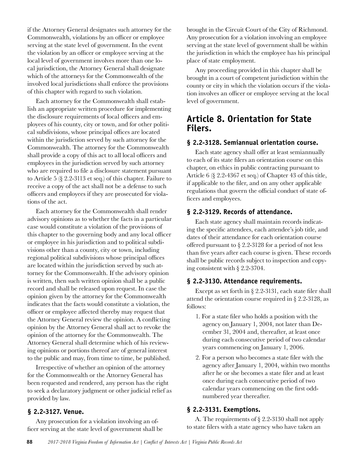if the Attorney General designates such attorney for the Commonwealth, violations by an officer or employee serving at the state level of government. In the event the violation by an officer or employee serving at the local level of government involves more than one local jurisdiction, the Attorney General shall designate which of the attorneys for the Commonwealth of the involved local jurisdictions shall enforce the provisions of this chapter with regard to such violation.

Each attorney for the Commonwealth shall establish an appropriate written procedure for implementing the disclosure requirements of local officers and employees of his county, city or town, and for other political subdivisions, whose principal offices are located within the jurisdiction served by such attorney for the Commonwealth. The attorney for the Commonwealth shall provide a copy of this act to all local officers and employees in the jurisdiction served by such attorney who are required to file a disclosure statement pursuant to Article 5 (§ 2.2-3113 et seq.) of this chapter. Failure to receive a copy of the act shall not be a defense to such officers and employees if they are prosecuted for violations of the act.

Each attorney for the Commonwealth shall render advisory opinions as to whether the facts in a particular case would constitute a violation of the provisions of this chapter to the governing body and any local officer or employee in his jurisdiction and to political subdivisions other than a county, city or town, including regional political subdivisions whose principal offices are located within the jurisdiction served by such attorney for the Commonwealth. If the advisory opinion is written, then such written opinion shall be a public record and shall be released upon request. In case the opinion given by the attorney for the Commonwealth indicates that the facts would constitute a violation, the officer or employee affected thereby may request that the Attorney General review the opinion. A conflicting opinion by the Attorney General shall act to revoke the opinion of the attorney for the Commonwealth. The Attorney General shall determine which of his reviewing opinions or portions thereof are of general interest to the public and may, from time to time, be published.

Irrespective of whether an opinion of the attorney for the Commonwealth or the Attorney General has been requested and rendered, any person has the right to seek a declaratory judgment or other judicial relief as provided by law.

#### **§ 2.2-3127. Venue.**

Any prosecution for a violation involving an officer serving at the state level of government shall be brought in the Circuit Court of the City of Richmond. Any prosecution for a violation involving an employee serving at the state level of government shall be within the jurisdiction in which the employee has his principal place of state employment.

Any proceeding provided in this chapter shall be brought in a court of competent jurisdiction within the county or city in which the violation occurs if the violation involves an officer or employee serving at the local level of government.

### **Article 8. Orientation for State Filers.**

#### **§ 2.2-3128. Semiannual orientation course.**

Each state agency shall offer at least semiannually to each of its state filers an orientation course on this chapter, on ethics in public contracting pursuant to Article 6 (§ 2.2-4367 et seq.) of Chapter 43 of this title, if applicable to the filer, and on any other applicable regulations that govern the official conduct of state officers and employees.

#### **§ 2.2-3129. Records of attendance.**

Each state agency shall maintain records indicating the specific attendees, each attendee's job title, and dates of their attendance for each orientation course offered pursuant to § 2.2-3128 for a period of not less than five years after each course is given. These records shall be public records subject to inspection and copying consistent with § 2.2-3704.

#### **§ 2.2-3130. Attendance requirements.**

Except as set forth in § 2.2-3131, each state filer shall attend the orientation course required in § 2.2-3128, as follows:

- 1. For a state filer who holds a position with the agency on January 1, 2004, not later than December 31, 2004 and, thereafter, at least once during each consecutive period of two calendar years commencing on January 1, 2006.
- 2. For a person who becomes a state filer with the agency after January 1, 2004, within two months after he or she becomes a state filer and at least once during each consecutive period of two calendar years commencing on the first oddnumbered year thereafter.

#### **§ 2.2-3131. Exemptions.**

A. The requirements of § 2.2-3130 shall not apply to state filers with a state agency who have taken an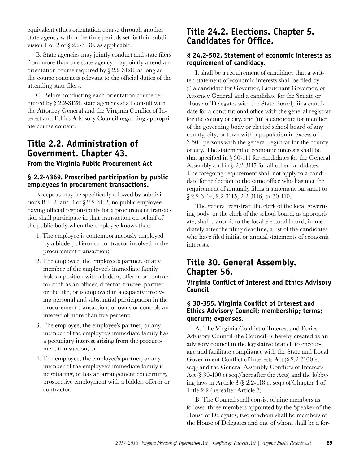equivalent ethics orientation course through another state agency within the time periods set forth in subdivision 1 or 2 of  $\S$  2.2-3130, as applicable.

B. State agencies may jointly conduct and state filers from more than one state agency may jointly attend an orientation course required by § 2.2-3128, as long as the course content is relevant to the official duties of the attending state filers.

C. Before conducting each orientation course required by § 2.2-3128, state agencies shall consult with the Attorney General and the Virginia Conflict of Interest and Ethics Advisory Council regarding appropriate course content.

### **Title 2.2. Administration of Government. Chapter 43. From the Virginia Public Procurement Act**

### **§ 2.2-4369. Proscribed participation by public employees in procurement transactions.**

Except as may be specifically allowed by subdivisions B 1, 2, and 3 of  $\S 2.2-3112$ , no public employee having official responsibility for a procurement transaction shall participate in that transaction on behalf of the public body when the employee knows that:

- 1. The employee is contemporaneously employed by a bidder, offeror or contractor involved in the procurement transaction;
- 2. The employee, the employee's partner, or any member of the employee's immediate family holds a position with a bidder, offeror or contractor such as an officer, director, trustee, partner or the like, or is employed in a capacity involving personal and substantial participation in the procurement transaction, or owns or controls an interest of more than five percent;
- 3. The employee, the employee's partner, or any member of the employee's immediate family has a pecuniary interest arising from the procurement transaction; or
- 4. The employee, the employee's partner, or any member of the employee's immediate family is negotiating, or has an arrangement concerning, prospective employment with a bidder, offeror or contractor.

### **Title 24.2. Elections. Chapter 5. Candidates for Office.**

### **§ 24.2-502. Statement of economic interests as requirement of candidacy.**

It shall be a requirement of candidacy that a written statement of economic interests shall be filed by (i) a candidate for Governor, Lieutenant Governor, or Attorney General and a candidate for the Senate or House of Delegates with the State Board, (ii) a candidate for a constitutional office with the general registrar for the county or city, and (iii) a candidate for member of the governing body or elected school board of any county, city, or town with a population in excess of 3,500 persons with the general registrar for the county or city. The statement of economic interests shall be that specified in § 30-111 for candidates for the General Assembly and in § 2.2-3117 for all other candidates. The foregoing requirement shall not apply to a candidate for reelection to the same office who has met the requirement of annually filing a statement pursuant to § 2.2-3114, 2.2-3115, 2.2-3116, or 30-110.

The general registrar, the clerk of the local governing body, or the clerk of the school board, as appropriate, shall transmit to the local electoral board, immediately after the filing deadline, a list of the candidates who have filed initial or annual statements of economic interests.

### **Title 30. General Assembly. Chapter 56.**

**Virginia Conflict of Interest and Ethics Advisory Council**

### **§ 30-355. Virginia Conflict of Interest and Ethics Advisory Council; membership; terms; quorum; expenses.**

A. The Virginia Conflict of Interest and Ethics Advisory Council (the Council) is hereby created as an advisory council in the legislative branch to encourage and facilitate compliance with the State and Local Government Conflict of Interests Act (§ 2.2-3100 et seq.) and the General Assembly Conflicts of Interests Act (§ 30-100 et seq.)(hereafter the Acts) and the lobbying laws in Article 3 (§ 2.2-418 et seq.) of Chapter 4 of Title 2.2 (hereafter Article 3).

B. The Council shall consist of nine members as follows: three members appointed by the Speaker of the House of Delegates, two of whom shall be members of the House of Delegates and one of whom shall be a for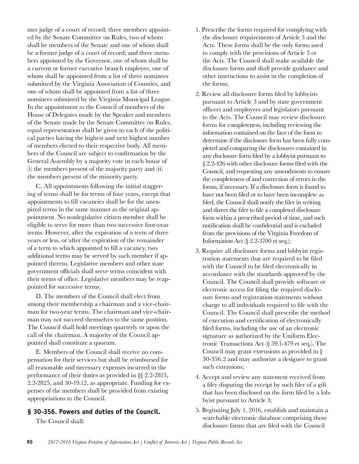mer judge of a court of record; three members appointed by the Senate Committee on Rules, two of whom shall be members of the Senate and one of whom shall be a former judge of a court of record; and three members appointed by the Governor, one of whom shall be a current or former executive branch employee, one of whom shall be appointed from a list of three nominees submitted by the Virginia Association of Counties, and one of whom shall be appointed from a list of three nominees submitted by the Virginia Municipal League. In the appointment to the Council of members of the House of Delegates made by the Speaker and members of the Senate made by the Senate Committee on Rules, equal representation shall be given to each of the political parties having the highest and next highest number of members elected to their respective body. All members of the Council are subject to confirmation by the General Assembly by a majority vote in each house of (i) the members present of the majority party and (ii) the members present of the minority party.

C. All appointments following the initial staggering of terms shall be for terms of four years, except that appointments to fill vacancies shall be for the unexpired terms in the same manner as the original appointment. No nonlegislative citizen member shall be eligible to serve for more than two successive four-year terms. However, after the expiration of a term of three years or less, or after the expiration of the remainder of a term to which appointed to fill a vacancy, two additional terms may be served by such member if appointed thereto. Legislative members and other state government officials shall serve terms coincident with their terms of office. Legislative members may be reappointed for successive terms.

D. The members of the Council shall elect from among their membership a chairman and a vice-chairman for two-year terms. The chairman and vice-chairman may not succeed themselves to the same position. The Council shall hold meetings quarterly or upon the call of the chairman. A majority of the Council appointed shall constitute a quorum.

E. Members of the Council shall receive no compensation for their services but shall be reimbursed for all reasonable and necessary expenses incurred in the performance of their duties as provided in §§ 2.2-2813, 2.2-2825, and 30-19.12, as appropriate. Funding for expenses of the members shall be provided from existing appropriations to the Council.

### **§ 30-356. Powers and duties of the Council.**

The Council shall:

- 1. Prescribe the forms required for complying with the disclosure requirements of Article 3 and the Acts. These forms shall be the only forms used to comply with the provisions of Article 3 or the Acts. The Council shall make available the disclosure forms and shall provide guidance and other instructions to assist in the completion of the forms;
- 2. Review all disclosure forms filed by lobbyists pursuant to Article 3 and by state government officers and employees and legislators pursuant to the Acts. The Council may review disclosure forms for completeness, including reviewing the information contained on the face of the form to determine if the disclosure form has been fully completed and comparing the disclosures contained in any disclosure form filed by a lobbyist pursuant to § 2.2-426 with other disclosure forms filed with the Council, and requesting any amendments to ensure the completeness of and correction of errors in the forms, if necessary. If a disclosure form is found to have not been filed or to have been incomplete as filed, the Council shall notify the filer in writing and direct the filer to file a completed disclosure form within a prescribed period of time, and such notification shall be confidential and is excluded from the provisions of the Virginia Freedom of Information Act (§ 2.2-3700 et seq.);
- 3. Require all disclosure forms and lobbyist registration statements that are required to be filed with the Council to be filed electronically in accordance with the standards approved by the Council. The Council shall provide software or electronic access for filing the required disclosure forms and registration statements without charge to all individuals required to file with the Council. The Council shall prescribe the method of execution and certification of electronically filed forms, including the use of an electronic signature as authorized by the Uniform Electronic Transactions Act (§ 59.1-479 et seq.). The Council may grant extensions as provided in § 30-356.2 and may authorize a designee to grant such extensions;
- 4. Accept and review any statement received from a filer disputing the receipt by such filer of a gift that has been disclosed on the form filed by a lobbyist pursuant to Article 3;
- 5. Beginning July 1, 2016, establish and maintain a searchable electronic database comprising those disclosure forms that are filed with the Council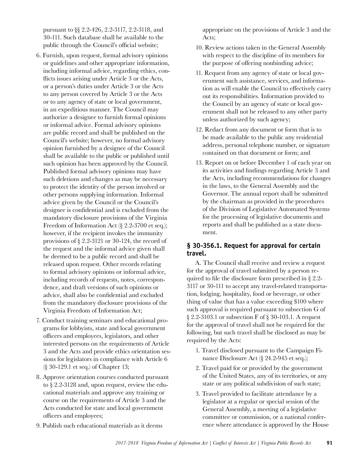pursuant to §§ 2.2-426, 2.2-3117, 2.2-3118, and 30-111. Such database shall be available to the public through the Council's official website;

- 6. Furnish, upon request, formal advisory opinions or guidelines and other appropriate information, including informal advice, regarding ethics, conflicts issues arising under Article 3 or the Acts, or a person's duties under Article 3 or the Acts to any person covered by Article 3 or the Acts or to any agency of state or local government, in an expeditious manner. The Council may authorize a designee to furnish formal opinions or informal advice. Formal advisory opinions are public record and shall be published on the Council's website; however, no formal advisory opinion furnished by a designee of the Council shall be available to the public or published until such opinion has been approved by the Council. Published formal advisory opinions may have such deletions and changes as may be necessary to protect the identity of the person involved or other persons supplying information. Informal advice given by the Council or the Council's designee is confidential and is excluded from the mandatory disclosure provisions of the Virginia Freedom of Information Act (§ 2.2-3700 et seq.); however, if the recipient invokes the immunity provisions of § 2.2-3121 or 30-124, the record of the request and the informal advice given shall be deemed to be a public record and shall be released upon request. Other records relating to formal advisory opinions or informal advice, including records of requests, notes, correspondence, and draft versions of such opinions or advice, shall also be confidential and excluded from the mandatory disclosure provisions of the Virginia Freedom of Information Act;
- 7. Conduct training seminars and educational programs for lobbyists, state and local government officers and employees, legislators, and other interested persons on the requirements of Article 3 and the Acts and provide ethics orientation sessions for legislators in compliance with Article 6 (§ 30-129.1 et seq.) of Chapter 13;
- 8. Approve orientation courses conducted pursuant to § 2.2-3128 and, upon request, review the educational materials and approve any training or course on the requirements of Article 3 and the Acts conducted for state and local government officers and employees;
- 9. Publish such educational materials as it deems

appropriate on the provisions of Article 3 and the Acts;

- 10. Review actions taken in the General Assembly with respect to the discipline of its members for the purpose of offering nonbinding advice;
- 11. Request from any agency of state or local government such assistance, services, and information as will enable the Council to effectively carry out its responsibilities. Information provided to the Council by an agency of state or local government shall not be released to any other party unless authorized by such agency;
- 12. Redact from any document or form that is to be made available to the public any residential address, personal telephone number, or signature contained on that document or form; and
- 13. Report on or before December 1 of each year on its activities and findings regarding Article 3 and the Acts, including recommendations for changes in the laws, to the General Assembly and the Governor. The annual report shall be submitted by the chairman as provided in the procedures of the Division of Legislative Automated Systems for the processing of legislative documents and reports and shall be published as a state document.

### **§ 30-356.1. Request for approval for certain travel.**

A. The Council shall receive and review a request for the approval of travel submitted by a person required to file the disclosure form prescribed in § 2.2- 3117 or 30-111 to accept any travel-related transportation, lodging, hospitality, food or beverage, or other thing of value that has a value exceeding \$100 where such approval is required pursuant to subsection G of § 2.2-3103.1 or subsection F of § 30-103.1. A request for the approval of travel shall not be required for the following, but such travel shall be disclosed as may be required by the Acts:

- 1. Travel disclosed pursuant to the Campaign Finance Disclosure Act (§ 24.2-945 et seq.);
- 2. Travel paid for or provided by the government of the United States, any of its territories, or any state or any political subdivision of such state;
- 3. Travel provided to facilitate attendance by a legislator at a regular or special session of the General Assembly, a meeting of a legislative committee or commission, or a national conference where attendance is approved by the House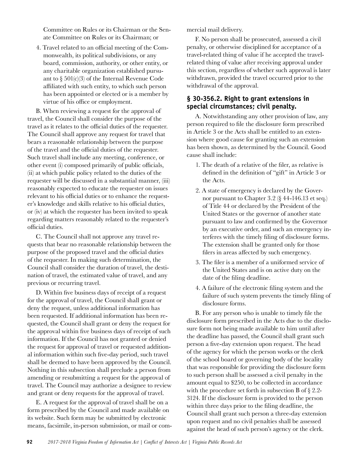Committee on Rules or its Chairman or the Senate Committee on Rules or its Chairman; or

4. Travel related to an official meeting of the Commonwealth, its political subdivisions, or any board, commission, authority, or other entity, or any charitable organization established pursuant to § 501(c)(3) of the Internal Revenue Code affiliated with such entity, to which such person has been appointed or elected or is a member by virtue of his office or employment.

B. When reviewing a request for the approval of travel, the Council shall consider the purpose of the travel as it relates to the official duties of the requester. The Council shall approve any request for travel that bears a reasonable relationship between the purpose of the travel and the official duties of the requester. Such travel shall include any meeting, conference, or other event (i) composed primarily of public officials, (ii) at which public policy related to the duties of the requester will be discussed in a substantial manner, (iii) reasonably expected to educate the requester on issues relevant to his official duties or to enhance the requester's knowledge and skills relative to his official duties, or (iv) at which the requester has been invited to speak regarding matters reasonably related to the requester's official duties.

C. The Council shall not approve any travel requests that bear no reasonable relationship between the purpose of the proposed travel and the official duties of the requester. In making such determination, the Council shall consider the duration of travel, the destination of travel, the estimated value of travel, and any previous or recurring travel.

D. Within five business days of receipt of a request for the approval of travel, the Council shall grant or deny the request, unless additional information has been requested. If additional information has been requested, the Council shall grant or deny the request for the approval within five business days of receipt of such information. If the Council has not granted or denied the request for approval of travel or requested additional information within such five-day period, such travel shall be deemed to have been approved by the Council. Nothing in this subsection shall preclude a person from amending or resubmitting a request for the approval of travel. The Council may authorize a designee to review and grant or deny requests for the approval of travel.

E. A request for the approval of travel shall be on a form prescribed by the Council and made available on its website. Such form may be submitted by electronic means, facsimile, in-person submission, or mail or commercial mail delivery.

F. No person shall be prosecuted, assessed a civil penalty, or otherwise disciplined for acceptance of a travel-related thing of value if he accepted the travelrelated thing of value after receiving approval under this section, regardless of whether such approval is later withdrawn, provided the travel occurred prior to the withdrawal of the approval.

### **§ 30-356.2. Right to grant extensions in special circumstances; civil penalty.**

A. Notwithstanding any other provision of law, any person required to file the disclosure form prescribed in Article 3 or the Acts shall be entitled to an extension where good cause for granting such an extension has been shown, as determined by the Council. Good cause shall include:

- 1. The death of a relative of the filer, as relative is defined in the definition of "gift" in Article 3 or the Acts.
- 2. A state of emergency is declared by the Governor pursuant to Chapter 3.2 (§ 44-146.13 et seq.) of Title 44 or declared by the President of the United States or the governor of another state pursuant to law and confirmed by the Governor by an executive order, and such an emergency interferes with the timely filing of disclosure forms. The extension shall be granted only for those filers in areas affected by such emergency.
- 3. The filer is a member of a uniformed service of the United States and is on active duty on the date of the filing deadline.
- 4. A failure of the electronic filing system and the failure of such system prevents the timely filing of disclosure forms.

B. For any person who is unable to timely file the disclosure form prescribed in the Acts due to the disclosure form not being made available to him until after the deadline has passed, the Council shall grant such person a five-day extension upon request. The head of the agency for which the person works or the clerk of the school board or governing body of the locality that was responsible for providing the disclosure form to such person shall be assessed a civil penalty in the amount equal to \$250, to be collected in accordance with the procedure set forth in subsection B of § 2.2- 3124. If the disclosure form is provided to the person within three days prior to the filing deadline, the Council shall grant such person a three-day extension upon request and no civil penalties shall be assessed against the head of such person's agency or the clerk.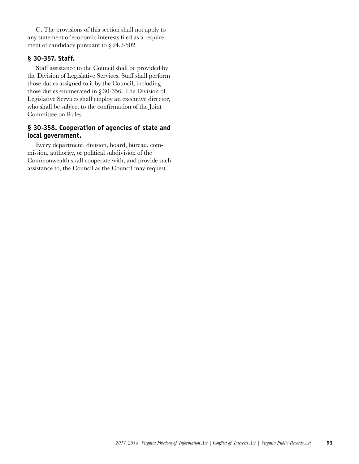C. The provisions of this section shall not apply to any statement of economic interests filed as a requirement of candidacy pursuant to § 24.2-502.

### **§ 30-357. Staff.**

Staff assistance to the Council shall be provided by the Division of Legislative Services. Staff shall perform those duties assigned to it by the Council, including those duties enumerated in § 30-356. The Division of Legislative Services shall employ an executive director, who shall be subject to the confirmation of the Joint Committee on Rules.

#### **§ 30-358. Cooperation of agencies of state and local government.**

Every department, division, board, bureau, commission, authority, or political subdivision of the Commonwealth shall cooperate with, and provide such assistance to, the Council as the Council may request.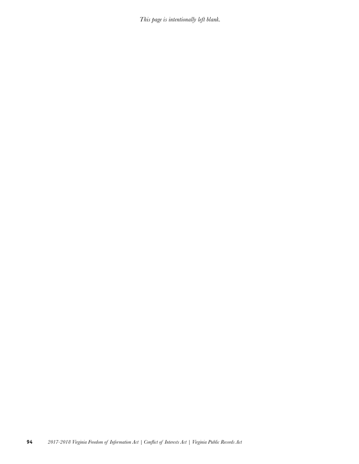*This page is intentionally left blank.*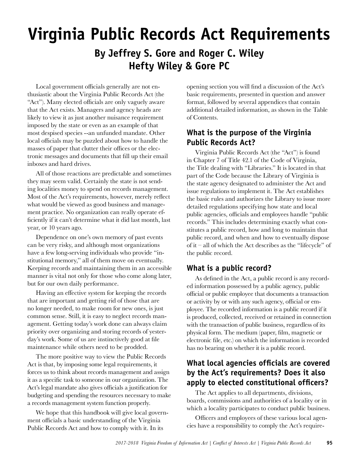# **Virginia Public Records Act Requirements By Jeffrey S. Gore and Roger C. Wiley Hefty Wiley & Gore PC**

Local government officials generally are not enthusiastic about the Virginia Public Records Act (the "Act"). Many elected officials are only vaguely aware that the Act exists. Managers and agency heads are likely to view it as just another nuisance requirement imposed by the state or even as an example of that most despised species --an unfunded mandate. Other local officials may be puzzled about how to handle the masses of paper that clutter their offices or the electronic messages and documents that fill up their email inboxes and hard drives.

All of those reactions are predictable and sometimes they may seem valid. Certainly the state is not sending localities money to spend on records management. Most of the Act's requirements, however, merely reflect what would be viewed as good business and management practice. No organization can really operate efficiently if it can't determine what it did last month, last year, or 10 years ago.

Dependence on one's own memory of past events can be very risky, and although most organizations have a few long-serving individuals who provide "institutional memory,'' all of them move on eventually. Keeping records and maintaining them in an accessible manner is vital not only for those who come along later, but for our own daily performance.

Having an effective system for keeping the records that are important and getting rid of those that are no longer needed, to make room for new ones, is just common sense. Still, it is easy to neglect records management. Getting today's work done can always claim priority over organizing and storing records of yesterday's work. Some of us are instinctively good at file maintenance while others need to be prodded.

The more positive way to view the Public Records Act is that, by imposing some legal requirements, it forces us to think about records management and assign it as a specific task to someone in our organization. The Act's legal mandate also gives officials a justification for budgeting and spending the resources necessary to make a records management system function properly.

We hope that this handbook will give local government officials a basic understanding of the Virginia Public Records Act and how to comply with it. In its

opening section you will find a discussion of the Act's basic requirements, presented in question and answer format, followed by several appendices that contain additional detailed information, as shown in the Table of Contents.

### **What is the purpose of the Virginia Public Records Act?**

Virginia Public Records Act (the "Act") is found in Chapter 7 of Title 42.1 of the Code of Virginia, the Title dealing with "Libraries." It is located in that part of the Code because the Library of Virginia is the state agency designated to administer the Act and issue regulations to implement it. The Act establishes the basic rules and authorizes the Library to issue more detailed regulations specifying how state and local public agencies, officials and employees handle "public records." This includes determining exactly what constitutes a public record, how and long to maintain that public record, and when and how to eventually dispose of it – all of which the Act describes as the "lifecycle" of the public record.

### **What is a public record?**

As defined in the Act, a public record is any recorded information possessed by a public agency, public official or public employee that documents a transaction or activity by or with any such agency, official or employee. The recorded information is a public record if it is produced, collected, received or retained in connection with the transaction of public business, regardless of its physical form. The medium (paper, film, magnetic or electronic file, etc.) on which the information is recorded has no bearing on whether it is a public record.

### **What local agencies officials are covered by the Act's requirements? Does it also apply to elected constitutional officers?**

The Act applies to all departments, divisions, boards, commissions and authorities of a locality or in which a locality participates to conduct public business.

Officers and employees of these various local agencies have a responsibility to comply the Act's require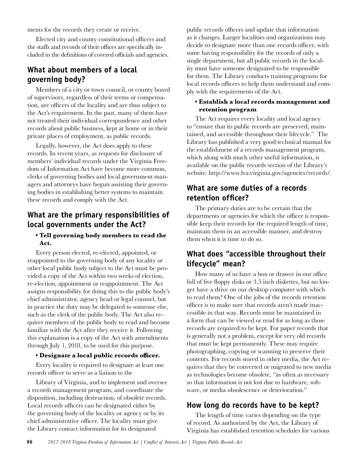ments for the records they create or receive.

Elected city and county constitutional officers and the staffs and records of their offices are specifically included in the definitions of covered officials and agencies.

### **What about members of a local governing body?**

Members of a city or town council, or county board of supervisors, regardless of their terms or compensation, are officers of the locality and are thus subject to the Act's requirement. In the past, many of them have not treated their individual correspondence and other records about public business, kept at home or in their private places of employment, as public records.

Legally, however, the Act does apply to these records. In recent years, as requests for disclosure of members' individual records under the Virginia Freedom of Information Act have become more common, clerks of governing bodies and local government managers and attorneys have begun assisting their governing bodies in establishing better systems to maintain these records and comply with the Act.

### **What are the primary responsibilities of local governments under the Act?**

### **• Tell governing body members to read the Act.**

Every person elected, re-elected, appointed, or reappointed to the governing body of any locality or other local public body subject to the Act must be provided a copy of the Act within two weeks of election, re-election, appointment or reappointment. The Act assigns responsibility for doing this to the public body's chief administrator, agency head or legal counsel, but in practice the duty may be delegated to someone else, such as the clerk of the public body. The Act also requires members of the public body to read and become familiar with the Act after they receive it. Following this explanation is a copy of the Act with amendments through July 1, 2018, to be used for this purpose.

#### **• Designate a local public records officer.**

Every locality is required to designate at least one records officer to serve as a liaison to the

Library of Virginia, and to implement and oversee a records management program, and coordinate the disposition, including destruction, of obsolete records. Local records officers can be designated either by the governing body of the locality or agency or by its chief administrative officer. The locality must give the Library contact information for its designated

public records officers and update that information as it changes. Larger localities and organizations may decide to designate more than one records officer, with some having responsibility for the records of only a single department, but all public records in the locality must have someone designated to be responsible for them. The Library conducts training programs for local records officers to help them understand and comply with the requirements of the Act.

### **• Establish a local records management and retention program**

The Act requires every locality and local agency to "ensure that its public records are preserved, maintained, and accessible throughout their lifecycle." The Library has published a very good technical manual for the establishment of a records management program, which along with much other useful information, is available on the public records section of the Library's website: http://www.lva.virginia.gov/agencies/records/.

### **What are some duties of a records retention officer?**

The primary duties are to be certain that the departments or agencies for which the officer is responsible keep their records for the required length of time, maintain them in an accessible manner, and destroy them when it is time to do so.

### **What does "accessible throughout their lifecycle" mean?**

How many of us have a box or drawer in our office full of five floppy disks or 3.5 inch diskettes, but no longer have a drive on our desktop computer with which to read them? One of the jobs of the records retention officer is to make sure that records aren't made inaccessible in that way. Records must be maintained in a form that can be viewed or read for as long as those records are required to be kept. For paper records that is generally not a problem, except for very old records that must be kept permanently. These may require photographing, copying or scanning to preserve their contents. For records stored in other media, the Act requires that they be converted or migrated to new media as technologies become obsolete, "as often as necessary so that information is not lost due to hardware, software, or media obsolescence or deterioration."

### **How long do records have to be kept?**

The length of time varies depending on the type of record. As authorized by the Act, the Library of Virginia has established retention schedules for various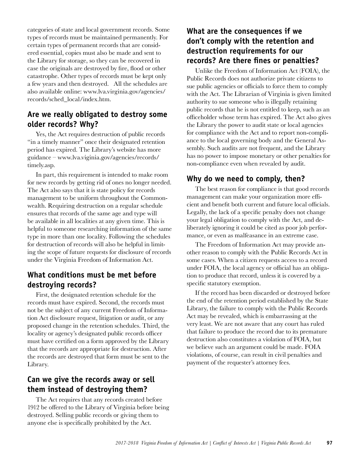categories of state and local government records. Some types of records must be maintained permanently. For certain types of permanent records that are considered essential, copies must also be made and sent to the Library for storage, so they can be recovered in case the originals are destroyed by fire, flood or other catastrophe. Other types of records must be kept only a few years and then destroyed. All the schedules are also available online: www.lva.virginia.gov/agencies/ records/sched\_local/index.htm.

### **Are we really obligated to destroy some older records? Why?**

Yes, the Act requires destruction of public records "in a timely manner" once their designated retention period has expired. The Library's website has more guidance – www.lva.viginia.gov/agencies/records/ timely.asp.

In part, this requirement is intended to make room for new records by getting rid of ones no longer needed. The Act also says that it is state policy for records management to be uniform throughout the Commonwealth. Requiring destruction on a regular schedule ensures that records of the same age and type will be available in all localities at any given time. This is helpful to someone researching information of the same type in more than one locality. Following the schedules for destruction of records will also be helpful in limiting the scope of future requests for disclosure of records under the Virginia Freedom of Information Act.

### **What conditions must be met before destroying records?**

First, the designated retention schedule for the records must have expired. Second, the records must not be the subject of any current Freedom of Information Act disclosure request, litigation or audit, or any proposed change in the retention schedules. Third, the locality or agency's designated public records officer must have certified on a form approved by the Library that the records are appropriate for destruction. After the records are destroyed that form must be sent to the Library.

### **Can we give the records away or sell them instead of destroying them?**

The Act requires that any records created before 1912 be offered to the Library of Virginia before being destroyed. Selling public records or giving them to anyone else is specifically prohibited by the Act.

### **What are the consequences if we don't comply with the retention and destruction requirements for our records? Are there fines or penalties?**

Unlike the Freedom of Information Act (FOIA), the Public Records does not authorize private citizens to sue public agencies or officials to force them to comply with the Act. The Librarian of Virginia is given limited authority to sue someone who is illegally retaining public records that he is not entitled to keep, such as an officeholder whose term has expired. The Act also gives the Library the power to audit state or local agencies for compliance with the Act and to report non-compliance to the local governing body and the General Assembly. Such audits are not frequent, and the Library has no power to impose monetary or other penalties for non-compliance even when revealed by audit.

### **Why do we need to comply, then?**

The best reason for compliance is that good records management can make your organization more efficient and benefit both current and future local officials. Legally, the lack of a specific penalty does not change your legal obligation to comply with the Act, and deliberately ignoring it could be cited as poor job performance, or even as malfeasance in an extreme case.

The Freedom of Information Act may provide another reason to comply with the Public Records Act in some cases. When a citizen requests access to a record under FOIA, the local agency or official has an obligation to produce that record, unless it is covered by a specific statutory exemption.

If the record has been discarded or destroyed before the end of the retention period established by the State Library, the failure to comply with the Public Records Act may be revealed, which is embarrassing at the very least. We are not aware that any court has ruled that failure to produce the record due to its premature destruction also constitutes a violation of FOIA, but we believe such an argument could be made. FOIA violations, of course, can result in civil penalties and payment of the requester's attorney fees.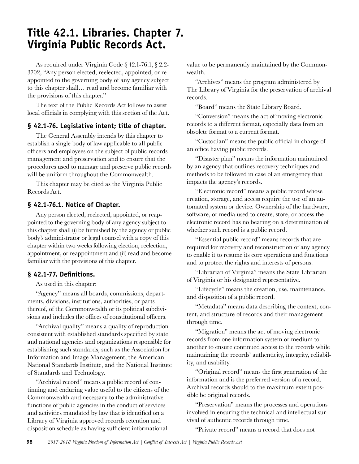# **Title 42.1. Libraries. Chapter 7. Virginia Public Records Act.**

As required under Virginia Code § 42.1-76.1, § 2.2- 3702, "Any person elected, reelected, appointed, or reappointed to the governing body of any agency subject to this chapter shall… read and become familiar with the provisions of this chapter."

The text of the Public Records Act follows to assist local officials in complying with this section of the Act.

### **§ 42.1-76. Legislative intent; title of chapter.**

The General Assembly intends by this chapter to establish a single body of law applicable to all public officers and employees on the subject of public records management and preservation and to ensure that the procedures used to manage and preserve public records will be uniform throughout the Commonwealth.

This chapter may be cited as the Virginia Public Records Act.

### **§ 42.1-76.1. Notice of Chapter.**

Any person elected, reelected, appointed, or reappointed to the governing body of any agency subject to this chapter shall (i) be furnished by the agency or public body's administrator or legal counsel with a copy of this chapter within two weeks following election, reelection, appointment, or reappointment and (ii) read and become familiar with the provisions of this chapter.

### **§ 42.1-77. Definitions.**

As used in this chapter:

"Agency" means all boards, commissions, departments, divisions, institutions, authorities, or parts thereof, of the Commonwealth or its political subdivisions and includes the offices of constitutional officers.

"Archival quality" means a quality of reproduction consistent with established standards specified by state and national agencies and organizations responsible for establishing such standards, such as the Association for Information and Image Management, the American National Standards Institute, and the National Institute of Standards and Technology.

"Archival record" means a public record of continuing and enduring value useful to the citizens of the Commonwealth and necessary to the administrative functions of public agencies in the conduct of services and activities mandated by law that is identified on a Library of Virginia approved records retention and disposition schedule as having sufficient informational

value to be permanently maintained by the Commonwealth.

"Archives" means the program administered by The Library of Virginia for the preservation of archival records.

"Board" means the State Library Board.

"Conversion" means the act of moving electronic records to a different format, especially data from an obsolete format to a current format.

"Custodian" means the public official in charge of an office having public records.

"Disaster plan" means the information maintained by an agency that outlines recovery techniques and methods to be followed in case of an emergency that impacts the agency's records.

"Electronic record" means a public record whose creation, storage, and access require the use of an automated system or device. Ownership of the hardware, software, or media used to create, store, or access the electronic record has no bearing on a determination of whether such record is a public record.

"Essential public record" means records that are required for recovery and reconstruction of any agency to enable it to resume its core operations and functions and to protect the rights and interests of persons.

"Librarian of Virginia" means the State Librarian of Virginia or his designated representative.

"Lifecycle" means the creation, use, maintenance, and disposition of a public record.

"Metadata" means data describing the context, content, and structure of records and their management through time.

"Migration" means the act of moving electronic records from one information system or medium to another to ensure continued access to the records while maintaining the records' authenticity, integrity, reliability, and usability.

"Original record" means the first generation of the information and is the preferred version of a record. Archival records should to the maximum extent possible be original records.

"Preservation" means the processes and operations involved in ensuring the technical and intellectual survival of authentic records through time.

"Private record" means a record that does not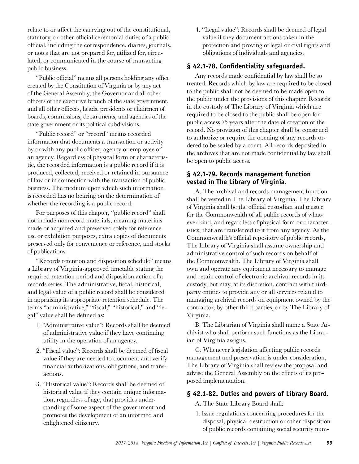relate to or affect the carrying out of the constitutional, statutory, or other official ceremonial duties of a public official, including the correspondence, diaries, journals, or notes that are not prepared for, utilized for, circulated, or communicated in the course of transacting public business.

"Public official" means all persons holding any office created by the Constitution of Virginia or by any act of the General Assembly, the Governor and all other officers of the executive branch of the state government, and all other officers, heads, presidents or chairmen of boards, commissions, departments, and agencies of the state government or its political subdivisions.

"Public record" or "record" means recorded information that documents a transaction or activity by or with any public officer, agency or employee of an agency. Regardless of physical form or characteristic, the recorded information is a public record if it is produced, collected, received or retained in pursuance of law or in connection with the transaction of public business. The medium upon which such information is recorded has no bearing on the determination of whether the recording is a public record.

For purposes of this chapter, "public record" shall not include nonrecord materials, meaning materials made or acquired and preserved solely for reference use or exhibition purposes, extra copies of documents preserved only for convenience or reference, and stocks of publications.

"Records retention and disposition schedule" means a Library of Virginia-approved timetable stating the required retention period and disposition action of a records series. The administrative, fiscal, historical, and legal value of a public record shall be considered in appraising its appropriate retention schedule. The terms "administrative," "fiscal," "historical," and "legal" value shall be defined as:

- 1. "Administrative value": Records shall be deemed of administrative value if they have continuing utility in the operation of an agency.
- 2. "Fiscal value": Records shall be deemed of fiscal value if they are needed to document and verify financial authorizations, obligations, and transactions.
- 3. "Historical value": Records shall be deemed of historical value if they contain unique information, regardless of age, that provides understanding of some aspect of the government and promotes the development of an informed and enlightened citizenry.

4. "Legal value": Records shall be deemed of legal value if they document actions taken in the protection and proving of legal or civil rights and obligations of individuals and agencies.

### **§ 42.1-78. Confidentiality safeguarded.**

Any records made confidential by law shall be so treated. Records which by law are required to be closed to the public shall not be deemed to be made open to the public under the provisions of this chapter. Records in the custody of The Library of Virginia which are required to be closed to the public shall be open for public access 75 years after the date of creation of the record. No provision of this chapter shall be construed to authorize or require the opening of any records ordered to be sealed by a court. All records deposited in the archives that are not made confidential by law shall be open to public access.

#### **§ 42.1-79. Records management function vested in The Library of Virginia.**

A. The archival and records management function shall be vested in The Library of Virginia. The Library of Virginia shall be the official custodian and trustee for the Commonwealth of all public records of whatever kind, and regardless of physical form or characteristics, that are transferred to it from any agency. As the Commonwealth's official repository of public records, The Library of Virginia shall assume ownership and administrative control of such records on behalf of the Commonwealth. The Library of Virginia shall own and operate any equipment necessary to manage and retain control of electronic archival records in its custody, but may, at its discretion, contract with thirdparty entities to provide any or all services related to managing archival records on equipment owned by the contractor, by other third parties, or by The Library of Virginia.

B. The Librarian of Virginia shall name a State Archivist who shall perform such functions as the Librarian of Virginia assigns.

C. Whenever legislation affecting public records management and preservation is under consideration, The Library of Virginia shall review the proposal and advise the General Assembly on the effects of its proposed implementation.

#### **§ 42.1-82. Duties and powers of Library Board.**

A. The State Library Board shall:

1. Issue regulations concerning procedures for the disposal, physical destruction or other disposition of public records containing social security num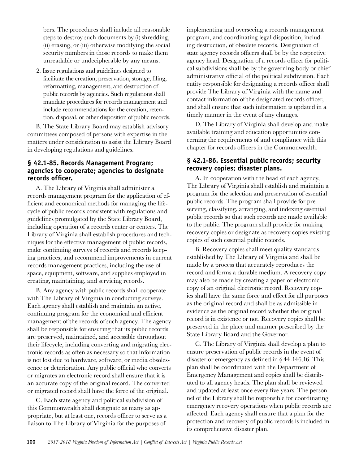bers. The procedures shall include all reasonable steps to destroy such documents by (i) shredding, (ii) erasing, or (iii) otherwise modifying the social security numbers in those records to make them unreadable or undecipherable by any means.

2. Issue regulations and guidelines designed to facilitate the creation, preservation, storage, filing, reformatting, management, and destruction of public records by agencies. Such regulations shall mandate procedures for records management and include recommendations for the creation, retention, disposal, or other disposition of public records.

B. The State Library Board may establish advisory committees composed of persons with expertise in the matters under consideration to assist the Library Board in developing regulations and guidelines.

### **§ 42.1-85. Records Management Program; agencies to cooperate; agencies to designate records officer.**

A. The Library of Virginia shall administer a records management program for the application of efficient and economical methods for managing the lifecycle of public records consistent with regulations and guidelines promulgated by the State Library Board, including operation of a records center or centers. The Library of Virginia shall establish procedures and techniques for the effective management of public records, make continuing surveys of records and records keeping practices, and recommend improvements in current records management practices, including the use of space, equipment, software, and supplies employed in creating, maintaining, and servicing records.

B. Any agency with public records shall cooperate with The Library of Virginia in conducting surveys. Each agency shall establish and maintain an active, continuing program for the economical and efficient management of the records of such agency. The agency shall be responsible for ensuring that its public records are preserved, maintained, and accessible throughout their lifecycle, including converting and migrating electronic records as often as necessary so that information is not lost due to hardware, software, or media obsolescence or deterioration. Any public official who converts or migrates an electronic record shall ensure that it is an accurate copy of the original record. The converted or migrated record shall have the force of the original.

C. Each state agency and political subdivision of this Commonwealth shall designate as many as appropriate, but at least one, records officer to serve as a liaison to The Library of Virginia for the purposes of

implementing and overseeing a records management program, and coordinating legal disposition, including destruction, of obsolete records. Designation of state agency records officers shall be by the respective agency head. Designation of a records officer for political subdivisions shall be by the governing body or chief administrative official of the political subdivision. Each entity responsible for designating a records officer shall provide The Library of Virginia with the name and contact information of the designated records officer, and shall ensure that such information is updated in a timely manner in the event of any changes.

D. The Library of Virginia shall develop and make available training and education opportunities concerning the requirements of and compliance with this chapter for records officers in the Commonwealth.

### **§ 42.1-86. Essential public records; security recovery copies; disaster plans.**

A. In cooperation with the head of each agency, The Library of Virginia shall establish and maintain a program for the selection and preservation of essential public records. The program shall provide for preserving, classifying, arranging, and indexing essential public records so that such records are made available to the public. The program shall provide for making recovery copies or designate as recovery copies existing copies of such essential public records.

B. Recovery copies shall meet quality standards established by The Library of Virginia and shall be made by a process that accurately reproduces the record and forms a durable medium. A recovery copy may also be made by creating a paper or electronic copy of an original electronic record. Recovery copies shall have the same force and effect for all purposes as the original record and shall be as admissible in evidence as the original record whether the original record is in existence or not. Recovery copies shall be preserved in the place and manner prescribed by the State Library Board and the Governor.

C. The Library of Virginia shall develop a plan to ensure preservation of public records in the event of disaster or emergency as defined in § 44-146.16. This plan shall be coordinated with the Department of Emergency Management and copies shall be distributed to all agency heads. The plan shall be reviewed and updated at least once every five years. The personnel of the Library shall be responsible for coordinating emergency recovery operations when public records are affected. Each agency shall ensure that a plan for the protection and recovery of public records is included in its comprehensive disaster plan.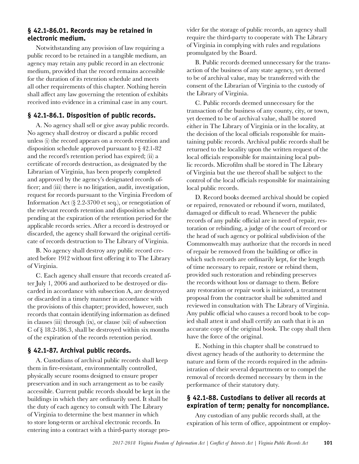#### **§ 42.1-86.01. Records may be retained in electronic medium.**

Notwithstanding any provision of law requiring a public record to be retained in a tangible medium, an agency may retain any public record in an electronic medium, provided that the record remains accessible for the duration of its retention schedule and meets all other requirements of this chapter. Nothing herein shall affect any law governing the retention of exhibits received into evidence in a criminal case in any court.

### **§ 42.1-86.1. Disposition of public records.**

A. No agency shall sell or give away public records. No agency shall destroy or discard a public record unless (i) the record appears on a records retention and disposition schedule approved pursuant to § 42.1-82 and the record's retention period has expired; (ii) a certificate of records destruction, as designated by the Librarian of Virginia, has been properly completed and approved by the agency's designated records officer; and (iii) there is no litigation, audit, investigation, request for records pursuant to the Virginia Freedom of Information Act (§ 2.2-3700 et seq.), or renegotiation of the relevant records retention and disposition schedule pending at the expiration of the retention period for the applicable records series. After a record is destroyed or discarded, the agency shall forward the original certificate of records destruction to The Library of Virginia.

B. No agency shall destroy any public record created before 1912 without first offering it to The Library of Virginia.

C. Each agency shall ensure that records created after July 1, 2006 and authorized to be destroyed or discarded in accordance with subsection A, are destroyed or discarded in a timely manner in accordance with the provisions of this chapter; provided, however, such records that contain identifying information as defined in clauses (iii) through (ix), or clause (xii) of subsection C of § 18.2-186.3, shall be destroyed within six months of the expiration of the records retention period.

### **§ 42.1-87. Archival public records.**

A. Custodians of archival public records shall keep them in fire-resistant, environmentally controlled, physically secure rooms designed to ensure proper preservation and in such arrangement as to be easily accessible. Current public records should be kept in the buildings in which they are ordinarily used. It shall be the duty of each agency to consult with The Library of Virginia to determine the best manner in which to store long-term or archival electronic records. In entering into a contract with a third-party storage provider for the storage of public records, an agency shall require the third-party to cooperate with The Library of Virginia in complying with rules and regulations promulgated by the Board.

B. Public records deemed unnecessary for the transaction of the business of any state agency, yet deemed to be of archival value, may be transferred with the consent of the Librarian of Virginia to the custody of the Library of Virginia.

C. Public records deemed unnecessary for the transaction of the business of any county, city, or town, yet deemed to be of archival value, shall be stored either in The Library of Virginia or in the locality, at the decision of the local officials responsible for maintaining public records. Archival public records shall be returned to the locality upon the written request of the local officials responsible for maintaining local public records. Microfilm shall be stored in The Library of Virginia but the use thereof shall be subject to the control of the local officials responsible for maintaining local public records.

D. Record books deemed archival should be copied or repaired, renovated or rebound if worn, mutilated, damaged or difficult to read. Whenever the public records of any public official are in need of repair, restoration or rebinding, a judge of the court of record or the head of such agency or political subdivision of the Commonwealth may authorize that the records in need of repair be removed from the building or office in which such records are ordinarily kept, for the length of time necessary to repair, restore or rebind them, provided such restoration and rebinding preserves the records without loss or damage to them. Before any restoration or repair work is initiated, a treatment proposal from the contractor shall be submitted and reviewed in consultation with The Library of Virginia. Any public official who causes a record book to be copied shall attest it and shall certify an oath that it is an accurate copy of the original book. The copy shall then have the force of the original.

E. Nothing in this chapter shall be construed to divest agency heads of the authority to determine the nature and form of the records required in the administration of their several departments or to compel the removal of records deemed necessary by them in the performance of their statutory duty.

### **§ 42.1-88. Custodians to deliver all records at expiration of term; penalty for noncompliance.**

Any custodian of any public records shall, at the expiration of his term of office, appointment or employ